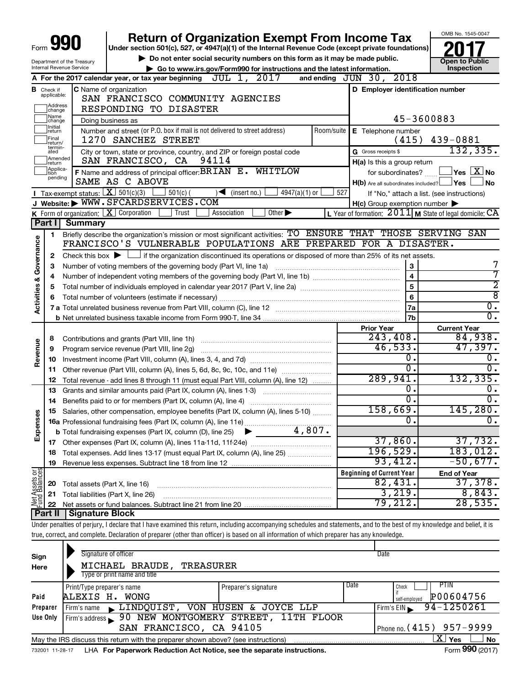|                         |                             |                                                        | <b>Return of Organization Exempt From Income Tax</b>                                                                                                                       |                                                           | OMB No. 1545-0047                       |
|-------------------------|-----------------------------|--------------------------------------------------------|----------------------------------------------------------------------------------------------------------------------------------------------------------------------------|-----------------------------------------------------------|-----------------------------------------|
| Form                    |                             | 991                                                    | Under section 501(c), 527, or 4947(a)(1) of the Internal Revenue Code (except private foundations)                                                                         |                                                           |                                         |
|                         |                             |                                                        | Do not enter social security numbers on this form as it may be made public.                                                                                                |                                                           | <b>Open to Public</b>                   |
|                         |                             | Department of the Treasury<br>Internal Revenue Service | Go to www.irs.gov/Form990 for instructions and the latest information.                                                                                                     |                                                           | Inspection                              |
|                         |                             |                                                        | A For the 2017 calendar year, or tax year beginning $JUL$ 1, $2017$                                                                                                        | and ending JUN 30, 2018                                   |                                         |
|                         | <b>B</b> Check if           |                                                        | C Name of organization                                                                                                                                                     | D Employer identification number                          |                                         |
|                         | applicable:                 |                                                        | SAN FRANCISCO COMMUNITY AGENCIES                                                                                                                                           |                                                           |                                         |
|                         | Address<br>change           |                                                        | RESPONDING TO DISASTER                                                                                                                                                     |                                                           |                                         |
|                         | Name<br>change              |                                                        | Doing business as                                                                                                                                                          | 45-3600883                                                |                                         |
|                         | 1Initial<br>return          |                                                        | Number and street (or P.O. box if mail is not delivered to street address)                                                                                                 | Room/suite   E Telephone number                           |                                         |
|                         | Final<br>lreturn/           |                                                        | 1270 SANCHEZ STREET                                                                                                                                                        | (415)                                                     | $439 - 0881$                            |
|                         | termin-<br>ated             |                                                        | City or town, state or province, country, and ZIP or foreign postal code                                                                                                   | G Gross receipts \$                                       | 132, 335.                               |
|                         | Amended<br>Ireturn          |                                                        | SAN FRANCISCO, CA<br>94114                                                                                                                                                 | H(a) Is this a group return                               |                                         |
|                         | Applica-<br>tion<br>pending |                                                        | F Name and address of principal officer: BRIAN E. WHITLOW                                                                                                                  | for subordinates?                                         | $\Box$ Yes $[\overline{\mathrm{X}}]$ No |
|                         |                             |                                                        | SAME AS C ABOVE                                                                                                                                                            | $H(b)$ Are all subordinates included? $\Box$ Yes          | ∣ No                                    |
|                         |                             | Tax-exempt status: $X \over 301(c)(3)$                 | $4947(a)(1)$ or<br>$501(c)$ (<br>$\sqrt{\frac{1}{1}}$ (insert no.)                                                                                                         | 527<br>If "No," attach a list. (see instructions)         |                                         |
|                         |                             |                                                        | J Website: WWW.SFCARDSERVICES.COM                                                                                                                                          | $H(c)$ Group exemption number $\blacktriangleright$       |                                         |
|                         |                             |                                                        | <b>K</b> Form of organization: $X$ Corporation<br>Association<br>Other $\blacktriangleright$<br>Trust                                                                      | L Year of formation: $2011$ M State of legal domicile: CA |                                         |
|                         | Part I                      | <b>Summary</b>                                         |                                                                                                                                                                            |                                                           |                                         |
|                         | 1.                          |                                                        | Briefly describe the organization's mission or most significant activities: TO ENSURE THAT THOSE SERVING SAN                                                               |                                                           |                                         |
|                         |                             |                                                        | FRANCISCO'S VULNERABLE POPULATIONS ARE PREPARED FOR A DISASTER.                                                                                                            |                                                           |                                         |
| Governance              | 2                           |                                                        | Check this box $\blacktriangleright$ $\Box$ if the organization discontinued its operations or disposed of more than 25% of its net assets.                                |                                                           |                                         |
|                         | З                           |                                                        | Number of voting members of the governing body (Part VI, line 1a)                                                                                                          | 3                                                         |                                         |
|                         | 4                           |                                                        |                                                                                                                                                                            | $\overline{4}$                                            | 7                                       |
|                         | 5                           |                                                        |                                                                                                                                                                            | 5                                                         | 2                                       |
| <b>Activities &amp;</b> | 6                           |                                                        |                                                                                                                                                                            | 6                                                         | $\overline{8}$                          |
|                         |                             |                                                        |                                                                                                                                                                            | <b>7a</b>                                                 | $\overline{0}$ .                        |
|                         |                             |                                                        |                                                                                                                                                                            | 7b                                                        | $\overline{0}$ .                        |
|                         |                             |                                                        |                                                                                                                                                                            | <b>Prior Year</b>                                         | <b>Current Year</b>                     |
|                         | 8                           |                                                        |                                                                                                                                                                            | 243,408.                                                  | 84,938.                                 |
|                         | 9                           |                                                        | Program service revenue (Part VIII, line 2g)                                                                                                                               | 46,533.                                                   | 47,397.                                 |
| Revenue                 | 10                          |                                                        |                                                                                                                                                                            | О.                                                        | 0.                                      |
|                         | 11                          |                                                        | Other revenue (Part VIII, column (A), lines 5, 6d, 8c, 9c, 10c, and 11e)                                                                                                   | О.                                                        | Ω.                                      |
|                         | 12                          |                                                        | Total revenue - add lines 8 through 11 (must equal Part VIII, column (A), line 12)                                                                                         | 289,941.                                                  | 132, 335.                               |
|                         | 13                          |                                                        | Grants and similar amounts paid (Part IX, column (A), lines 1-3)                                                                                                           | О.                                                        | 0.                                      |
|                         | 14                          |                                                        | Benefits paid to or for members (Part IX, column (A), line 4)                                                                                                              | О.                                                        | $\overline{0}$ .                        |
| 8                       |                             |                                                        | 15 Salaries, other compensation, employee benefits (Part IX, column (A), lines 5-10)                                                                                       | 158,669.                                                  | 145,280.                                |
| Expense                 |                             |                                                        |                                                                                                                                                                            | 0,                                                        | 0.                                      |
|                         |                             |                                                        | 4,807.<br><b>b</b> Total fundraising expenses (Part IX, column (D), line 25)<br>$\blacktriangleright$                                                                      |                                                           |                                         |
|                         | 17                          |                                                        |                                                                                                                                                                            | 37,860.                                                   | 37,732.                                 |
|                         | 18                          |                                                        | Total expenses. Add lines 13-17 (must equal Part IX, column (A), line 25)                                                                                                  | 196,529.                                                  | 183,012.                                |
|                         | 19                          |                                                        |                                                                                                                                                                            | 93,412.                                                   | $-50,677.$                              |
| Net Assets or           |                             |                                                        |                                                                                                                                                                            | <b>Beginning of Current Year</b>                          | <b>End of Year</b>                      |
|                         | 20                          | Total assets (Part X, line 16)                         |                                                                                                                                                                            | 82,431.                                                   | 37,378.                                 |
|                         | 21                          |                                                        | Total liabilities (Part X, line 26)                                                                                                                                        | 3,219.                                                    | 8,843.                                  |
|                         | 22                          |                                                        |                                                                                                                                                                            | 79,212.                                                   | 28,535.                                 |
|                         | Part II                     | Signature Block                                        |                                                                                                                                                                            |                                                           |                                         |
|                         |                             |                                                        | Under penalties of perjury, I declare that I have examined this return, including accompanying schedules and statements, and to the best of my knowledge and belief, it is |                                                           |                                         |
|                         |                             |                                                        | true, correct, and complete. Declaration of preparer (other than officer) is based on all information of which preparer has any knowledge.                                 |                                                           |                                         |

| Sign<br>Here | Signature of officer<br>MICHAEL BRAUDE,<br>TREASURER<br>Type or print name and title                 |                      |      | Date                                        |  |  |  |  |
|--------------|------------------------------------------------------------------------------------------------------|----------------------|------|---------------------------------------------|--|--|--|--|
| Paid         | Print/Type preparer's name<br>ALEXIS H. WONG                                                         | Preparer's signature | Date | PTIN<br>Check<br>P00604756<br>self-employed |  |  |  |  |
| Preparer     | LINDQUIST, VON HUSEN & JOYCE LLP<br>Firm's name                                                      |                      |      | 94-1250261<br>Firm's $EIN$                  |  |  |  |  |
| Use Only     | Firm's address 90 NEW MONTGOMERY STREET, 11TH FLOOR                                                  |                      |      |                                             |  |  |  |  |
|              | SAN FRANCISCO, CA 94105                                                                              |                      |      | Phone no. (415) 957-9999                    |  |  |  |  |
|              | x.<br>Yes<br>No<br>May the IRS discuss this return with the preparer shown above? (see instructions) |                      |      |                                             |  |  |  |  |
|              |                                                                                                      |                      |      | $- - -$                                     |  |  |  |  |

732001 11-28-17 **For Paperwork Reduction Act Notice, see the separate instructions.** LHA Form (2017)

Form **990** (2017)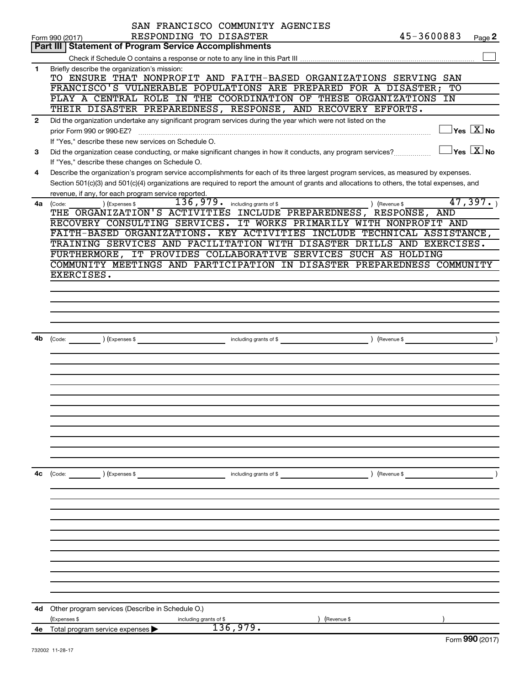|              | SAN FRANCISCO COMMUNITY AGENCIES                                                                                                             |                                         |
|--------------|----------------------------------------------------------------------------------------------------------------------------------------------|-----------------------------------------|
|              | RESPONDING TO DISASTER<br>Form 990 (2017)                                                                                                    | 45-3600883<br>Page 2                    |
|              | Part III   Statement of Program Service Accomplishments                                                                                      |                                         |
|              |                                                                                                                                              |                                         |
| $\mathbf{1}$ | Briefly describe the organization's mission:                                                                                                 |                                         |
|              | TO ENSURE THAT NONPROFIT AND FAITH-BASED ORGANIZATIONS SERVING SAN                                                                           |                                         |
|              | FRANCISCO'S VULNERABLE POPULATIONS ARE PREPARED FOR A DISASTER;                                                                              | TO                                      |
|              | PLAY A CENTRAL ROLE IN THE COORDINATION OF THESE ORGANIZATIONS IN                                                                            |                                         |
|              | THEIR DISASTER PREPAREDNESS, RESPONSE, AND RECOVERY EFFORTS.                                                                                 |                                         |
| $\mathbf{2}$ | Did the organization undertake any significant program services during the year which were not listed on the                                 |                                         |
|              | prior Form 990 or 990-EZ?                                                                                                                    | $\Box$ Yes $[\overline{\mathrm{X}}]$ No |
|              | If "Yes," describe these new services on Schedule O.                                                                                         |                                         |
| 3            | Did the organization cease conducting, or make significant changes in how it conducts, any program services?                                 | $\Box$ Yes $[\overline{\mathrm{X}}]$ No |
|              | If "Yes," describe these changes on Schedule O.                                                                                              |                                         |
| 4            | Describe the organization's program service accomplishments for each of its three largest program services, as measured by expenses.         |                                         |
|              | Section 501(c)(3) and 501(c)(4) organizations are required to report the amount of grants and allocations to others, the total expenses, and |                                         |
|              | revenue, if any, for each program service reported.                                                                                          |                                         |
| 4a           | 136, 979. including grants of \$<br>) (Expenses \$<br>(Code:                                                                                 | 47,397.<br>) (Revenue \$                |
|              | THE ORGANIZATION'S ACTIVITIES INCLUDE PREPAREDNESS, RESPONSE, AND                                                                            |                                         |
|              | RECOVERY CONSULTING SERVICES. IT WORKS PRIMARILY WITH NONPROFIT AND                                                                          |                                         |
|              | FAITH-BASED ORGANIZATIONS. KEY ACTIVITIES INCLUDE TECHNICAL ASSISTANCE,                                                                      |                                         |
|              | TRAINING SERVICES AND FACILITATION WITH DISASTER DRILLS AND EXERCISES.                                                                       |                                         |
|              | FURTHERMORE, IT PROVIDES COLLABORATIVE SERVICES SUCH AS HOLDING                                                                              |                                         |
|              | COMMUNITY MEETINGS AND PARTICIPATION IN DISASTER PREPAREDNESS COMMUNITY                                                                      |                                         |
|              | EXERCISES.                                                                                                                                   |                                         |
|              |                                                                                                                                              |                                         |
|              |                                                                                                                                              |                                         |
|              |                                                                                                                                              |                                         |
|              |                                                                                                                                              |                                         |
|              |                                                                                                                                              |                                         |
| 4b           |                                                                                                                                              |                                         |
|              |                                                                                                                                              |                                         |
|              |                                                                                                                                              |                                         |
|              |                                                                                                                                              |                                         |
|              |                                                                                                                                              |                                         |
|              |                                                                                                                                              |                                         |
|              |                                                                                                                                              |                                         |
|              |                                                                                                                                              |                                         |
|              |                                                                                                                                              |                                         |
|              |                                                                                                                                              |                                         |
|              |                                                                                                                                              |                                         |
|              |                                                                                                                                              |                                         |
|              |                                                                                                                                              |                                         |
| 4c           | (Code: ) (Expenses \$<br>including grants of \$                                                                                              | (Revenue \$                             |
|              |                                                                                                                                              |                                         |
|              |                                                                                                                                              |                                         |
|              |                                                                                                                                              |                                         |
|              |                                                                                                                                              |                                         |
|              |                                                                                                                                              |                                         |
|              |                                                                                                                                              |                                         |
|              |                                                                                                                                              |                                         |
|              |                                                                                                                                              |                                         |
|              |                                                                                                                                              |                                         |
|              |                                                                                                                                              |                                         |
|              |                                                                                                                                              |                                         |
|              |                                                                                                                                              |                                         |
| 4d           | Other program services (Describe in Schedule O.)                                                                                             |                                         |
|              |                                                                                                                                              |                                         |
| 4е           | (Expenses \$<br>including grants of \$<br>136,979.                                                                                           | (Revenue \$                             |
|              | Total program service expenses                                                                                                               | $F_{\text{arm}}$ QQ $\Omega$ (2017)     |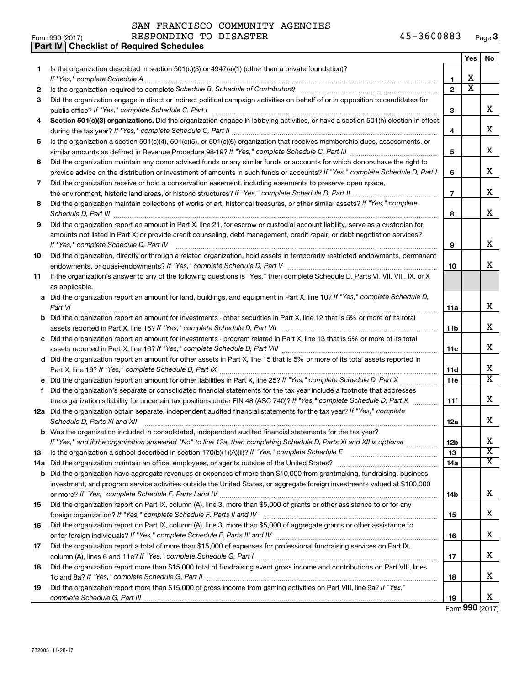|  | SAN FRANCISCO COMMUNITY AGENCIES |            |
|--|----------------------------------|------------|
|  | RESPONDING TO DISASTER           | 45-3600883 |

|     | Part IV   Checklist of Required Schedules                                                                                                                                                                                                          |                 |                       |                              |
|-----|----------------------------------------------------------------------------------------------------------------------------------------------------------------------------------------------------------------------------------------------------|-----------------|-----------------------|------------------------------|
|     |                                                                                                                                                                                                                                                    |                 | Yes                   | No                           |
| 1   | Is the organization described in section 501(c)(3) or $4947(a)(1)$ (other than a private foundation)?                                                                                                                                              |                 |                       |                              |
|     |                                                                                                                                                                                                                                                    | 1               | X                     |                              |
| 2   |                                                                                                                                                                                                                                                    | $\overline{2}$  | $\overline{\text{x}}$ |                              |
| 3   | Did the organization engage in direct or indirect political campaign activities on behalf of or in opposition to candidates for                                                                                                                    |                 |                       |                              |
|     |                                                                                                                                                                                                                                                    | 3               |                       | x                            |
| 4   | Section 501(c)(3) organizations. Did the organization engage in lobbying activities, or have a section 501(h) election in effect                                                                                                                   | 4               |                       | x                            |
| 5   | Is the organization a section 501(c)(4), 501(c)(5), or 501(c)(6) organization that receives membership dues, assessments, or                                                                                                                       |                 |                       |                              |
|     |                                                                                                                                                                                                                                                    | 5               |                       | X                            |
| 6   | Did the organization maintain any donor advised funds or any similar funds or accounts for which donors have the right to                                                                                                                          |                 |                       |                              |
|     | provide advice on the distribution or investment of amounts in such funds or accounts? If "Yes," complete Schedule D, Part I                                                                                                                       | 6               |                       | X                            |
| 7   | Did the organization receive or hold a conservation easement, including easements to preserve open space,                                                                                                                                          |                 |                       |                              |
|     |                                                                                                                                                                                                                                                    | $\overline{7}$  |                       | x                            |
| 8   | Did the organization maintain collections of works of art, historical treasures, or other similar assets? If "Yes," complete                                                                                                                       |                 |                       |                              |
|     | Schedule D, Part III <b>Marting Constructs</b> 2014 11 2014 12:00 12:00 12:00 12:00 12:00 12:00 12:00 12:00 12:00 12:00 12:00 12:00 12:00 12:00 12:00 12:00 12:00 12:00 12:00 12:00 12:00 12:00 12:00 12:00 12:00 12:00 12:00 12:00                | 8               |                       | x                            |
| 9   | Did the organization report an amount in Part X, line 21, for escrow or custodial account liability, serve as a custodian for                                                                                                                      |                 |                       |                              |
|     | amounts not listed in Part X; or provide credit counseling, debt management, credit repair, or debt negotiation services?                                                                                                                          |                 |                       |                              |
|     | If "Yes." complete Schedule D. Part IV                                                                                                                                                                                                             | 9               |                       | x                            |
| 10  | Did the organization, directly or through a related organization, hold assets in temporarily restricted endowments, permanent                                                                                                                      |                 |                       |                              |
|     |                                                                                                                                                                                                                                                    | 10              |                       | x                            |
|     | If the organization's answer to any of the following questions is "Yes," then complete Schedule D, Parts VI, VII, VIII, IX, or X                                                                                                                   |                 |                       |                              |
| 11  |                                                                                                                                                                                                                                                    |                 |                       |                              |
|     | as applicable.                                                                                                                                                                                                                                     |                 |                       |                              |
|     | a Did the organization report an amount for land, buildings, and equipment in Part X, line 10? If "Yes," complete Schedule D,                                                                                                                      |                 |                       | x                            |
|     |                                                                                                                                                                                                                                                    | 11a             |                       |                              |
|     | <b>b</b> Did the organization report an amount for investments - other securities in Part X, line 12 that is 5% or more of its total                                                                                                               |                 |                       |                              |
|     |                                                                                                                                                                                                                                                    | 11 <sub>b</sub> |                       | x                            |
|     | c Did the organization report an amount for investments - program related in Part X, line 13 that is 5% or more of its total                                                                                                                       |                 |                       |                              |
|     |                                                                                                                                                                                                                                                    | 11c             |                       | x                            |
|     | d Did the organization report an amount for other assets in Part X, line 15 that is 5% or more of its total assets reported in                                                                                                                     |                 |                       |                              |
|     |                                                                                                                                                                                                                                                    | 11d             |                       | x<br>$\overline{\mathtt{x}}$ |
|     | Did the organization report an amount for other liabilities in Part X, line 25? If "Yes," complete Schedule D, Part X                                                                                                                              | 11e             |                       |                              |
| f   | Did the organization's separate or consolidated financial statements for the tax year include a footnote that addresses                                                                                                                            |                 |                       |                              |
|     | the organization's liability for uncertain tax positions under FIN 48 (ASC 740)? If "Yes," complete Schedule D, Part X                                                                                                                             | 11f             |                       | x                            |
|     | 12a Did the organization obtain separate, independent audited financial statements for the tax year? If "Yes," complete<br>Schedule D, Parts XI and XII <b>contained a contained a contained a contained a contained a contained a contained a</b> | 12a             |                       | x                            |
| b   | Was the organization included in consolidated, independent audited financial statements for the tax year?                                                                                                                                          |                 |                       |                              |
|     | If "Yes," and if the organization answered "No" to line 12a, then completing Schedule D, Parts XI and XII is optional                                                                                                                              | 12b             |                       | х                            |
| 13  |                                                                                                                                                                                                                                                    | 13              |                       | $\overline{\texttt{x}}$      |
| 14a | Did the organization maintain an office, employees, or agents outside of the United States?                                                                                                                                                        | 14a             |                       | $\overline{\mathtt{x}}$      |
| b   | Did the organization have aggregate revenues or expenses of more than \$10,000 from grantmaking, fundraising, business,                                                                                                                            |                 |                       |                              |
|     | investment, and program service activities outside the United States, or aggregate foreign investments valued at \$100,000                                                                                                                         |                 |                       |                              |
|     |                                                                                                                                                                                                                                                    | 14b             |                       | x                            |
| 15  | Did the organization report on Part IX, column (A), line 3, more than \$5,000 of grants or other assistance to or for any                                                                                                                          |                 |                       |                              |
|     |                                                                                                                                                                                                                                                    | 15              |                       | x                            |
| 16  | Did the organization report on Part IX, column (A), line 3, more than \$5,000 of aggregate grants or other assistance to                                                                                                                           |                 |                       |                              |
|     |                                                                                                                                                                                                                                                    | 16              |                       | x                            |
| 17  | Did the organization report a total of more than \$15,000 of expenses for professional fundraising services on Part IX,                                                                                                                            |                 |                       |                              |
|     |                                                                                                                                                                                                                                                    | 17              |                       | x                            |
| 18  | Did the organization report more than \$15,000 total of fundraising event gross income and contributions on Part VIII, lines                                                                                                                       |                 |                       |                              |
|     |                                                                                                                                                                                                                                                    | 18              |                       | x                            |
| 19  | Did the organization report more than \$15,000 of gross income from gaming activities on Part VIII, line 9a? If "Yes,"                                                                                                                             |                 |                       |                              |
|     |                                                                                                                                                                                                                                                    | 19              |                       | x                            |

Form (2017) **990**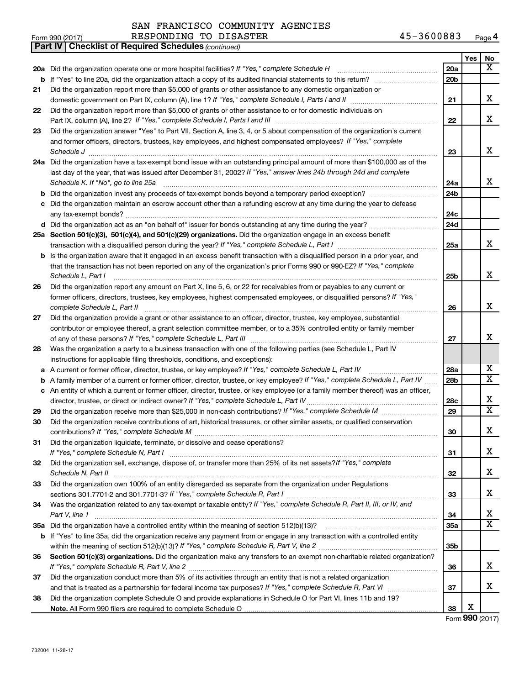#### SAN FRANCISCO COMMUNITY AGENCIES

|    | 45-3600883<br>RESPONDING TO DISASTER<br>Form 990 (2017)                                                                             |                 |     | Page 4                  |
|----|-------------------------------------------------------------------------------------------------------------------------------------|-----------------|-----|-------------------------|
|    | <b>Part IV   Checklist of Required Schedules (continued)</b>                                                                        |                 |     |                         |
|    |                                                                                                                                     |                 | Yes | No                      |
|    | 20a Did the organization operate one or more hospital facilities? If "Yes," complete Schedule H                                     | 20a             |     | $\overline{\mathbf{x}}$ |
|    |                                                                                                                                     | 20 <sub>b</sub> |     |                         |
| 21 | Did the organization report more than \$5,000 of grants or other assistance to any domestic organization or                         |                 |     |                         |
|    |                                                                                                                                     | 21              |     | X                       |
| 22 | Did the organization report more than \$5,000 of grants or other assistance to or for domestic individuals on                       |                 |     |                         |
|    |                                                                                                                                     | 22              |     | X                       |
| 23 | Did the organization answer "Yes" to Part VII, Section A, line 3, 4, or 5 about compensation of the organization's current          |                 |     |                         |
|    | and former officers, directors, trustees, key employees, and highest compensated employees? If "Yes," complete                      |                 |     |                         |
|    | Schedule J <b>Execute Schedule J Execute Schedule J</b>                                                                             | 23              |     | X                       |
|    | 24a Did the organization have a tax-exempt bond issue with an outstanding principal amount of more than \$100,000 as of the         |                 |     |                         |
|    | last day of the year, that was issued after December 31, 2002? If "Yes," answer lines 24b through 24d and complete                  |                 |     |                         |
|    | Schedule K. If "No", go to line 25a                                                                                                 | 24a             |     | x                       |
|    |                                                                                                                                     | 24 <sub>b</sub> |     |                         |
|    | c Did the organization maintain an escrow account other than a refunding escrow at any time during the year to defease              |                 |     |                         |
|    |                                                                                                                                     | 24c             |     |                         |
|    |                                                                                                                                     | 24d             |     |                         |
|    | 25a Section 501(c)(3), 501(c)(4), and 501(c)(29) organizations. Did the organization engage in an excess benefit                    |                 |     |                         |
|    |                                                                                                                                     | 25a             |     | X                       |
|    | <b>b</b> Is the organization aware that it engaged in an excess benefit transaction with a disqualified person in a prior year, and |                 |     |                         |
|    | that the transaction has not been reported on any of the organization's prior Forms 990 or 990-EZ? If "Yes," complete               |                 |     |                         |
|    | Schedule L, Part I                                                                                                                  | 25 <sub>b</sub> |     | X                       |
| 26 | Did the organization report any amount on Part X, line 5, 6, or 22 for receivables from or payables to any current or               |                 |     |                         |
|    | former officers, directors, trustees, key employees, highest compensated employees, or disqualified persons? If "Yes,"              |                 |     |                         |
|    | complete Schedule L, Part II                                                                                                        | 26              |     | X                       |
| 27 | Did the organization provide a grant or other assistance to an officer, director, trustee, key employee, substantial                |                 |     |                         |
|    | contributor or employee thereof, a grant selection committee member, or to a 35% controlled entity or family member                 |                 |     |                         |
|    |                                                                                                                                     | 27              |     | X                       |
| 28 | Was the organization a party to a business transaction with one of the following parties (see Schedule L, Part IV                   |                 |     |                         |
|    | instructions for applicable filing thresholds, conditions, and exceptions):                                                         |                 |     |                         |
|    | a A current or former officer, director, trustee, or key employee? If "Yes," complete Schedule L, Part IV                           | 28a             |     | х                       |
|    | b A family member of a current or former officer, director, trustee, or key employee? If "Yes," complete Schedule L, Part IV        | 28 <sub>b</sub> |     | $\overline{X}$          |
|    | c An entity of which a current or former officer, director, trustee, or key employee (or a family member thereof) was an officer,   |                 |     |                         |
|    | director, trustee, or direct or indirect owner? If "Yes," complete Schedule L, Part IV                                              | 28c             |     | X                       |
| 29 |                                                                                                                                     | 29              |     | $\overline{\mathbf{x}}$ |
|    | Did the organization receive contributions of art, historical treasures, or other similar assets, or qualified conservation         |                 |     |                         |
|    |                                                                                                                                     | 30              |     | X                       |
| 31 | Did the organization liquidate, terminate, or dissolve and cease operations?                                                        |                 |     |                         |
|    |                                                                                                                                     | 31              |     | x                       |
| 32 | Did the organization sell, exchange, dispose of, or transfer more than 25% of its net assets? If "Yes," complete                    |                 |     |                         |
|    | Schedule N, Part II                                                                                                                 | 32              |     | x                       |
| 33 | Did the organization own 100% of an entity disregarded as separate from the organization under Regulations                          |                 |     |                         |
|    |                                                                                                                                     | 33              |     | x                       |
| 34 | Was the organization related to any tax-exempt or taxable entity? If "Yes," complete Schedule R, Part II, III, or IV, and           |                 |     |                         |
|    | Part V, line 1                                                                                                                      | 34              |     | х                       |
|    |                                                                                                                                     | 35a             |     | $\overline{\mathbf{x}}$ |
|    | b If "Yes" to line 35a, did the organization receive any payment from or engage in any transaction with a controlled entity         |                 |     |                         |
|    |                                                                                                                                     | 35 <sub>b</sub> |     |                         |
| 36 | Section 501(c)(3) organizations. Did the organization make any transfers to an exempt non-charitable related organization?          |                 |     |                         |
|    |                                                                                                                                     | 36              |     | x                       |
| 37 | Did the organization conduct more than 5% of its activities through an entity that is not a related organization                    |                 |     |                         |
|    |                                                                                                                                     | 37              |     | x                       |
| 38 | Did the organization complete Schedule O and provide explanations in Schedule O for Part VI, lines 11b and 19?                      |                 |     |                         |
|    |                                                                                                                                     | 38              | х   |                         |

Form (2017) **990**

| ອບ ເ∠ບ⊺≀ ≀                  |  |  |
|-----------------------------|--|--|
| $N \mid \text{Chochlicity}$ |  |  |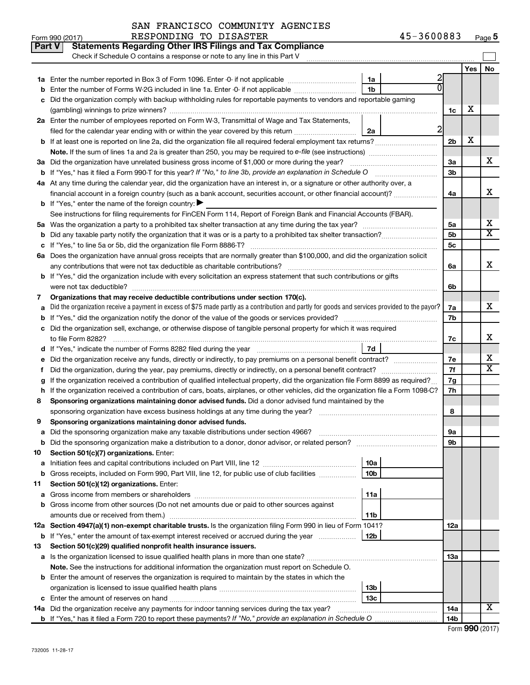|  | SAN FRANCISCO COMMUNITY AGENCIES |  |
|--|----------------------------------|--|
|  |                                  |  |

|               | RESPONDING TO DISASTER<br>Form 990 (2017)                                                                                                                                                                                     |                 | 45-3600883 |                 |     | Page 5                  |
|---------------|-------------------------------------------------------------------------------------------------------------------------------------------------------------------------------------------------------------------------------|-----------------|------------|-----------------|-----|-------------------------|
| <b>Part V</b> | <b>Statements Regarding Other IRS Filings and Tax Compliance</b>                                                                                                                                                              |                 |            |                 |     |                         |
|               | Check if Schedule O contains a response or note to any line in this Part V                                                                                                                                                    |                 |            |                 |     |                         |
|               |                                                                                                                                                                                                                               |                 |            |                 | Yes | No                      |
|               |                                                                                                                                                                                                                               | 1a              | 2          |                 |     |                         |
| b             | Enter the number of Forms W-2G included in line 1a. Enter -0- if not applicable                                                                                                                                               | 1b              |            |                 |     |                         |
| с             | Did the organization comply with backup withholding rules for reportable payments to vendors and reportable gaming                                                                                                            |                 |            |                 |     |                         |
|               |                                                                                                                                                                                                                               |                 |            | 1c              | х   |                         |
|               | 2a Enter the number of employees reported on Form W-3, Transmittal of Wage and Tax Statements,                                                                                                                                |                 |            |                 |     |                         |
|               | filed for the calendar year ending with or within the year covered by this return <i>[[[[[[[[[[[[[]]]]</i>                                                                                                                    | 2a              | 2          |                 |     |                         |
|               | <b>b</b> If at least one is reported on line 2a, did the organization file all required federal employment tax returns?                                                                                                       |                 |            | 2 <sub>b</sub>  | X   |                         |
|               |                                                                                                                                                                                                                               |                 |            |                 |     |                         |
|               | 3a Did the organization have unrelated business gross income of \$1,000 or more during the year?                                                                                                                              |                 |            | За              |     | x                       |
|               |                                                                                                                                                                                                                               |                 |            | 3 <sub>b</sub>  |     |                         |
|               |                                                                                                                                                                                                                               |                 |            |                 |     |                         |
|               | 4a At any time during the calendar year, did the organization have an interest in, or a signature or other authority over, a                                                                                                  |                 |            |                 |     | X                       |
|               | financial account in a foreign country (such as a bank account, securities account, or other financial account)?                                                                                                              |                 |            | 4a              |     |                         |
|               | <b>b</b> If "Yes," enter the name of the foreign country: $\blacktriangleright$                                                                                                                                               |                 |            |                 |     |                         |
|               | See instructions for filing requirements for FinCEN Form 114, Report of Foreign Bank and Financial Accounts (FBAR).                                                                                                           |                 |            |                 |     | х                       |
|               |                                                                                                                                                                                                                               |                 |            | 5a              |     | X                       |
| b             |                                                                                                                                                                                                                               |                 |            | 5 <sub>b</sub>  |     |                         |
| с             |                                                                                                                                                                                                                               |                 |            | 5 <sub>c</sub>  |     |                         |
|               | 6a Does the organization have annual gross receipts that are normally greater than \$100,000, and did the organization solicit                                                                                                |                 |            |                 |     | X                       |
|               | any contributions that were not tax deductible as charitable contributions?                                                                                                                                                   |                 |            | 6a              |     |                         |
|               | <b>b</b> If "Yes," did the organization include with every solicitation an express statement that such contributions or gifts                                                                                                 |                 |            |                 |     |                         |
|               |                                                                                                                                                                                                                               |                 |            | 6b              |     |                         |
| 7             | Organizations that may receive deductible contributions under section 170(c).                                                                                                                                                 |                 |            |                 |     |                         |
| а             | Did the organization receive a payment in excess of \$75 made partly as a contribution and partly for goods and services provided to the payor?                                                                               |                 |            | 7a              |     | x                       |
| b             |                                                                                                                                                                                                                               |                 |            | 7b              |     |                         |
|               | c Did the organization sell, exchange, or otherwise dispose of tangible personal property for which it was required                                                                                                           |                 |            |                 |     |                         |
|               | to file Form 8282?                                                                                                                                                                                                            |                 |            | 7c              |     | X                       |
|               | d If "Yes," indicate the number of Forms 8282 filed during the year [11] [11] The Sear [11] The Sear [11] The Sear [11] The Sear [11] The Sear [11] The Sear [11] The Sear [11] The Sear [11] The Sear [11] The Sear [11] The | 7d              |            |                 |     |                         |
| е             | Did the organization receive any funds, directly or indirectly, to pay premiums on a personal benefit contract?                                                                                                               |                 |            | 7e              |     | х                       |
| f.            | Did the organization, during the year, pay premiums, directly or indirectly, on a personal benefit contract?                                                                                                                  |                 |            | 7f              |     | $\overline{\mathbf{X}}$ |
| g             | If the organization received a contribution of qualified intellectual property, did the organization file Form 8899 as required?                                                                                              |                 |            | 7g              |     |                         |
|               | h If the organization received a contribution of cars, boats, airplanes, or other vehicles, did the organization file a Form 1098-C?                                                                                          |                 |            | 7h              |     |                         |
| 8             | Sponsoring organizations maintaining donor advised funds. Did a donor advised fund maintained by the                                                                                                                          |                 |            |                 |     |                         |
|               | sponsoring organization have excess business holdings at any time during the year?                                                                                                                                            |                 |            | 8               |     |                         |
| 9             | Sponsoring organizations maintaining donor advised funds.                                                                                                                                                                     |                 |            |                 |     |                         |
| а             | Did the sponsoring organization make any taxable distributions under section 4966?                                                                                                                                            |                 |            | <b>9a</b>       |     |                         |
| b             |                                                                                                                                                                                                                               |                 |            | 9b              |     |                         |
| 10            | Section 501(c)(7) organizations. Enter:                                                                                                                                                                                       |                 |            |                 |     |                         |
| а             |                                                                                                                                                                                                                               | 10a             |            |                 |     |                         |
| b             | Gross receipts, included on Form 990, Part VIII, line 12, for public use of club facilities                                                                                                                                   | 10 <sub>b</sub> |            |                 |     |                         |
| 11            | Section 501(c)(12) organizations. Enter:                                                                                                                                                                                      |                 |            |                 |     |                         |
| а             |                                                                                                                                                                                                                               | 11a             |            |                 |     |                         |
| b             | Gross income from other sources (Do not net amounts due or paid to other sources against                                                                                                                                      |                 |            |                 |     |                         |
|               |                                                                                                                                                                                                                               | 11b             |            |                 |     |                         |
|               | 12a Section 4947(a)(1) non-exempt charitable trusts. Is the organization filing Form 990 in lieu of Form 1041?                                                                                                                |                 |            | <b>12a</b>      |     |                         |
| b             | If "Yes," enter the amount of tax-exempt interest received or accrued during the year                                                                                                                                         | 12b             |            |                 |     |                         |
| 13            | Section 501(c)(29) qualified nonprofit health insurance issuers.                                                                                                                                                              |                 |            |                 |     |                         |
| а             |                                                                                                                                                                                                                               |                 |            | 13a             |     |                         |
|               | Note. See the instructions for additional information the organization must report on Schedule O.                                                                                                                             |                 |            |                 |     |                         |
|               | <b>b</b> Enter the amount of reserves the organization is required to maintain by the states in which the                                                                                                                     |                 |            |                 |     |                         |
|               |                                                                                                                                                                                                                               | 13 <sub>b</sub> |            |                 |     |                         |
|               |                                                                                                                                                                                                                               | 13с             |            |                 |     |                         |
|               | 14a Did the organization receive any payments for indoor tanning services during the tax year?                                                                                                                                |                 |            | 14a             |     | х                       |
|               |                                                                                                                                                                                                                               |                 |            | 14 <sub>b</sub> |     |                         |

| Form 990 (2017) |  |  |  |
|-----------------|--|--|--|
|-----------------|--|--|--|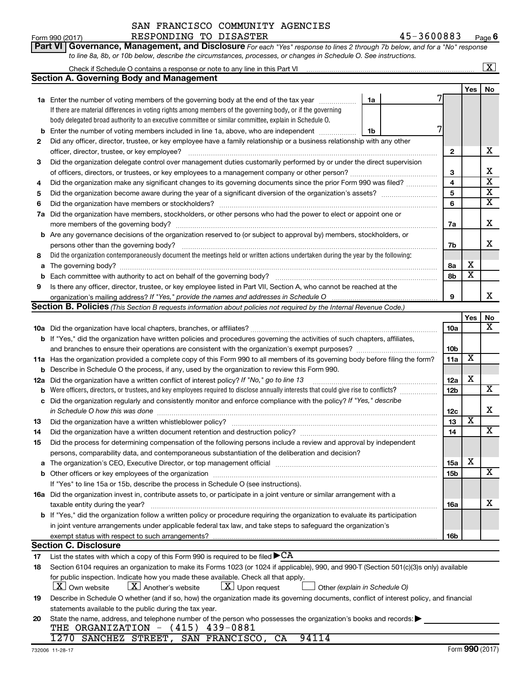SAN FRANCISCO COMMUNITY AGENCIES RESPONDING TO DISASTER 45-3600883

|        | <b>Part VI   Governance, Management, and Disclosure</b> For each "Yes" response to lines 2 through 7b below, and for a "No" response                                                                                           |                               |                 |                         |                         |
|--------|--------------------------------------------------------------------------------------------------------------------------------------------------------------------------------------------------------------------------------|-------------------------------|-----------------|-------------------------|-------------------------|
|        | to line 8a, 8b, or 10b below, describe the circumstances, processes, or changes in Schedule O. See instructions.                                                                                                               |                               |                 |                         |                         |
|        |                                                                                                                                                                                                                                |                               |                 |                         | $\boxed{\text{X}}$      |
|        | <b>Section A. Governing Body and Management</b>                                                                                                                                                                                |                               |                 |                         |                         |
|        |                                                                                                                                                                                                                                |                               |                 | Yes                     | No                      |
|        | 1a Enter the number of voting members of the governing body at the end of the tax year                                                                                                                                         | 1a                            |                 |                         |                         |
|        | If there are material differences in voting rights among members of the governing body, or if the governing                                                                                                                    |                               |                 |                         |                         |
|        | body delegated broad authority to an executive committee or similar committee, explain in Schedule O.                                                                                                                          |                               |                 |                         |                         |
| b      | Enter the number of voting members included in line 1a, above, who are independent                                                                                                                                             | 1b                            |                 |                         |                         |
| 2      | Did any officer, director, trustee, or key employee have a family relationship or a business relationship with any other                                                                                                       |                               |                 |                         |                         |
|        |                                                                                                                                                                                                                                |                               | 2               |                         | x                       |
| 3      | Did the organization delegate control over management duties customarily performed by or under the direct supervision                                                                                                          |                               |                 |                         | х                       |
|        |                                                                                                                                                                                                                                |                               | 3               |                         | $\overline{\mathbf{x}}$ |
| 4      | Did the organization make any significant changes to its governing documents since the prior Form 990 was filed?                                                                                                               |                               | 4<br>5          |                         | X                       |
| 5      |                                                                                                                                                                                                                                |                               |                 |                         | X                       |
| 6      |                                                                                                                                                                                                                                |                               | 6               |                         |                         |
| 7a     | Did the organization have members, stockholders, or other persons who had the power to elect or appoint one or                                                                                                                 |                               |                 |                         | х                       |
|        |                                                                                                                                                                                                                                |                               | 7a              |                         |                         |
|        | <b>b</b> Are any governance decisions of the organization reserved to (or subject to approval by) members, stockholders, or                                                                                                    |                               |                 |                         | х                       |
|        | Did the organization contemporaneously document the meetings held or written actions undertaken during the year by the following:                                                                                              |                               | 7b              |                         |                         |
| 8      |                                                                                                                                                                                                                                |                               | 8а              | х                       |                         |
| a      |                                                                                                                                                                                                                                |                               | 8b              | $\overline{\textbf{x}}$ |                         |
| b<br>9 | Is there any officer, director, trustee, or key employee listed in Part VII, Section A, who cannot be reached at the                                                                                                           |                               |                 |                         |                         |
|        |                                                                                                                                                                                                                                |                               | 9               |                         | x                       |
|        | Section B. Policies (This Section B requests information about policies not required by the Internal Revenue Code.)                                                                                                            |                               |                 |                         |                         |
|        |                                                                                                                                                                                                                                |                               |                 | Yes                     | No                      |
|        |                                                                                                                                                                                                                                |                               | 10a             |                         | x                       |
|        | b If "Yes," did the organization have written policies and procedures governing the activities of such chapters, affiliates,                                                                                                   |                               |                 |                         |                         |
|        |                                                                                                                                                                                                                                |                               | 10 <sub>b</sub> |                         |                         |
|        | 11a Has the organization provided a complete copy of this Form 990 to all members of its governing body before filing the form?                                                                                                |                               | 11a             | х                       |                         |
|        | <b>b</b> Describe in Schedule O the process, if any, used by the organization to review this Form 990.                                                                                                                         |                               |                 |                         |                         |
| 12a    | Did the organization have a written conflict of interest policy? If "No," go to line 13                                                                                                                                        |                               | 12a             | X                       |                         |
| b      | Were officers, directors, or trustees, and key employees required to disclose annually interests that could give rise to conflicts?                                                                                            |                               | 12 <sub>b</sub> |                         | х                       |
|        | Did the organization regularly and consistently monitor and enforce compliance with the policy? If "Yes," describe                                                                                                             |                               |                 |                         |                         |
|        |                                                                                                                                                                                                                                |                               | 12c             |                         | х                       |
| 13     |                                                                                                                                                                                                                                |                               | 13              | X                       |                         |
| 14     | Did the organization have a written document retention and destruction policy? [111] [12] manument contains an                                                                                                                 |                               | 14              |                         | $\overline{\text{X}}$   |
| 15     | Did the process for determining compensation of the following persons include a review and approval by independent                                                                                                             |                               |                 |                         |                         |
|        | persons, comparability data, and contemporaneous substantiation of the deliberation and decision?                                                                                                                              |                               |                 |                         |                         |
| а      | The organization's CEO, Executive Director, or top management official manufactured content of the organization's CEO, Executive Director, or top management official manufactured content of the state of the state of the st |                               | 15a             | х                       |                         |
| b      |                                                                                                                                                                                                                                |                               | 15 <sub>b</sub> |                         | X                       |
|        | If "Yes" to line 15a or 15b, describe the process in Schedule O (see instructions).                                                                                                                                            |                               |                 |                         |                         |
|        | 16a Did the organization invest in, contribute assets to, or participate in a joint venture or similar arrangement with a                                                                                                      |                               |                 |                         |                         |
|        | taxable entity during the year?                                                                                                                                                                                                |                               | 16a             |                         | x                       |
|        | b If "Yes," did the organization follow a written policy or procedure requiring the organization to evaluate its participation                                                                                                 |                               |                 |                         |                         |
|        | in joint venture arrangements under applicable federal tax law, and take steps to safeguard the organization's                                                                                                                 |                               |                 |                         |                         |
|        | exempt status with respect to such arrangements?                                                                                                                                                                               |                               | 16b             |                         |                         |
|        | <b>Section C. Disclosure</b>                                                                                                                                                                                                   |                               |                 |                         |                         |
| 17     | List the states with which a copy of this Form 990 is required to be filed $\blacktriangleright$ CA                                                                                                                            |                               |                 |                         |                         |
| 18     | Section 6104 requires an organization to make its Forms 1023 (or 1024 if applicable), 990, and 990-T (Section 501(c)(3)s only) available                                                                                       |                               |                 |                         |                         |
|        | for public inspection. Indicate how you made these available. Check all that apply.                                                                                                                                            |                               |                 |                         |                         |
|        | $\lfloor x \rfloor$ Upon request<br>$ \mathbf{X} $ Own website<br>$\lfloor \underline{X} \rfloor$ Another's website                                                                                                            | Other (explain in Schedule O) |                 |                         |                         |
| 19     | Describe in Schedule O whether (and if so, how) the organization made its governing documents, conflict of interest policy, and financial                                                                                      |                               |                 |                         |                         |
|        | statements available to the public during the tax year.                                                                                                                                                                        |                               |                 |                         |                         |

|  |  |                                              |  | 20 State the name, address, and telephone number of the person who possesses the organization's books and records: |
|--|--|----------------------------------------------|--|--------------------------------------------------------------------------------------------------------------------|
|  |  | THE ORGANIZATION $-$ (415) 439-0881          |  |                                                                                                                    |
|  |  | 1270 SANCHEZ STREET, SAN FRANCISCO, CA 94114 |  |                                                                                                                    |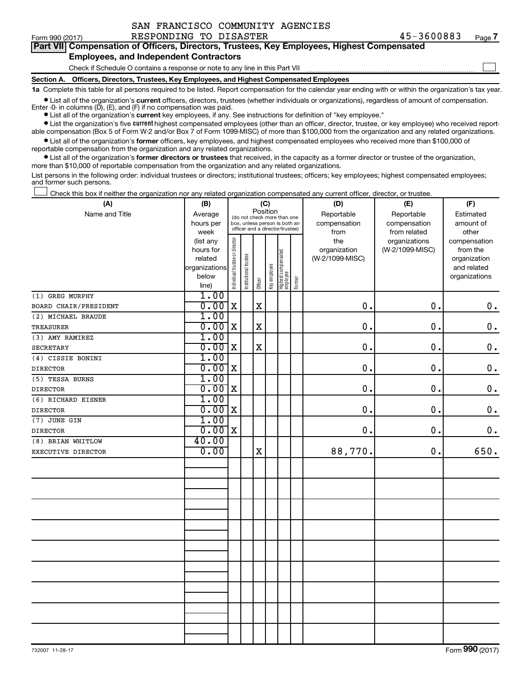| SAN FRANCISCO COMMUNITY AGENCIES |  |
|----------------------------------|--|
|                                  |  |

 $\Box$ 

| --------------- |                                                                                            |
|-----------------|--------------------------------------------------------------------------------------------|
|                 | Part VII Compensation of Officers, Directors, Trustees, Key Employees, Highest Compensated |
|                 | <b>Employees, and Independent Contractors</b>                                              |

#### Check if Schedule O contains a response or note to any line in this Part VII

**Section A. Officers, Directors, Trustees, Key Employees, and Highest Compensated Employees**

**1a**  Complete this table for all persons required to be listed. Report compensation for the calendar year ending with or within the organization's tax year.

**•** List all of the organization's current officers, directors, trustees (whether individuals or organizations), regardless of amount of compensation.

**•** List all of the organization's **current** key employees, if any. See instructions for definition of "key employee." Enter -0- in columns  $(D)$ ,  $(E)$ , and  $(F)$  if no compensation was paid.

**•** List the organization's five current highest compensated employees (other than an officer, director, trustee, or key employee) who received report-

**•** List all of the organization's former officers, key employees, and highest compensated employees who received more than \$100,000 of able compensation (Box 5 of Form W-2 and/or Box 7 of Form 1099-MISC) of more than \$100,000 from the organization and any related organizations. reportable compensation from the organization and any related organizations.

**•** List all of the organization's former directors or trustees that received, in the capacity as a former director or trustee of the organization, more than \$10,000 of reportable compensation from the organization and any related organizations.

List persons in the following order: individual trustees or directors; institutional trustees; officers; key employees; highest compensated employees; and former such persons.

|  |  |  | Check this box if neither the organization nor any related organization compensated any current officer, director, or trustee. |  |  |
|--|--|--|--------------------------------------------------------------------------------------------------------------------------------|--|--|
|  |  |  |                                                                                                                                |  |  |

| (A)                   | (B)            | (C)                            |                                         |             |              |                                   |        | (D)             | (E)             | (F)           |  |  |
|-----------------------|----------------|--------------------------------|-----------------------------------------|-------------|--------------|-----------------------------------|--------|-----------------|-----------------|---------------|--|--|
| Name and Title        | Average        |                                | Position<br>(do not check more than one |             |              |                                   |        | Reportable      | Reportable      | Estimated     |  |  |
|                       | hours per      |                                |                                         |             |              | box, unless person is both an     |        | compensation    | compensation    | amount of     |  |  |
|                       | week           |                                |                                         |             |              | officer and a director/trustee)   |        | from            | from related    | other         |  |  |
|                       | (list any      |                                |                                         |             |              |                                   |        | the             | organizations   | compensation  |  |  |
|                       | hours for      |                                |                                         |             |              |                                   |        | organization    | (W-2/1099-MISC) | from the      |  |  |
|                       | related        |                                |                                         |             |              |                                   |        | (W-2/1099-MISC) |                 | organization  |  |  |
|                       | organizations  |                                |                                         |             |              |                                   |        |                 |                 | and related   |  |  |
|                       | below<br>line) | Individual trustee or director | Institutional trustee                   | Officer     | Key employee | Highest compensated<br>  employee | Former |                 |                 | organizations |  |  |
| (1) GREG MURPHY       | 1.00           |                                |                                         |             |              |                                   |        |                 |                 |               |  |  |
| BOARD CHAIR/PRESIDENT | 0.00           | $\mathbf X$                    |                                         | $\mathbf x$ |              |                                   |        | 0.              | 0.              | $\mathbf 0$ . |  |  |
| (2) MICHAEL BRAUDE    | 1.00           |                                |                                         |             |              |                                   |        |                 |                 |               |  |  |
| <b>TREASURER</b>      | 0.00           | $\mathbf X$                    |                                         | $\mathbf X$ |              |                                   |        | 0.              | 0.              | $0$ .         |  |  |
| (3) AMY RAMIREZ       | 1.00           |                                |                                         |             |              |                                   |        |                 |                 |               |  |  |
| <b>SECRETARY</b>      | 0.00           | $\mathbf X$                    |                                         | $\mathbf X$ |              |                                   |        | 0.              | $\mathbf 0$ .   | $\mathbf 0$ . |  |  |
| (4) CISSIE BONINI     | 1.00           |                                |                                         |             |              |                                   |        |                 |                 |               |  |  |
| <b>DIRECTOR</b>       | 0.00           | X                              |                                         |             |              |                                   |        | $\mathbf 0$ .   | 0.              | $\mathbf 0$ . |  |  |
| (5) TESSA BURNS       | 1.00           |                                |                                         |             |              |                                   |        |                 |                 |               |  |  |
| <b>DIRECTOR</b>       | 0.00           | $\mathbf X$                    |                                         |             |              |                                   |        | 0.              | 0.              | $0$ .         |  |  |
| (6) RICHARD EISNER    | 1.00           |                                |                                         |             |              |                                   |        |                 |                 |               |  |  |
| <b>DIRECTOR</b>       | 0.00           | X                              |                                         |             |              |                                   |        | $\mathbf 0$ .   | 0.              | $\mathbf 0$ . |  |  |
| (7) JUNE GIN          | 1.00           |                                |                                         |             |              |                                   |        |                 |                 |               |  |  |
| <b>DIRECTOR</b>       | 0.00           | $\mathbf X$                    |                                         |             |              |                                   |        | $\mathbf 0$ .   | $\mathbf 0$ .   | $0$ .         |  |  |
| (8) BRIAN WHITLOW     | 40.00          |                                |                                         |             |              |                                   |        |                 |                 |               |  |  |
| EXECUTIVE DIRECTOR    | 0.00           |                                |                                         | $\mathbf X$ |              |                                   |        | 88,770.         | 0.              | 650.          |  |  |
|                       |                |                                |                                         |             |              |                                   |        |                 |                 |               |  |  |
|                       |                |                                |                                         |             |              |                                   |        |                 |                 |               |  |  |
|                       |                |                                |                                         |             |              |                                   |        |                 |                 |               |  |  |
|                       |                |                                |                                         |             |              |                                   |        |                 |                 |               |  |  |
|                       |                |                                |                                         |             |              |                                   |        |                 |                 |               |  |  |
|                       |                |                                |                                         |             |              |                                   |        |                 |                 |               |  |  |
|                       |                |                                |                                         |             |              |                                   |        |                 |                 |               |  |  |
|                       |                |                                |                                         |             |              |                                   |        |                 |                 |               |  |  |
|                       |                |                                |                                         |             |              |                                   |        |                 |                 |               |  |  |
|                       |                |                                |                                         |             |              |                                   |        |                 |                 |               |  |  |
|                       |                |                                |                                         |             |              |                                   |        |                 |                 |               |  |  |
|                       |                |                                |                                         |             |              |                                   |        |                 |                 |               |  |  |
|                       |                |                                |                                         |             |              |                                   |        |                 |                 |               |  |  |
|                       |                |                                |                                         |             |              |                                   |        |                 |                 |               |  |  |
|                       |                |                                |                                         |             |              |                                   |        |                 |                 |               |  |  |
|                       |                |                                |                                         |             |              |                                   |        |                 |                 |               |  |  |
|                       |                |                                |                                         |             |              |                                   |        |                 |                 |               |  |  |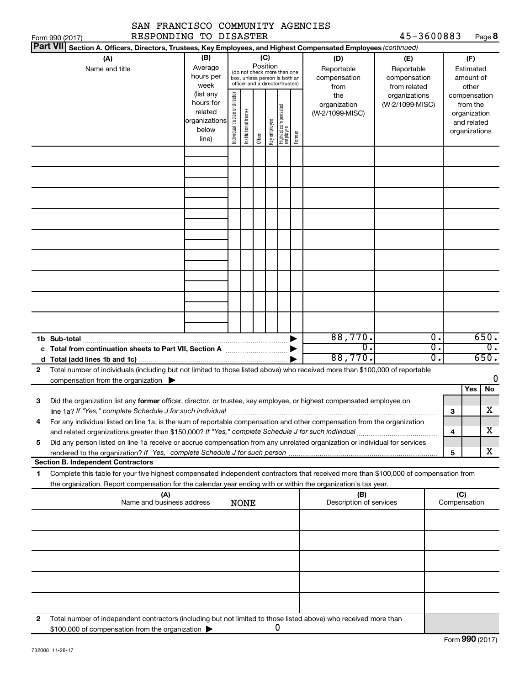|                 | SAN FRANCISCO COMMUNITY AGENCIES                                                                                                                                                                                                                       |                                                                      |                                |                       |          |              |                                                                                                 |        |                                           |                                                   |                                                 |     |                                                                          |
|-----------------|--------------------------------------------------------------------------------------------------------------------------------------------------------------------------------------------------------------------------------------------------------|----------------------------------------------------------------------|--------------------------------|-----------------------|----------|--------------|-------------------------------------------------------------------------------------------------|--------|-------------------------------------------|---------------------------------------------------|-------------------------------------------------|-----|--------------------------------------------------------------------------|
| Form 990 (2017) | RESPONDING TO DISASTER                                                                                                                                                                                                                                 |                                                                      |                                |                       |          |              |                                                                                                 |        |                                           | 45-3600883                                        |                                                 |     | Page 8                                                                   |
| <b>Part VII</b> | Section A. Officers, Directors, Trustees, Key Employees, and Highest Compensated Employees (continued)                                                                                                                                                 |                                                                      |                                |                       |          |              |                                                                                                 |        |                                           |                                                   |                                                 |     |                                                                          |
|                 | (A)<br>Name and title                                                                                                                                                                                                                                  | (B)<br>Average<br>hours per<br>week                                  |                                |                       | Position | (C)          | (do not check more than one<br>box, unless person is both an<br>officer and a director/trustee) |        | (D)<br>Reportable<br>compensation<br>from | (E)<br>Reportable<br>compensation<br>from related |                                                 |     | (F)<br>Estimated<br>amount of<br>other                                   |
|                 |                                                                                                                                                                                                                                                        | (list any<br>hours for<br>related<br>organizations<br>below<br>line) | Individual trustee or director | Institutional trustee | Officer  | Key employee | Highest compensated<br>  employee                                                               | Former | the<br>organization<br>(W-2/1099-MISC)    | organizations<br>(W-2/1099-MISC)                  |                                                 |     | compensation<br>from the<br>organization<br>and related<br>organizations |
|                 |                                                                                                                                                                                                                                                        |                                                                      |                                |                       |          |              |                                                                                                 |        |                                           |                                                   |                                                 |     |                                                                          |
|                 |                                                                                                                                                                                                                                                        |                                                                      |                                |                       |          |              |                                                                                                 |        |                                           |                                                   |                                                 |     |                                                                          |
|                 |                                                                                                                                                                                                                                                        |                                                                      |                                |                       |          |              |                                                                                                 |        |                                           |                                                   |                                                 |     |                                                                          |
|                 |                                                                                                                                                                                                                                                        |                                                                      |                                |                       |          |              |                                                                                                 |        |                                           |                                                   |                                                 |     |                                                                          |
|                 |                                                                                                                                                                                                                                                        |                                                                      |                                |                       |          |              |                                                                                                 |        |                                           |                                                   |                                                 |     |                                                                          |
|                 |                                                                                                                                                                                                                                                        |                                                                      |                                |                       |          |              |                                                                                                 |        |                                           |                                                   |                                                 |     |                                                                          |
|                 | 1b Sub-total                                                                                                                                                                                                                                           |                                                                      |                                |                       |          |              |                                                                                                 |        | 88,770.<br>σ.                             |                                                   | $\overline{0}$ .<br>$\overline{\mathfrak{o}}$ . |     | 650.<br>$\overline{0}$ .                                                 |
|                 |                                                                                                                                                                                                                                                        |                                                                      |                                |                       |          |              |                                                                                                 |        | 88,770.                                   |                                                   | σ.                                              |     | 650.                                                                     |
| $\mathbf{2}$    | Total number of individuals (including but not limited to those listed above) who received more than \$100,000 of reportable<br>compensation from the organization $\blacktriangleright$                                                               |                                                                      |                                |                       |          |              |                                                                                                 |        |                                           |                                                   |                                                 |     | 0                                                                        |
|                 |                                                                                                                                                                                                                                                        |                                                                      |                                |                       |          |              |                                                                                                 |        |                                           |                                                   |                                                 |     | No<br>Yes                                                                |
| з               | Did the organization list any former officer, director, or trustee, key employee, or highest compensated employee on                                                                                                                                   |                                                                      |                                |                       |          |              |                                                                                                 |        |                                           |                                                   |                                                 |     | $\overline{\text{X}}$                                                    |
| 4               | line 1a? If "Yes," complete Schedule J for such individual manufactured content content for the complete schedu<br>For any individual listed on line 1a, is the sum of reportable compensation and other compensation from the organization            |                                                                      |                                |                       |          |              |                                                                                                 |        |                                           |                                                   |                                                 | З   |                                                                          |
|                 |                                                                                                                                                                                                                                                        |                                                                      |                                |                       |          |              |                                                                                                 |        |                                           |                                                   |                                                 | 4   | X.                                                                       |
| 5               | Did any person listed on line 1a receive or accrue compensation from any unrelated organization or individual for services                                                                                                                             |                                                                      |                                |                       |          |              |                                                                                                 |        |                                           |                                                   |                                                 | 5   | x                                                                        |
|                 | <b>Section B. Independent Contractors</b>                                                                                                                                                                                                              |                                                                      |                                |                       |          |              |                                                                                                 |        |                                           |                                                   |                                                 |     |                                                                          |
| 1               | Complete this table for your five highest compensated independent contractors that received more than \$100,000 of compensation from<br>the organization. Report compensation for the calendar year ending with or within the organization's tax year. |                                                                      |                                |                       |          |              |                                                                                                 |        |                                           |                                                   |                                                 |     |                                                                          |
|                 | (A)<br>Name and business address                                                                                                                                                                                                                       |                                                                      |                                | NONE                  |          |              |                                                                                                 |        | (B)<br>Description of services            |                                                   |                                                 | (C) | Compensation                                                             |
|                 |                                                                                                                                                                                                                                                        |                                                                      |                                |                       |          |              |                                                                                                 |        |                                           |                                                   |                                                 |     |                                                                          |
|                 |                                                                                                                                                                                                                                                        |                                                                      |                                |                       |          |              |                                                                                                 |        |                                           |                                                   |                                                 |     |                                                                          |
|                 |                                                                                                                                                                                                                                                        |                                                                      |                                |                       |          |              |                                                                                                 |        |                                           |                                                   |                                                 |     |                                                                          |
|                 |                                                                                                                                                                                                                                                        |                                                                      |                                |                       |          |              |                                                                                                 |        |                                           |                                                   |                                                 |     |                                                                          |
|                 |                                                                                                                                                                                                                                                        |                                                                      |                                |                       |          |              |                                                                                                 |        |                                           |                                                   |                                                 |     |                                                                          |
| 2               | Total number of independent contractors (including but not limited to those listed above) who received more than<br>\$100,000 of compensation from the organization                                                                                    |                                                                      |                                |                       |          |              | 0                                                                                               |        |                                           |                                                   |                                                 |     |                                                                          |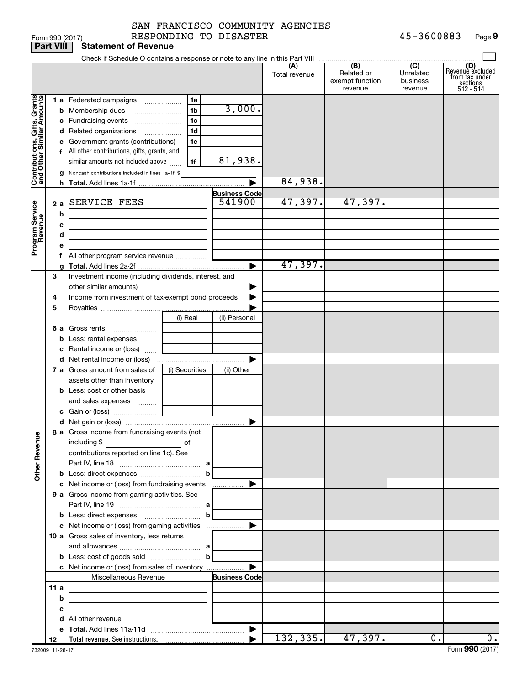|                 | SAN FRANCISCO COMMUNITY AGENCIES |  |            |      |
|-----------------|----------------------------------|--|------------|------|
| Form 990 (2017) | RESPONDING TO DISASTER           |  | 45-3600883 | Page |

|                                                           | <b>Part VIII</b> | <b>Statement of Revenue</b>                                                                                                                                                                                                                                                                        |                                                          |                      |                      |                                                 |                                                    |                                                                    |
|-----------------------------------------------------------|------------------|----------------------------------------------------------------------------------------------------------------------------------------------------------------------------------------------------------------------------------------------------------------------------------------------------|----------------------------------------------------------|----------------------|----------------------|-------------------------------------------------|----------------------------------------------------|--------------------------------------------------------------------|
|                                                           |                  |                                                                                                                                                                                                                                                                                                    |                                                          |                      |                      |                                                 |                                                    |                                                                    |
|                                                           |                  |                                                                                                                                                                                                                                                                                                    |                                                          |                      | (A)<br>Total revenue | (B)<br>Related or<br>exempt function<br>revenue | $\overline{C}$<br>Unrelated<br>business<br>revenue | (D)<br>Revenue excluded<br>from tax under<br>sections<br>512 - 514 |
| Contributions, Gifts, Grants<br>and Other Similar Amounts |                  | <b>1 a</b> Federated campaigns<br><b>b</b> Membership dues<br>c Fundraising events<br>d Related organizations<br>e Government grants (contributions)<br>f All other contributions, gifts, grants, and<br>similar amounts not included above<br>g Noncash contributions included in lines 1a-1f: \$ | 1a<br>1 <sub>b</sub><br>1c<br>1 <sub>d</sub><br>1e<br>1f | 3,000.<br>81,938.    | 84,938.              |                                                 |                                                    |                                                                    |
|                                                           |                  |                                                                                                                                                                                                                                                                                                    |                                                          | <b>Business Code</b> |                      |                                                 |                                                    |                                                                    |
| Program Service<br>Revenue                                | 2a<br>b          | <b>SERVICE FEES</b>                                                                                                                                                                                                                                                                                |                                                          | 541900               | 47,397.              | 47,397.                                         |                                                    |                                                                    |
|                                                           | c                | the control of the control of the control of the control of the control of                                                                                                                                                                                                                         |                                                          |                      |                      |                                                 |                                                    |                                                                    |
|                                                           | d                | the control of the control of the control of the control of                                                                                                                                                                                                                                        |                                                          |                      |                      |                                                 |                                                    |                                                                    |
|                                                           |                  |                                                                                                                                                                                                                                                                                                    |                                                          |                      |                      |                                                 |                                                    |                                                                    |
|                                                           | τ.               | All other program service revenue <i></i>                                                                                                                                                                                                                                                          |                                                          | ►                    | 47,397.              |                                                 |                                                    |                                                                    |
|                                                           | 3<br>4           | Investment income (including dividends, interest, and<br>Income from investment of tax-exempt bond proceeds                                                                                                                                                                                        |                                                          |                      |                      |                                                 |                                                    |                                                                    |
|                                                           | 5                |                                                                                                                                                                                                                                                                                                    |                                                          |                      |                      |                                                 |                                                    |                                                                    |
|                                                           |                  | <b>6 a</b> Gross rents                                                                                                                                                                                                                                                                             | (i) Real                                                 | (ii) Personal        |                      |                                                 |                                                    |                                                                    |
|                                                           |                  | <b>b</b> Less: rental expenses<br>c Rental income or (loss)                                                                                                                                                                                                                                        |                                                          |                      |                      |                                                 |                                                    |                                                                    |
|                                                           |                  |                                                                                                                                                                                                                                                                                                    |                                                          |                      |                      |                                                 |                                                    |                                                                    |
|                                                           |                  | 7 a Gross amount from sales of                                                                                                                                                                                                                                                                     | (i) Securities                                           | (ii) Other           |                      |                                                 |                                                    |                                                                    |
|                                                           |                  | assets other than inventory                                                                                                                                                                                                                                                                        |                                                          |                      |                      |                                                 |                                                    |                                                                    |
|                                                           |                  | <b>b</b> Less: cost or other basis<br>and sales expenses                                                                                                                                                                                                                                           |                                                          |                      |                      |                                                 |                                                    |                                                                    |
|                                                           |                  |                                                                                                                                                                                                                                                                                                    |                                                          |                      |                      |                                                 |                                                    |                                                                    |
|                                                           |                  | 8 a Gross income from fundraising events (not                                                                                                                                                                                                                                                      |                                                          | ▶                    |                      |                                                 |                                                    |                                                                    |
| <b>Other Revenue</b>                                      |                  | including \$<br><u> 1989 - Johann Barbara, martx</u><br>contributions reported on line 1c). See                                                                                                                                                                                                    | of                                                       |                      |                      |                                                 |                                                    |                                                                    |
|                                                           |                  | c Net income or (loss) from fundraising events                                                                                                                                                                                                                                                     |                                                          | .                    |                      |                                                 |                                                    |                                                                    |
|                                                           |                  | 9 a Gross income from gaming activities. See                                                                                                                                                                                                                                                       |                                                          |                      |                      |                                                 |                                                    |                                                                    |
|                                                           |                  | <b>b</b> Less: direct expenses <b>manually b</b>                                                                                                                                                                                                                                                   |                                                          |                      |                      |                                                 |                                                    |                                                                    |
|                                                           |                  |                                                                                                                                                                                                                                                                                                    |                                                          |                      |                      |                                                 |                                                    |                                                                    |
|                                                           |                  | 10 a Gross sales of inventory, less returns                                                                                                                                                                                                                                                        |                                                          |                      |                      |                                                 |                                                    |                                                                    |
|                                                           |                  | <b>b</b> Less: cost of goods sold $\ldots$ <b>b</b>                                                                                                                                                                                                                                                |                                                          |                      |                      |                                                 |                                                    |                                                                    |
|                                                           |                  | c Net income or (loss) from sales of inventory                                                                                                                                                                                                                                                     |                                                          |                      |                      |                                                 |                                                    |                                                                    |
|                                                           |                  | Miscellaneous Revenue                                                                                                                                                                                                                                                                              |                                                          | <b>Business Code</b> |                      |                                                 |                                                    |                                                                    |
|                                                           | 11 $a$           |                                                                                                                                                                                                                                                                                                    |                                                          |                      |                      |                                                 |                                                    |                                                                    |
|                                                           | b                | <u> 1989 - Johann Barbara, martin amerikan basar dan berasal dalam basar dalam basar dalam basar dalam basar dala</u>                                                                                                                                                                              |                                                          |                      |                      |                                                 |                                                    |                                                                    |
|                                                           | с                | the control of the control of the control of the control of                                                                                                                                                                                                                                        |                                                          |                      |                      |                                                 |                                                    |                                                                    |
|                                                           |                  |                                                                                                                                                                                                                                                                                                    |                                                          |                      |                      |                                                 |                                                    |                                                                    |
|                                                           |                  |                                                                                                                                                                                                                                                                                                    |                                                          |                      |                      |                                                 |                                                    |                                                                    |
|                                                           | 12               |                                                                                                                                                                                                                                                                                                    |                                                          |                      | 132, 335.            | 47,397.                                         | $0$ .                                              | $0 \cdot$                                                          |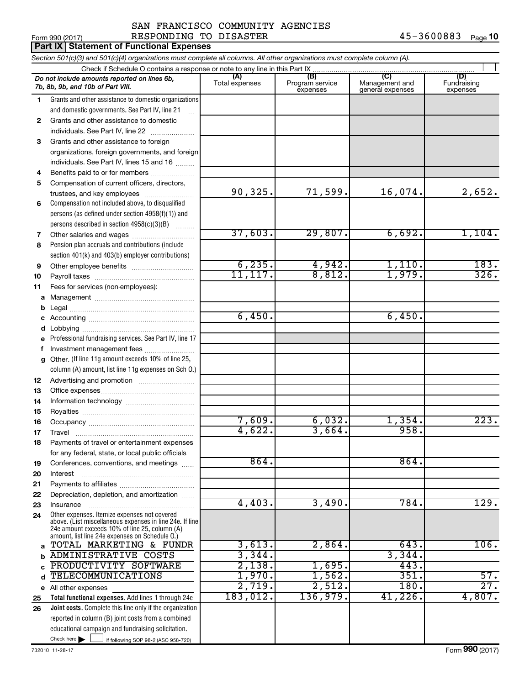# SAN FRANCISCO COMMUNITY AGENCIES

|              | RESPONDING TO DISASTER<br>Form 990 (2017)                                                                                                                                                                   |                       |                                    |                                    | 45-3600883<br>Page 10   |
|--------------|-------------------------------------------------------------------------------------------------------------------------------------------------------------------------------------------------------------|-----------------------|------------------------------------|------------------------------------|-------------------------|
|              | <b>Part IX   Statement of Functional Expenses</b>                                                                                                                                                           |                       |                                    |                                    |                         |
|              | Section 501(c)(3) and 501(c)(4) organizations must complete all columns. All other organizations must complete column (A).                                                                                  |                       |                                    |                                    |                         |
|              |                                                                                                                                                                                                             |                       |                                    |                                    | (D)                     |
|              | Do not include amounts reported on lines 6b,<br>7b, 8b, 9b, and 10b of Part VIII.                                                                                                                           | (A)<br>Total expenses | (B)<br>Program service<br>expenses | Management and<br>general expenses | Fundraising<br>expenses |
| 1.           | Grants and other assistance to domestic organizations<br>and domestic governments. See Part IV, line 21                                                                                                     |                       |                                    |                                    |                         |
| $\mathbf{2}$ | Grants and other assistance to domestic                                                                                                                                                                     |                       |                                    |                                    |                         |
|              | individuals. See Part IV, line 22                                                                                                                                                                           |                       |                                    |                                    |                         |
| 3            | Grants and other assistance to foreign                                                                                                                                                                      |                       |                                    |                                    |                         |
|              | organizations, foreign governments, and foreign                                                                                                                                                             |                       |                                    |                                    |                         |
|              | individuals. See Part IV, lines 15 and 16                                                                                                                                                                   |                       |                                    |                                    |                         |
| 4            | Benefits paid to or for members                                                                                                                                                                             |                       |                                    |                                    |                         |
| 5            | Compensation of current officers, directors,                                                                                                                                                                |                       |                                    |                                    |                         |
|              | trustees, and key employees                                                                                                                                                                                 | 90, 325.              | 71,599.                            | 16,074.                            | 2,652.                  |
| 6            | Compensation not included above, to disqualified                                                                                                                                                            |                       |                                    |                                    |                         |
|              | persons (as defined under section 4958(f)(1)) and                                                                                                                                                           |                       |                                    |                                    |                         |
|              | persons described in section 4958(c)(3)(B)                                                                                                                                                                  |                       |                                    |                                    |                         |
| 7            |                                                                                                                                                                                                             | 37,603.               | 29,807.                            | 6,692.                             | 1,104.                  |
| 8            | Other salaries and wages<br>Pension plan accruals and contributions (include                                                                                                                                |                       |                                    |                                    |                         |
|              | section 401(k) and 403(b) employer contributions)                                                                                                                                                           |                       |                                    |                                    |                         |
| 9            |                                                                                                                                                                                                             | 6, 235.               | 4,942.                             | 1,110.                             | 183.                    |
| 10           |                                                                                                                                                                                                             | 11, 117.              | 8,812.                             | 1,979.                             | 326.                    |
| 11           | Fees for services (non-employees):                                                                                                                                                                          |                       |                                    |                                    |                         |
| а            |                                                                                                                                                                                                             |                       |                                    |                                    |                         |
| b            |                                                                                                                                                                                                             |                       |                                    |                                    |                         |
| с            |                                                                                                                                                                                                             | 6,450.                |                                    | 6,450.                             |                         |
| d            |                                                                                                                                                                                                             |                       |                                    |                                    |                         |
| е            | Professional fundraising services. See Part IV, line 17                                                                                                                                                     |                       |                                    |                                    |                         |
| f            | Investment management fees                                                                                                                                                                                  |                       |                                    |                                    |                         |
| g            | Other. (If line 11g amount exceeds 10% of line 25,                                                                                                                                                          |                       |                                    |                                    |                         |
|              | column (A) amount, list line 11g expenses on Sch O.)                                                                                                                                                        |                       |                                    |                                    |                         |
| 12           |                                                                                                                                                                                                             |                       |                                    |                                    |                         |
| 13           |                                                                                                                                                                                                             |                       |                                    |                                    |                         |
| 14           |                                                                                                                                                                                                             |                       |                                    |                                    |                         |
| 15           |                                                                                                                                                                                                             |                       |                                    |                                    |                         |
| 16           |                                                                                                                                                                                                             | 7,609.                | 6,032.                             | 1,354.                             | 223.                    |
| 17           | Travel                                                                                                                                                                                                      | 4,622.                | 3,664.                             | 958.                               |                         |
| 18           | Payments of travel or entertainment expenses                                                                                                                                                                |                       |                                    |                                    |                         |
|              | for any federal, state, or local public officials                                                                                                                                                           |                       |                                    |                                    |                         |
| 19           | Conferences, conventions, and meetings                                                                                                                                                                      | 864.                  |                                    | 864.                               |                         |
| 20           | Interest                                                                                                                                                                                                    |                       |                                    |                                    |                         |
| 21           |                                                                                                                                                                                                             |                       |                                    |                                    |                         |
| 22           | Depreciation, depletion, and amortization                                                                                                                                                                   |                       |                                    |                                    |                         |
| 23           | Insurance                                                                                                                                                                                                   | 4,403.                | 3,490.                             | 784.                               | 129.                    |
| 24           | Other expenses. Itemize expenses not covered<br>above. (List miscellaneous expenses in line 24e. If line<br>24e amount exceeds 10% of line 25, column (A)<br>amount, list line 24e expenses on Schedule O.) |                       |                                    |                                    |                         |
| a            | TOTAL MARKETING & FUNDR                                                                                                                                                                                     | 3,613.                | 2,864.                             | 643.                               | $\overline{106}$ .      |
| $\mathbf b$  | <b>ADMINISTRATIVE COSTS</b>                                                                                                                                                                                 | 3,344.                |                                    | 3,344.                             |                         |
| C            | PRODUCTIVITY SOFTWARE                                                                                                                                                                                       | 2,138.                | 1,695.                             | 443.                               |                         |
| d            | <b>TELECOMMUNICATIONS</b>                                                                                                                                                                                   | 1,970.                | 1,562.                             | 351.                               | 57.                     |
|              | e All other expenses                                                                                                                                                                                        | 2,719.                | 2,512.                             | 180.                               | 27.                     |
| 25           | Total functional expenses. Add lines 1 through 24e                                                                                                                                                          | 183,012.              | 136,979.                           | 41,226.                            | 4,807.                  |
| 26           | Joint costs. Complete this line only if the organization                                                                                                                                                    |                       |                                    |                                    |                         |
|              | reported in column (B) joint costs from a combined                                                                                                                                                          |                       |                                    |                                    |                         |
|              | educational campaign and fundraising solicitation.                                                                                                                                                          |                       |                                    |                                    |                         |
|              | Check here $\blacktriangleright$<br>if following SOP 98-2 (ASC 958-720)                                                                                                                                     |                       |                                    |                                    |                         |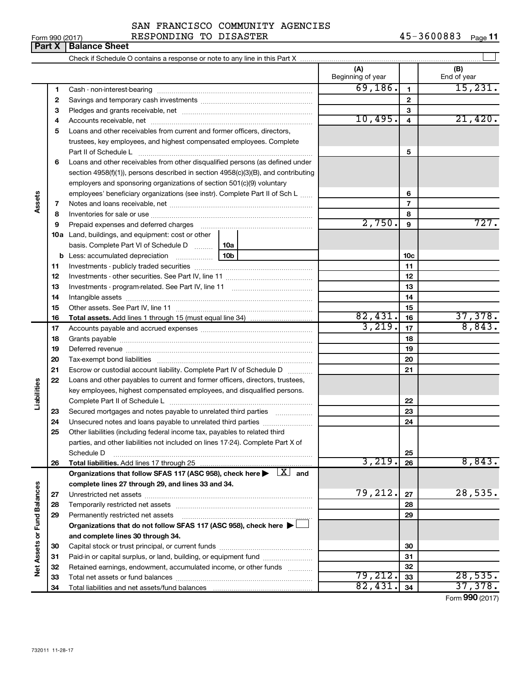|                 | FRANCISCO COMMUNITY AGENCIES<br>SAN |                       |
|-----------------|-------------------------------------|-----------------------|
| Form 990 (2017) | RESPONDING TO DISASTER              | 45-3600883<br>Page 11 |

| (A)<br>(B)<br>Beginning of year<br>End of year<br>69, 186.<br>15,231.<br>1<br>1<br>$\mathbf{2}$<br>2<br>З<br>3<br>10,495.<br>21,420.<br>4<br>4<br>Loans and other receivables from current and former officers, directors,<br>5<br>trustees, key employees, and highest compensated employees. Complete<br>5<br>Part II of Schedule Latin and Communication of Schedule Latin and Communication of Schedule Latin and Schedule<br>Loans and other receivables from other disqualified persons (as defined under<br>6<br>section 4958(f)(1)), persons described in section $4958(c)(3)(B)$ , and contributing<br>employers and sponsoring organizations of section 501(c)(9) voluntary<br>employees' beneficiary organizations (see instr). Complete Part II of Sch L<br>6<br>Assets<br>7<br>7<br>8<br>8<br>2,750.<br>727.<br>9<br>9<br>10a Land, buildings, and equipment: cost or other<br>basis. Complete Part VI of Schedule D<br>10a<br>10 <sub>b</sub><br>10 <sub>c</sub><br>11<br>11<br>12<br>12<br>13<br>13<br>14<br>14<br>15<br>15<br>82,431.<br>37,378.<br>16<br>16<br>3,219.<br>8,843.<br>17<br>17<br>18<br>18<br>19<br>19<br>20<br>20<br>21<br>Escrow or custodial account liability. Complete Part IV of Schedule D<br>21<br>22<br>Loans and other payables to current and former officers, directors, trustees,<br>Liabilities<br>key employees, highest compensated employees, and disqualified persons.<br>22<br>23<br>23<br>Secured mortgages and notes payable to unrelated third parties <i>manumum</i><br>Unsecured notes and loans payable to unrelated third parties<br>24<br>24<br>25<br>Other liabilities (including federal income tax, payables to related third<br>parties, and other liabilities not included on lines 17-24). Complete Part X of<br>Schedule D<br>25<br>3,219.<br>8,843.<br>Total liabilities. Add lines 17 through 25<br>26<br>26<br>Organizations that follow SFAS 117 (ASC 958), check here $\blacktriangleright \begin{array}{c} \boxed{X} \\ \end{array}$ and<br>complete lines 27 through 29, and lines 33 and 34.<br>Net Assets or Fund Balances<br>28,535.<br>79,212.<br>27<br>27<br>28<br>28<br>29<br>Permanently restricted net assets<br>29<br>Organizations that do not follow SFAS 117 (ASC 958), check here $\blacktriangleright$<br>and complete lines 30 through 34.<br>30<br>30<br>Paid-in or capital surplus, or land, building, or equipment fund<br>31<br>31<br>Retained earnings, endowment, accumulated income, or other funds<br>32<br>32<br>79,212.<br>28,535.<br>33<br>33<br>82,431<br>37,378.<br>34<br>34 |  |  |  |  |                 |
|---------------------------------------------------------------------------------------------------------------------------------------------------------------------------------------------------------------------------------------------------------------------------------------------------------------------------------------------------------------------------------------------------------------------------------------------------------------------------------------------------------------------------------------------------------------------------------------------------------------------------------------------------------------------------------------------------------------------------------------------------------------------------------------------------------------------------------------------------------------------------------------------------------------------------------------------------------------------------------------------------------------------------------------------------------------------------------------------------------------------------------------------------------------------------------------------------------------------------------------------------------------------------------------------------------------------------------------------------------------------------------------------------------------------------------------------------------------------------------------------------------------------------------------------------------------------------------------------------------------------------------------------------------------------------------------------------------------------------------------------------------------------------------------------------------------------------------------------------------------------------------------------------------------------------------------------------------------------------------------------------------------------------------------------------------------------------------------------------------------------------------------------------------------------------------------------------------------------------------------------------------------------------------------------------------------------------------------------------------------------------------------------------------------------------------------------------------------------------------------------------------------------------------------------------------------------------------|--|--|--|--|-----------------|
|                                                                                                                                                                                                                                                                                                                                                                                                                                                                                                                                                                                                                                                                                                                                                                                                                                                                                                                                                                                                                                                                                                                                                                                                                                                                                                                                                                                                                                                                                                                                                                                                                                                                                                                                                                                                                                                                                                                                                                                                                                                                                                                                                                                                                                                                                                                                                                                                                                                                                                                                                                                 |  |  |  |  |                 |
|                                                                                                                                                                                                                                                                                                                                                                                                                                                                                                                                                                                                                                                                                                                                                                                                                                                                                                                                                                                                                                                                                                                                                                                                                                                                                                                                                                                                                                                                                                                                                                                                                                                                                                                                                                                                                                                                                                                                                                                                                                                                                                                                                                                                                                                                                                                                                                                                                                                                                                                                                                                 |  |  |  |  |                 |
|                                                                                                                                                                                                                                                                                                                                                                                                                                                                                                                                                                                                                                                                                                                                                                                                                                                                                                                                                                                                                                                                                                                                                                                                                                                                                                                                                                                                                                                                                                                                                                                                                                                                                                                                                                                                                                                                                                                                                                                                                                                                                                                                                                                                                                                                                                                                                                                                                                                                                                                                                                                 |  |  |  |  |                 |
|                                                                                                                                                                                                                                                                                                                                                                                                                                                                                                                                                                                                                                                                                                                                                                                                                                                                                                                                                                                                                                                                                                                                                                                                                                                                                                                                                                                                                                                                                                                                                                                                                                                                                                                                                                                                                                                                                                                                                                                                                                                                                                                                                                                                                                                                                                                                                                                                                                                                                                                                                                                 |  |  |  |  |                 |
|                                                                                                                                                                                                                                                                                                                                                                                                                                                                                                                                                                                                                                                                                                                                                                                                                                                                                                                                                                                                                                                                                                                                                                                                                                                                                                                                                                                                                                                                                                                                                                                                                                                                                                                                                                                                                                                                                                                                                                                                                                                                                                                                                                                                                                                                                                                                                                                                                                                                                                                                                                                 |  |  |  |  |                 |
|                                                                                                                                                                                                                                                                                                                                                                                                                                                                                                                                                                                                                                                                                                                                                                                                                                                                                                                                                                                                                                                                                                                                                                                                                                                                                                                                                                                                                                                                                                                                                                                                                                                                                                                                                                                                                                                                                                                                                                                                                                                                                                                                                                                                                                                                                                                                                                                                                                                                                                                                                                                 |  |  |  |  |                 |
|                                                                                                                                                                                                                                                                                                                                                                                                                                                                                                                                                                                                                                                                                                                                                                                                                                                                                                                                                                                                                                                                                                                                                                                                                                                                                                                                                                                                                                                                                                                                                                                                                                                                                                                                                                                                                                                                                                                                                                                                                                                                                                                                                                                                                                                                                                                                                                                                                                                                                                                                                                                 |  |  |  |  |                 |
|                                                                                                                                                                                                                                                                                                                                                                                                                                                                                                                                                                                                                                                                                                                                                                                                                                                                                                                                                                                                                                                                                                                                                                                                                                                                                                                                                                                                                                                                                                                                                                                                                                                                                                                                                                                                                                                                                                                                                                                                                                                                                                                                                                                                                                                                                                                                                                                                                                                                                                                                                                                 |  |  |  |  |                 |
|                                                                                                                                                                                                                                                                                                                                                                                                                                                                                                                                                                                                                                                                                                                                                                                                                                                                                                                                                                                                                                                                                                                                                                                                                                                                                                                                                                                                                                                                                                                                                                                                                                                                                                                                                                                                                                                                                                                                                                                                                                                                                                                                                                                                                                                                                                                                                                                                                                                                                                                                                                                 |  |  |  |  |                 |
|                                                                                                                                                                                                                                                                                                                                                                                                                                                                                                                                                                                                                                                                                                                                                                                                                                                                                                                                                                                                                                                                                                                                                                                                                                                                                                                                                                                                                                                                                                                                                                                                                                                                                                                                                                                                                                                                                                                                                                                                                                                                                                                                                                                                                                                                                                                                                                                                                                                                                                                                                                                 |  |  |  |  |                 |
|                                                                                                                                                                                                                                                                                                                                                                                                                                                                                                                                                                                                                                                                                                                                                                                                                                                                                                                                                                                                                                                                                                                                                                                                                                                                                                                                                                                                                                                                                                                                                                                                                                                                                                                                                                                                                                                                                                                                                                                                                                                                                                                                                                                                                                                                                                                                                                                                                                                                                                                                                                                 |  |  |  |  |                 |
|                                                                                                                                                                                                                                                                                                                                                                                                                                                                                                                                                                                                                                                                                                                                                                                                                                                                                                                                                                                                                                                                                                                                                                                                                                                                                                                                                                                                                                                                                                                                                                                                                                                                                                                                                                                                                                                                                                                                                                                                                                                                                                                                                                                                                                                                                                                                                                                                                                                                                                                                                                                 |  |  |  |  |                 |
|                                                                                                                                                                                                                                                                                                                                                                                                                                                                                                                                                                                                                                                                                                                                                                                                                                                                                                                                                                                                                                                                                                                                                                                                                                                                                                                                                                                                                                                                                                                                                                                                                                                                                                                                                                                                                                                                                                                                                                                                                                                                                                                                                                                                                                                                                                                                                                                                                                                                                                                                                                                 |  |  |  |  |                 |
|                                                                                                                                                                                                                                                                                                                                                                                                                                                                                                                                                                                                                                                                                                                                                                                                                                                                                                                                                                                                                                                                                                                                                                                                                                                                                                                                                                                                                                                                                                                                                                                                                                                                                                                                                                                                                                                                                                                                                                                                                                                                                                                                                                                                                                                                                                                                                                                                                                                                                                                                                                                 |  |  |  |  |                 |
|                                                                                                                                                                                                                                                                                                                                                                                                                                                                                                                                                                                                                                                                                                                                                                                                                                                                                                                                                                                                                                                                                                                                                                                                                                                                                                                                                                                                                                                                                                                                                                                                                                                                                                                                                                                                                                                                                                                                                                                                                                                                                                                                                                                                                                                                                                                                                                                                                                                                                                                                                                                 |  |  |  |  |                 |
|                                                                                                                                                                                                                                                                                                                                                                                                                                                                                                                                                                                                                                                                                                                                                                                                                                                                                                                                                                                                                                                                                                                                                                                                                                                                                                                                                                                                                                                                                                                                                                                                                                                                                                                                                                                                                                                                                                                                                                                                                                                                                                                                                                                                                                                                                                                                                                                                                                                                                                                                                                                 |  |  |  |  |                 |
|                                                                                                                                                                                                                                                                                                                                                                                                                                                                                                                                                                                                                                                                                                                                                                                                                                                                                                                                                                                                                                                                                                                                                                                                                                                                                                                                                                                                                                                                                                                                                                                                                                                                                                                                                                                                                                                                                                                                                                                                                                                                                                                                                                                                                                                                                                                                                                                                                                                                                                                                                                                 |  |  |  |  |                 |
|                                                                                                                                                                                                                                                                                                                                                                                                                                                                                                                                                                                                                                                                                                                                                                                                                                                                                                                                                                                                                                                                                                                                                                                                                                                                                                                                                                                                                                                                                                                                                                                                                                                                                                                                                                                                                                                                                                                                                                                                                                                                                                                                                                                                                                                                                                                                                                                                                                                                                                                                                                                 |  |  |  |  |                 |
|                                                                                                                                                                                                                                                                                                                                                                                                                                                                                                                                                                                                                                                                                                                                                                                                                                                                                                                                                                                                                                                                                                                                                                                                                                                                                                                                                                                                                                                                                                                                                                                                                                                                                                                                                                                                                                                                                                                                                                                                                                                                                                                                                                                                                                                                                                                                                                                                                                                                                                                                                                                 |  |  |  |  |                 |
|                                                                                                                                                                                                                                                                                                                                                                                                                                                                                                                                                                                                                                                                                                                                                                                                                                                                                                                                                                                                                                                                                                                                                                                                                                                                                                                                                                                                                                                                                                                                                                                                                                                                                                                                                                                                                                                                                                                                                                                                                                                                                                                                                                                                                                                                                                                                                                                                                                                                                                                                                                                 |  |  |  |  |                 |
|                                                                                                                                                                                                                                                                                                                                                                                                                                                                                                                                                                                                                                                                                                                                                                                                                                                                                                                                                                                                                                                                                                                                                                                                                                                                                                                                                                                                                                                                                                                                                                                                                                                                                                                                                                                                                                                                                                                                                                                                                                                                                                                                                                                                                                                                                                                                                                                                                                                                                                                                                                                 |  |  |  |  |                 |
|                                                                                                                                                                                                                                                                                                                                                                                                                                                                                                                                                                                                                                                                                                                                                                                                                                                                                                                                                                                                                                                                                                                                                                                                                                                                                                                                                                                                                                                                                                                                                                                                                                                                                                                                                                                                                                                                                                                                                                                                                                                                                                                                                                                                                                                                                                                                                                                                                                                                                                                                                                                 |  |  |  |  |                 |
|                                                                                                                                                                                                                                                                                                                                                                                                                                                                                                                                                                                                                                                                                                                                                                                                                                                                                                                                                                                                                                                                                                                                                                                                                                                                                                                                                                                                                                                                                                                                                                                                                                                                                                                                                                                                                                                                                                                                                                                                                                                                                                                                                                                                                                                                                                                                                                                                                                                                                                                                                                                 |  |  |  |  |                 |
|                                                                                                                                                                                                                                                                                                                                                                                                                                                                                                                                                                                                                                                                                                                                                                                                                                                                                                                                                                                                                                                                                                                                                                                                                                                                                                                                                                                                                                                                                                                                                                                                                                                                                                                                                                                                                                                                                                                                                                                                                                                                                                                                                                                                                                                                                                                                                                                                                                                                                                                                                                                 |  |  |  |  |                 |
|                                                                                                                                                                                                                                                                                                                                                                                                                                                                                                                                                                                                                                                                                                                                                                                                                                                                                                                                                                                                                                                                                                                                                                                                                                                                                                                                                                                                                                                                                                                                                                                                                                                                                                                                                                                                                                                                                                                                                                                                                                                                                                                                                                                                                                                                                                                                                                                                                                                                                                                                                                                 |  |  |  |  |                 |
|                                                                                                                                                                                                                                                                                                                                                                                                                                                                                                                                                                                                                                                                                                                                                                                                                                                                                                                                                                                                                                                                                                                                                                                                                                                                                                                                                                                                                                                                                                                                                                                                                                                                                                                                                                                                                                                                                                                                                                                                                                                                                                                                                                                                                                                                                                                                                                                                                                                                                                                                                                                 |  |  |  |  |                 |
|                                                                                                                                                                                                                                                                                                                                                                                                                                                                                                                                                                                                                                                                                                                                                                                                                                                                                                                                                                                                                                                                                                                                                                                                                                                                                                                                                                                                                                                                                                                                                                                                                                                                                                                                                                                                                                                                                                                                                                                                                                                                                                                                                                                                                                                                                                                                                                                                                                                                                                                                                                                 |  |  |  |  |                 |
|                                                                                                                                                                                                                                                                                                                                                                                                                                                                                                                                                                                                                                                                                                                                                                                                                                                                                                                                                                                                                                                                                                                                                                                                                                                                                                                                                                                                                                                                                                                                                                                                                                                                                                                                                                                                                                                                                                                                                                                                                                                                                                                                                                                                                                                                                                                                                                                                                                                                                                                                                                                 |  |  |  |  |                 |
|                                                                                                                                                                                                                                                                                                                                                                                                                                                                                                                                                                                                                                                                                                                                                                                                                                                                                                                                                                                                                                                                                                                                                                                                                                                                                                                                                                                                                                                                                                                                                                                                                                                                                                                                                                                                                                                                                                                                                                                                                                                                                                                                                                                                                                                                                                                                                                                                                                                                                                                                                                                 |  |  |  |  |                 |
|                                                                                                                                                                                                                                                                                                                                                                                                                                                                                                                                                                                                                                                                                                                                                                                                                                                                                                                                                                                                                                                                                                                                                                                                                                                                                                                                                                                                                                                                                                                                                                                                                                                                                                                                                                                                                                                                                                                                                                                                                                                                                                                                                                                                                                                                                                                                                                                                                                                                                                                                                                                 |  |  |  |  |                 |
|                                                                                                                                                                                                                                                                                                                                                                                                                                                                                                                                                                                                                                                                                                                                                                                                                                                                                                                                                                                                                                                                                                                                                                                                                                                                                                                                                                                                                                                                                                                                                                                                                                                                                                                                                                                                                                                                                                                                                                                                                                                                                                                                                                                                                                                                                                                                                                                                                                                                                                                                                                                 |  |  |  |  |                 |
|                                                                                                                                                                                                                                                                                                                                                                                                                                                                                                                                                                                                                                                                                                                                                                                                                                                                                                                                                                                                                                                                                                                                                                                                                                                                                                                                                                                                                                                                                                                                                                                                                                                                                                                                                                                                                                                                                                                                                                                                                                                                                                                                                                                                                                                                                                                                                                                                                                                                                                                                                                                 |  |  |  |  |                 |
|                                                                                                                                                                                                                                                                                                                                                                                                                                                                                                                                                                                                                                                                                                                                                                                                                                                                                                                                                                                                                                                                                                                                                                                                                                                                                                                                                                                                                                                                                                                                                                                                                                                                                                                                                                                                                                                                                                                                                                                                                                                                                                                                                                                                                                                                                                                                                                                                                                                                                                                                                                                 |  |  |  |  |                 |
|                                                                                                                                                                                                                                                                                                                                                                                                                                                                                                                                                                                                                                                                                                                                                                                                                                                                                                                                                                                                                                                                                                                                                                                                                                                                                                                                                                                                                                                                                                                                                                                                                                                                                                                                                                                                                                                                                                                                                                                                                                                                                                                                                                                                                                                                                                                                                                                                                                                                                                                                                                                 |  |  |  |  |                 |
|                                                                                                                                                                                                                                                                                                                                                                                                                                                                                                                                                                                                                                                                                                                                                                                                                                                                                                                                                                                                                                                                                                                                                                                                                                                                                                                                                                                                                                                                                                                                                                                                                                                                                                                                                                                                                                                                                                                                                                                                                                                                                                                                                                                                                                                                                                                                                                                                                                                                                                                                                                                 |  |  |  |  |                 |
|                                                                                                                                                                                                                                                                                                                                                                                                                                                                                                                                                                                                                                                                                                                                                                                                                                                                                                                                                                                                                                                                                                                                                                                                                                                                                                                                                                                                                                                                                                                                                                                                                                                                                                                                                                                                                                                                                                                                                                                                                                                                                                                                                                                                                                                                                                                                                                                                                                                                                                                                                                                 |  |  |  |  |                 |
|                                                                                                                                                                                                                                                                                                                                                                                                                                                                                                                                                                                                                                                                                                                                                                                                                                                                                                                                                                                                                                                                                                                                                                                                                                                                                                                                                                                                                                                                                                                                                                                                                                                                                                                                                                                                                                                                                                                                                                                                                                                                                                                                                                                                                                                                                                                                                                                                                                                                                                                                                                                 |  |  |  |  |                 |
|                                                                                                                                                                                                                                                                                                                                                                                                                                                                                                                                                                                                                                                                                                                                                                                                                                                                                                                                                                                                                                                                                                                                                                                                                                                                                                                                                                                                                                                                                                                                                                                                                                                                                                                                                                                                                                                                                                                                                                                                                                                                                                                                                                                                                                                                                                                                                                                                                                                                                                                                                                                 |  |  |  |  |                 |
|                                                                                                                                                                                                                                                                                                                                                                                                                                                                                                                                                                                                                                                                                                                                                                                                                                                                                                                                                                                                                                                                                                                                                                                                                                                                                                                                                                                                                                                                                                                                                                                                                                                                                                                                                                                                                                                                                                                                                                                                                                                                                                                                                                                                                                                                                                                                                                                                                                                                                                                                                                                 |  |  |  |  |                 |
|                                                                                                                                                                                                                                                                                                                                                                                                                                                                                                                                                                                                                                                                                                                                                                                                                                                                                                                                                                                                                                                                                                                                                                                                                                                                                                                                                                                                                                                                                                                                                                                                                                                                                                                                                                                                                                                                                                                                                                                                                                                                                                                                                                                                                                                                                                                                                                                                                                                                                                                                                                                 |  |  |  |  |                 |
|                                                                                                                                                                                                                                                                                                                                                                                                                                                                                                                                                                                                                                                                                                                                                                                                                                                                                                                                                                                                                                                                                                                                                                                                                                                                                                                                                                                                                                                                                                                                                                                                                                                                                                                                                                                                                                                                                                                                                                                                                                                                                                                                                                                                                                                                                                                                                                                                                                                                                                                                                                                 |  |  |  |  |                 |
|                                                                                                                                                                                                                                                                                                                                                                                                                                                                                                                                                                                                                                                                                                                                                                                                                                                                                                                                                                                                                                                                                                                                                                                                                                                                                                                                                                                                                                                                                                                                                                                                                                                                                                                                                                                                                                                                                                                                                                                                                                                                                                                                                                                                                                                                                                                                                                                                                                                                                                                                                                                 |  |  |  |  |                 |
|                                                                                                                                                                                                                                                                                                                                                                                                                                                                                                                                                                                                                                                                                                                                                                                                                                                                                                                                                                                                                                                                                                                                                                                                                                                                                                                                                                                                                                                                                                                                                                                                                                                                                                                                                                                                                                                                                                                                                                                                                                                                                                                                                                                                                                                                                                                                                                                                                                                                                                                                                                                 |  |  |  |  |                 |
|                                                                                                                                                                                                                                                                                                                                                                                                                                                                                                                                                                                                                                                                                                                                                                                                                                                                                                                                                                                                                                                                                                                                                                                                                                                                                                                                                                                                                                                                                                                                                                                                                                                                                                                                                                                                                                                                                                                                                                                                                                                                                                                                                                                                                                                                                                                                                                                                                                                                                                                                                                                 |  |  |  |  |                 |
|                                                                                                                                                                                                                                                                                                                                                                                                                                                                                                                                                                                                                                                                                                                                                                                                                                                                                                                                                                                                                                                                                                                                                                                                                                                                                                                                                                                                                                                                                                                                                                                                                                                                                                                                                                                                                                                                                                                                                                                                                                                                                                                                                                                                                                                                                                                                                                                                                                                                                                                                                                                 |  |  |  |  |                 |
|                                                                                                                                                                                                                                                                                                                                                                                                                                                                                                                                                                                                                                                                                                                                                                                                                                                                                                                                                                                                                                                                                                                                                                                                                                                                                                                                                                                                                                                                                                                                                                                                                                                                                                                                                                                                                                                                                                                                                                                                                                                                                                                                                                                                                                                                                                                                                                                                                                                                                                                                                                                 |  |  |  |  |                 |
|                                                                                                                                                                                                                                                                                                                                                                                                                                                                                                                                                                                                                                                                                                                                                                                                                                                                                                                                                                                                                                                                                                                                                                                                                                                                                                                                                                                                                                                                                                                                                                                                                                                                                                                                                                                                                                                                                                                                                                                                                                                                                                                                                                                                                                                                                                                                                                                                                                                                                                                                                                                 |  |  |  |  |                 |
|                                                                                                                                                                                                                                                                                                                                                                                                                                                                                                                                                                                                                                                                                                                                                                                                                                                                                                                                                                                                                                                                                                                                                                                                                                                                                                                                                                                                                                                                                                                                                                                                                                                                                                                                                                                                                                                                                                                                                                                                                                                                                                                                                                                                                                                                                                                                                                                                                                                                                                                                                                                 |  |  |  |  |                 |
|                                                                                                                                                                                                                                                                                                                                                                                                                                                                                                                                                                                                                                                                                                                                                                                                                                                                                                                                                                                                                                                                                                                                                                                                                                                                                                                                                                                                                                                                                                                                                                                                                                                                                                                                                                                                                                                                                                                                                                                                                                                                                                                                                                                                                                                                                                                                                                                                                                                                                                                                                                                 |  |  |  |  |                 |
|                                                                                                                                                                                                                                                                                                                                                                                                                                                                                                                                                                                                                                                                                                                                                                                                                                                                                                                                                                                                                                                                                                                                                                                                                                                                                                                                                                                                                                                                                                                                                                                                                                                                                                                                                                                                                                                                                                                                                                                                                                                                                                                                                                                                                                                                                                                                                                                                                                                                                                                                                                                 |  |  |  |  | Form 990 (2017) |

 $\overline{\phantom{0}}$ 

**Part X** | Balance Sheet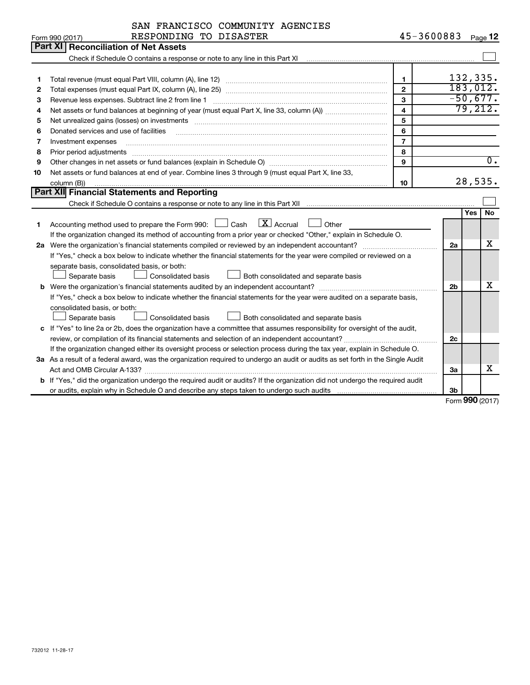| 45-3600883<br>RESPONDING TO DISASTER<br>Form 990 (2017)<br>Part XI<br><b>Reconciliation of Net Assets</b>                                                                                                                                                    | 132,335.        | Page 12                   |
|--------------------------------------------------------------------------------------------------------------------------------------------------------------------------------------------------------------------------------------------------------------|-----------------|---------------------------|
|                                                                                                                                                                                                                                                              |                 |                           |
|                                                                                                                                                                                                                                                              |                 |                           |
|                                                                                                                                                                                                                                                              |                 |                           |
|                                                                                                                                                                                                                                                              |                 |                           |
| $\mathbf{1}$<br>1                                                                                                                                                                                                                                            |                 |                           |
| $\overline{2}$<br>2                                                                                                                                                                                                                                          | 183,012.        |                           |
| 3<br>Revenue less expenses. Subtract line 2 from line 1<br>з                                                                                                                                                                                                 | $-50,677.$      |                           |
| $\overline{\mathbf{4}}$<br>4                                                                                                                                                                                                                                 | 79,212.         |                           |
| 5<br>5                                                                                                                                                                                                                                                       |                 |                           |
| 6<br>Donated services and use of facilities<br>6                                                                                                                                                                                                             |                 |                           |
| $\overline{7}$<br>Investment expenses<br>7                                                                                                                                                                                                                   |                 |                           |
| 8<br>8                                                                                                                                                                                                                                                       |                 |                           |
| $\mathbf{Q}$<br>9                                                                                                                                                                                                                                            |                 | $\overline{\mathbf{0}}$ . |
| Net assets or fund balances at end of year. Combine lines 3 through 9 (must equal Part X, line 33,<br>10                                                                                                                                                     |                 |                           |
| 10<br>column (B))                                                                                                                                                                                                                                            | 28,535.         |                           |
| Part XII Financial Statements and Reporting                                                                                                                                                                                                                  |                 |                           |
|                                                                                                                                                                                                                                                              |                 |                           |
|                                                                                                                                                                                                                                                              | <b>Yes</b>      | No                        |
| $\lfloor x \rfloor$ Accrual<br>Accounting method used to prepare the Form 990: [130] Cash<br>Other<br>1.                                                                                                                                                     |                 |                           |
| If the organization changed its method of accounting from a prior year or checked "Other," explain in Schedule O.                                                                                                                                            |                 | x                         |
| 2a                                                                                                                                                                                                                                                           |                 |                           |
| If "Yes," check a box below to indicate whether the financial statements for the year were compiled or reviewed on a                                                                                                                                         |                 |                           |
| separate basis, consolidated basis, or both:                                                                                                                                                                                                                 |                 |                           |
| $\perp$<br>Both consolidated and separate basis<br>Separate basis<br>Consolidated basis                                                                                                                                                                      |                 | х                         |
| 2 <sub>b</sub>                                                                                                                                                                                                                                               |                 |                           |
| If "Yes," check a box below to indicate whether the financial statements for the year were audited on a separate basis,                                                                                                                                      |                 |                           |
| consolidated basis, or both:                                                                                                                                                                                                                                 |                 |                           |
| Separate basis<br>Consolidated basis<br>Both consolidated and separate basis                                                                                                                                                                                 |                 |                           |
| c If "Yes" to line 2a or 2b, does the organization have a committee that assumes responsibility for oversight of the audit,<br>2c                                                                                                                            |                 |                           |
|                                                                                                                                                                                                                                                              |                 |                           |
| If the organization changed either its oversight process or selection process during the tax year, explain in Schedule O.<br>3a As a result of a federal award, was the organization required to undergo an audit or audits as set forth in the Single Audit |                 |                           |
| За                                                                                                                                                                                                                                                           |                 | х                         |
| <b>b</b> If "Yes," did the organization undergo the required audit or audits? If the organization did not undergo the required audit                                                                                                                         |                 |                           |
| or audits, explain why in Schedule O and describe any steps taken to undergo such audits<br>3b                                                                                                                                                               |                 |                           |
|                                                                                                                                                                                                                                                              | Form 990 (2017) |                           |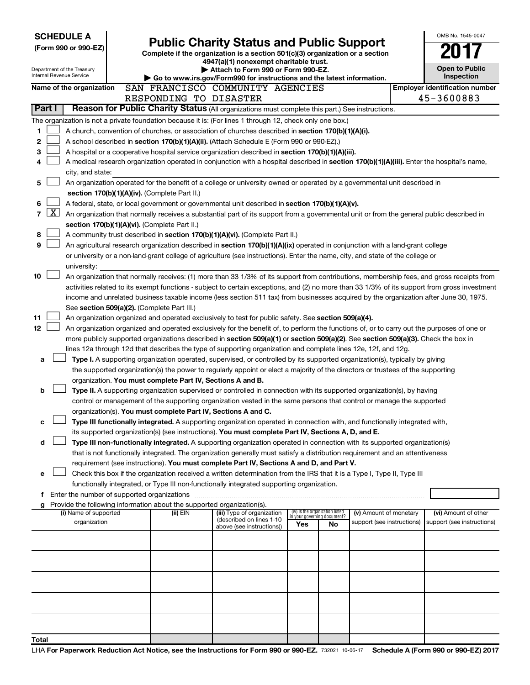| <b>SCHEDULE A</b><br>(Form 990 or 990-EZ)<br>Department of the Treasury<br>Internal Revenue Service<br>Name of the organization |                                                                                                                                                                            |                                                                                                                                                                                                                                                                                        |  | <b>Public Charity Status and Public Support</b><br>Complete if the organization is a section 501(c)(3) organization or a section<br>4947(a)(1) nonexempt charitable trust.<br>Attach to Form 990 or Form 990-EZ.<br>Go to www.irs.gov/Form990 for instructions and the latest information. | OMB No. 1545-0047<br>Open to Public<br>Inspection                                                                                          |                                                                |    |                            |  |                                       |  |
|---------------------------------------------------------------------------------------------------------------------------------|----------------------------------------------------------------------------------------------------------------------------------------------------------------------------|----------------------------------------------------------------------------------------------------------------------------------------------------------------------------------------------------------------------------------------------------------------------------------------|--|--------------------------------------------------------------------------------------------------------------------------------------------------------------------------------------------------------------------------------------------------------------------------------------------|--------------------------------------------------------------------------------------------------------------------------------------------|----------------------------------------------------------------|----|----------------------------|--|---------------------------------------|--|
|                                                                                                                                 |                                                                                                                                                                            |                                                                                                                                                                                                                                                                                        |  |                                                                                                                                                                                                                                                                                            | SAN FRANCISCO COMMUNITY AGENCIES                                                                                                           |                                                                |    |                            |  | <b>Employer identification number</b> |  |
|                                                                                                                                 |                                                                                                                                                                            |                                                                                                                                                                                                                                                                                        |  | RESPONDING TO DISASTER                                                                                                                                                                                                                                                                     |                                                                                                                                            |                                                                |    |                            |  | 45-3600883                            |  |
| Part I                                                                                                                          |                                                                                                                                                                            |                                                                                                                                                                                                                                                                                        |  |                                                                                                                                                                                                                                                                                            | Reason for Public Charity Status (All organizations must complete this part.) See instructions.                                            |                                                                |    |                            |  |                                       |  |
|                                                                                                                                 |                                                                                                                                                                            |                                                                                                                                                                                                                                                                                        |  |                                                                                                                                                                                                                                                                                            | The organization is not a private foundation because it is: (For lines 1 through 12, check only one box.)                                  |                                                                |    |                            |  |                                       |  |
| 1                                                                                                                               |                                                                                                                                                                            |                                                                                                                                                                                                                                                                                        |  |                                                                                                                                                                                                                                                                                            | A church, convention of churches, or association of churches described in <b>section 170(b)(1)(A)(i).</b>                                  |                                                                |    |                            |  |                                       |  |
| 2                                                                                                                               |                                                                                                                                                                            |                                                                                                                                                                                                                                                                                        |  |                                                                                                                                                                                                                                                                                            | A school described in section 170(b)(1)(A)(ii). (Attach Schedule E (Form 990 or 990-EZ).)                                                  |                                                                |    |                            |  |                                       |  |
| 3                                                                                                                               |                                                                                                                                                                            |                                                                                                                                                                                                                                                                                        |  |                                                                                                                                                                                                                                                                                            | A hospital or a cooperative hospital service organization described in section 170(b)(1)(A)(iii).                                          |                                                                |    |                            |  |                                       |  |
| 4                                                                                                                               |                                                                                                                                                                            |                                                                                                                                                                                                                                                                                        |  |                                                                                                                                                                                                                                                                                            | A medical research organization operated in conjunction with a hospital described in section 170(b)(1)(A)(iii). Enter the hospital's name, |                                                                |    |                            |  |                                       |  |
|                                                                                                                                 |                                                                                                                                                                            | city, and state:                                                                                                                                                                                                                                                                       |  |                                                                                                                                                                                                                                                                                            |                                                                                                                                            |                                                                |    |                            |  |                                       |  |
| 5                                                                                                                               |                                                                                                                                                                            |                                                                                                                                                                                                                                                                                        |  |                                                                                                                                                                                                                                                                                            |                                                                                                                                            |                                                                |    |                            |  |                                       |  |
|                                                                                                                                 | An organization operated for the benefit of a college or university owned or operated by a governmental unit described in<br>section 170(b)(1)(A)(iv). (Complete Part II.) |                                                                                                                                                                                                                                                                                        |  |                                                                                                                                                                                                                                                                                            |                                                                                                                                            |                                                                |    |                            |  |                                       |  |
|                                                                                                                                 |                                                                                                                                                                            |                                                                                                                                                                                                                                                                                        |  |                                                                                                                                                                                                                                                                                            |                                                                                                                                            |                                                                |    |                            |  |                                       |  |
| 6<br>$\overline{7}$                                                                                                             | $\mathbf{X}$                                                                                                                                                               |                                                                                                                                                                                                                                                                                        |  |                                                                                                                                                                                                                                                                                            | A federal, state, or local government or governmental unit described in section 170(b)(1)(A)(v).                                           |                                                                |    |                            |  |                                       |  |
|                                                                                                                                 |                                                                                                                                                                            |                                                                                                                                                                                                                                                                                        |  |                                                                                                                                                                                                                                                                                            | An organization that normally receives a substantial part of its support from a governmental unit or from the general public described in  |                                                                |    |                            |  |                                       |  |
|                                                                                                                                 |                                                                                                                                                                            |                                                                                                                                                                                                                                                                                        |  | section 170(b)(1)(A)(vi). (Complete Part II.)                                                                                                                                                                                                                                              |                                                                                                                                            |                                                                |    |                            |  |                                       |  |
| 8                                                                                                                               |                                                                                                                                                                            |                                                                                                                                                                                                                                                                                        |  |                                                                                                                                                                                                                                                                                            | A community trust described in section 170(b)(1)(A)(vi). (Complete Part II.)                                                               |                                                                |    |                            |  |                                       |  |
| 9                                                                                                                               |                                                                                                                                                                            |                                                                                                                                                                                                                                                                                        |  |                                                                                                                                                                                                                                                                                            | An agricultural research organization described in section 170(b)(1)(A)(ix) operated in conjunction with a land-grant college              |                                                                |    |                            |  |                                       |  |
|                                                                                                                                 |                                                                                                                                                                            |                                                                                                                                                                                                                                                                                        |  |                                                                                                                                                                                                                                                                                            | or university or a non-land-grant college of agriculture (see instructions). Enter the name, city, and state of the college or             |                                                                |    |                            |  |                                       |  |
| 10                                                                                                                              |                                                                                                                                                                            | university:                                                                                                                                                                                                                                                                            |  |                                                                                                                                                                                                                                                                                            |                                                                                                                                            |                                                                |    |                            |  |                                       |  |
|                                                                                                                                 |                                                                                                                                                                            |                                                                                                                                                                                                                                                                                        |  |                                                                                                                                                                                                                                                                                            | An organization that normally receives: (1) more than 33 1/3% of its support from contributions, membership fees, and gross receipts from  |                                                                |    |                            |  |                                       |  |
|                                                                                                                                 |                                                                                                                                                                            | activities related to its exempt functions - subject to certain exceptions, and (2) no more than 33 1/3% of its support from gross investment<br>income and unrelated business taxable income (less section 511 tax) from businesses acquired by the organization after June 30, 1975. |  |                                                                                                                                                                                                                                                                                            |                                                                                                                                            |                                                                |    |                            |  |                                       |  |
|                                                                                                                                 |                                                                                                                                                                            |                                                                                                                                                                                                                                                                                        |  |                                                                                                                                                                                                                                                                                            |                                                                                                                                            |                                                                |    |                            |  |                                       |  |
| 11                                                                                                                              |                                                                                                                                                                            |                                                                                                                                                                                                                                                                                        |  | See section 509(a)(2). (Complete Part III.)                                                                                                                                                                                                                                                | An organization organized and operated exclusively to test for public safety. See section 509(a)(4).                                       |                                                                |    |                            |  |                                       |  |
| 12                                                                                                                              |                                                                                                                                                                            |                                                                                                                                                                                                                                                                                        |  |                                                                                                                                                                                                                                                                                            | An organization organized and operated exclusively for the benefit of, to perform the functions of, or to carry out the purposes of one or |                                                                |    |                            |  |                                       |  |
|                                                                                                                                 |                                                                                                                                                                            |                                                                                                                                                                                                                                                                                        |  |                                                                                                                                                                                                                                                                                            | more publicly supported organizations described in section 509(a)(1) or section 509(a)(2). See section 509(a)(3). Check the box in         |                                                                |    |                            |  |                                       |  |
|                                                                                                                                 |                                                                                                                                                                            |                                                                                                                                                                                                                                                                                        |  |                                                                                                                                                                                                                                                                                            | lines 12a through 12d that describes the type of supporting organization and complete lines 12e, 12f, and 12g.                             |                                                                |    |                            |  |                                       |  |
| a                                                                                                                               |                                                                                                                                                                            |                                                                                                                                                                                                                                                                                        |  |                                                                                                                                                                                                                                                                                            | Type I. A supporting organization operated, supervised, or controlled by its supported organization(s), typically by giving                |                                                                |    |                            |  |                                       |  |
|                                                                                                                                 |                                                                                                                                                                            |                                                                                                                                                                                                                                                                                        |  |                                                                                                                                                                                                                                                                                            | the supported organization(s) the power to regularly appoint or elect a majority of the directors or trustees of the supporting            |                                                                |    |                            |  |                                       |  |
|                                                                                                                                 |                                                                                                                                                                            |                                                                                                                                                                                                                                                                                        |  | organization. You must complete Part IV, Sections A and B.                                                                                                                                                                                                                                 |                                                                                                                                            |                                                                |    |                            |  |                                       |  |
| b                                                                                                                               |                                                                                                                                                                            |                                                                                                                                                                                                                                                                                        |  |                                                                                                                                                                                                                                                                                            | Type II. A supporting organization supervised or controlled in connection with its supported organization(s), by having                    |                                                                |    |                            |  |                                       |  |
|                                                                                                                                 |                                                                                                                                                                            |                                                                                                                                                                                                                                                                                        |  |                                                                                                                                                                                                                                                                                            | control or management of the supporting organization vested in the same persons that control or manage the supported                       |                                                                |    |                            |  |                                       |  |
|                                                                                                                                 |                                                                                                                                                                            |                                                                                                                                                                                                                                                                                        |  | organization(s). You must complete Part IV, Sections A and C.                                                                                                                                                                                                                              |                                                                                                                                            |                                                                |    |                            |  |                                       |  |
|                                                                                                                                 |                                                                                                                                                                            |                                                                                                                                                                                                                                                                                        |  |                                                                                                                                                                                                                                                                                            | Type III functionally integrated. A supporting organization operated in connection with, and functionally integrated with,                 |                                                                |    |                            |  |                                       |  |
|                                                                                                                                 |                                                                                                                                                                            |                                                                                                                                                                                                                                                                                        |  |                                                                                                                                                                                                                                                                                            | its supported organization(s) (see instructions). You must complete Part IV, Sections A, D, and E.                                         |                                                                |    |                            |  |                                       |  |
| d                                                                                                                               |                                                                                                                                                                            |                                                                                                                                                                                                                                                                                        |  |                                                                                                                                                                                                                                                                                            | Type III non-functionally integrated. A supporting organization operated in connection with its supported organization(s)                  |                                                                |    |                            |  |                                       |  |
|                                                                                                                                 |                                                                                                                                                                            |                                                                                                                                                                                                                                                                                        |  |                                                                                                                                                                                                                                                                                            | that is not functionally integrated. The organization generally must satisfy a distribution requirement and an attentiveness               |                                                                |    |                            |  |                                       |  |
|                                                                                                                                 |                                                                                                                                                                            |                                                                                                                                                                                                                                                                                        |  |                                                                                                                                                                                                                                                                                            | requirement (see instructions). You must complete Part IV, Sections A and D, and Part V.                                                   |                                                                |    |                            |  |                                       |  |
| e                                                                                                                               |                                                                                                                                                                            |                                                                                                                                                                                                                                                                                        |  |                                                                                                                                                                                                                                                                                            | Check this box if the organization received a written determination from the IRS that it is a Type I, Type II, Type III                    |                                                                |    |                            |  |                                       |  |
|                                                                                                                                 |                                                                                                                                                                            |                                                                                                                                                                                                                                                                                        |  |                                                                                                                                                                                                                                                                                            | functionally integrated, or Type III non-functionally integrated supporting organization.                                                  |                                                                |    |                            |  |                                       |  |
|                                                                                                                                 |                                                                                                                                                                            |                                                                                                                                                                                                                                                                                        |  |                                                                                                                                                                                                                                                                                            |                                                                                                                                            |                                                                |    |                            |  |                                       |  |
|                                                                                                                                 |                                                                                                                                                                            |                                                                                                                                                                                                                                                                                        |  | g Provide the following information about the supported organization(s).                                                                                                                                                                                                                   |                                                                                                                                            |                                                                |    |                            |  |                                       |  |
|                                                                                                                                 |                                                                                                                                                                            | (i) Name of supported                                                                                                                                                                                                                                                                  |  | (ii) EIN                                                                                                                                                                                                                                                                                   | (iii) Type of organization                                                                                                                 | (iv) Is the organization listed<br>in your governing document? |    | (v) Amount of monetary     |  | (vi) Amount of other                  |  |
|                                                                                                                                 |                                                                                                                                                                            | organization                                                                                                                                                                                                                                                                           |  |                                                                                                                                                                                                                                                                                            | (described on lines 1-10<br>above (see instructions))                                                                                      | Yes                                                            | No | support (see instructions) |  | support (see instructions)            |  |
|                                                                                                                                 |                                                                                                                                                                            |                                                                                                                                                                                                                                                                                        |  |                                                                                                                                                                                                                                                                                            |                                                                                                                                            |                                                                |    |                            |  |                                       |  |
|                                                                                                                                 |                                                                                                                                                                            |                                                                                                                                                                                                                                                                                        |  |                                                                                                                                                                                                                                                                                            |                                                                                                                                            |                                                                |    |                            |  |                                       |  |
|                                                                                                                                 |                                                                                                                                                                            |                                                                                                                                                                                                                                                                                        |  |                                                                                                                                                                                                                                                                                            |                                                                                                                                            |                                                                |    |                            |  |                                       |  |
|                                                                                                                                 |                                                                                                                                                                            |                                                                                                                                                                                                                                                                                        |  |                                                                                                                                                                                                                                                                                            |                                                                                                                                            |                                                                |    |                            |  |                                       |  |
|                                                                                                                                 |                                                                                                                                                                            |                                                                                                                                                                                                                                                                                        |  |                                                                                                                                                                                                                                                                                            |                                                                                                                                            |                                                                |    |                            |  |                                       |  |
|                                                                                                                                 |                                                                                                                                                                            |                                                                                                                                                                                                                                                                                        |  |                                                                                                                                                                                                                                                                                            |                                                                                                                                            |                                                                |    |                            |  |                                       |  |
|                                                                                                                                 |                                                                                                                                                                            |                                                                                                                                                                                                                                                                                        |  |                                                                                                                                                                                                                                                                                            |                                                                                                                                            |                                                                |    |                            |  |                                       |  |
|                                                                                                                                 |                                                                                                                                                                            |                                                                                                                                                                                                                                                                                        |  |                                                                                                                                                                                                                                                                                            |                                                                                                                                            |                                                                |    |                            |  |                                       |  |
|                                                                                                                                 |                                                                                                                                                                            |                                                                                                                                                                                                                                                                                        |  |                                                                                                                                                                                                                                                                                            |                                                                                                                                            |                                                                |    |                            |  |                                       |  |
|                                                                                                                                 |                                                                                                                                                                            |                                                                                                                                                                                                                                                                                        |  |                                                                                                                                                                                                                                                                                            |                                                                                                                                            |                                                                |    |                            |  |                                       |  |
| Total                                                                                                                           |                                                                                                                                                                            |                                                                                                                                                                                                                                                                                        |  |                                                                                                                                                                                                                                                                                            |                                                                                                                                            |                                                                |    |                            |  |                                       |  |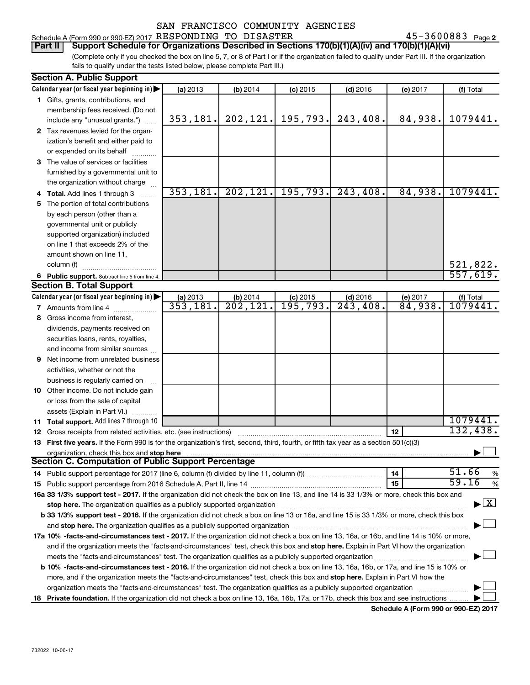### Schedule A (Form 990 or 990-EZ) 2017  $\verb|RESPONDING TO DISASTER$   $\verb|45-3600883 p_{age}$ SAN FRANCISCO COMMUNITY AGENCIES

45-3600883 Page 2

(Complete only if you checked the box on line 5, 7, or 8 of Part I or if the organization failed to qualify under Part III. If the organization **Part II Support Schedule for Organizations Described in Sections 170(b)(1)(A)(iv) and 170(b)(1)(A)(vi)**

fails to qualify under the tests listed below, please complete Part III.)

|    | <b>Section A. Public Support</b>                                                                                                               |           |                      |            |                      |          |                                    |
|----|------------------------------------------------------------------------------------------------------------------------------------------------|-----------|----------------------|------------|----------------------|----------|------------------------------------|
|    | Calendar year (or fiscal year beginning in)                                                                                                    | (a) 2013  | (b) 2014             | $(c)$ 2015 | $(d)$ 2016           | (e) 2017 | (f) Total                          |
|    | 1 Gifts, grants, contributions, and                                                                                                            |           |                      |            |                      |          |                                    |
|    | membership fees received. (Do not                                                                                                              |           |                      |            |                      |          |                                    |
|    | include any "unusual grants.")                                                                                                                 | 353, 181. | 202, 121.            | 195,793.   | 243,408.             | 84,938.  | 1079441.                           |
|    | 2 Tax revenues levied for the organ-                                                                                                           |           |                      |            |                      |          |                                    |
|    | ization's benefit and either paid to                                                                                                           |           |                      |            |                      |          |                                    |
|    | or expended on its behalf                                                                                                                      |           |                      |            |                      |          |                                    |
|    | 3 The value of services or facilities                                                                                                          |           |                      |            |                      |          |                                    |
|    | furnished by a governmental unit to                                                                                                            |           |                      |            |                      |          |                                    |
|    | the organization without charge                                                                                                                |           |                      |            |                      |          |                                    |
|    | 4 Total. Add lines 1 through 3                                                                                                                 | 353, 181. | 202, 121.            | 195,793.   | 243, 408.            | 84,938.  | 1079441.                           |
| 5. | The portion of total contributions                                                                                                             |           |                      |            |                      |          |                                    |
|    | by each person (other than a                                                                                                                   |           |                      |            |                      |          |                                    |
|    | governmental unit or publicly                                                                                                                  |           |                      |            |                      |          |                                    |
|    | supported organization) included                                                                                                               |           |                      |            |                      |          |                                    |
|    |                                                                                                                                                |           |                      |            |                      |          |                                    |
|    | on line 1 that exceeds 2% of the                                                                                                               |           |                      |            |                      |          |                                    |
|    | amount shown on line 11,                                                                                                                       |           |                      |            |                      |          |                                    |
|    | column (f)                                                                                                                                     |           |                      |            |                      |          | 521,822.                           |
|    | 6 Public support. Subtract line 5 from line 4.                                                                                                 |           |                      |            |                      |          | 557,619.                           |
|    | <b>Section B. Total Support</b>                                                                                                                |           |                      |            |                      |          |                                    |
|    | Calendar year (or fiscal year beginning in)                                                                                                    | (a) 2013  | (b) 2014             | $(c)$ 2015 | $(d)$ 2016           | (e) 2017 | (f) Total                          |
|    | <b>7</b> Amounts from line 4                                                                                                                   | 353,181.  | $\overline{202,121}$ | 195,793.   | $\overline{243,408}$ | 84,938.  | 1079441.                           |
|    | 8 Gross income from interest,                                                                                                                  |           |                      |            |                      |          |                                    |
|    | dividends, payments received on                                                                                                                |           |                      |            |                      |          |                                    |
|    | securities loans, rents, royalties,                                                                                                            |           |                      |            |                      |          |                                    |
|    | and income from similar sources                                                                                                                |           |                      |            |                      |          |                                    |
|    | 9 Net income from unrelated business                                                                                                           |           |                      |            |                      |          |                                    |
|    | activities, whether or not the                                                                                                                 |           |                      |            |                      |          |                                    |
|    | business is regularly carried on                                                                                                               |           |                      |            |                      |          |                                    |
|    | 10 Other income. Do not include gain                                                                                                           |           |                      |            |                      |          |                                    |
|    | or loss from the sale of capital                                                                                                               |           |                      |            |                      |          |                                    |
|    | assets (Explain in Part VI.)                                                                                                                   |           |                      |            |                      |          |                                    |
|    | 11 Total support. Add lines 7 through 10                                                                                                       |           |                      |            |                      |          | 1079441.                           |
|    | <b>12</b> Gross receipts from related activities, etc. (see instructions)                                                                      |           |                      |            |                      | 12       | 132,438.                           |
|    | 13 First five years. If the Form 990 is for the organization's first, second, third, fourth, or fifth tax year as a section 501(c)(3)          |           |                      |            |                      |          |                                    |
|    | organization, check this box and stop here                                                                                                     |           |                      |            |                      |          |                                    |
|    | Section C. Computation of Public Support Percentage                                                                                            |           |                      |            |                      |          |                                    |
|    |                                                                                                                                                |           |                      |            |                      | 14       | 51.66<br>%                         |
|    |                                                                                                                                                |           |                      |            |                      | 15       | 59.16<br>$\%$                      |
|    | 16a 33 1/3% support test - 2017. If the organization did not check the box on line 13, and line 14 is 33 1/3% or more, check this box and      |           |                      |            |                      |          |                                    |
|    | stop here. The organization qualifies as a publicly supported organization                                                                     |           |                      |            |                      |          | $\blacktriangleright$ $\mathbf{X}$ |
|    | b 33 1/3% support test - 2016. If the organization did not check a box on line 13 or 16a, and line 15 is 33 1/3% or more, check this box       |           |                      |            |                      |          |                                    |
|    |                                                                                                                                                |           |                      |            |                      |          |                                    |
|    | 17a 10% -facts-and-circumstances test - 2017. If the organization did not check a box on line 13, 16a, or 16b, and line 14 is 10% or more,     |           |                      |            |                      |          |                                    |
|    | and if the organization meets the "facts-and-circumstances" test, check this box and stop here. Explain in Part VI how the organization        |           |                      |            |                      |          |                                    |
|    |                                                                                                                                                |           |                      |            |                      |          |                                    |
|    |                                                                                                                                                |           |                      |            |                      |          |                                    |
|    | <b>b 10%</b> -facts-and-circumstances test - 2016. If the organization did not check a box on line 13, 16a, 16b, or 17a, and line 15 is 10% or |           |                      |            |                      |          |                                    |
|    | more, and if the organization meets the "facts-and-circumstances" test, check this box and stop here. Explain in Part VI how the               |           |                      |            |                      |          |                                    |
|    | organization meets the "facts-and-circumstances" test. The organization qualifies as a publicly supported organization                         |           |                      |            |                      |          |                                    |
|    | 18 Private foundation. If the organization did not check a box on line 13, 16a, 16b, 17a, or 17b, check this box and see instructions          |           |                      |            |                      |          |                                    |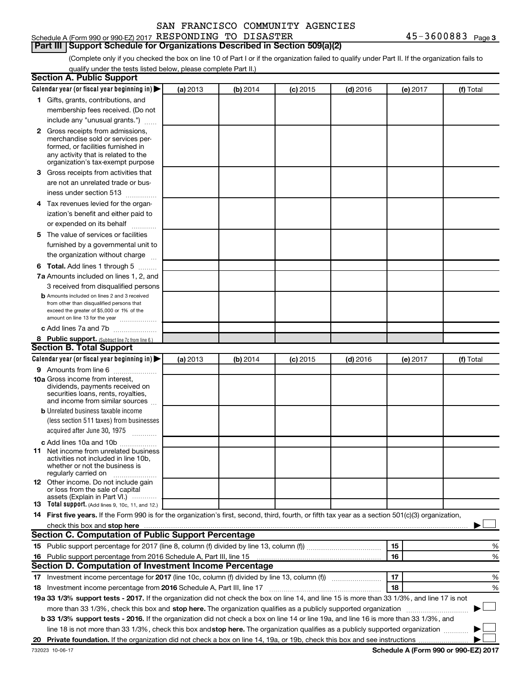## SAN FRANCISCO COMMUNITY AGENCIES

### **Part III Support Schedule for Organizations Described in Section 509(a)(2)**

(Complete only if you checked the box on line 10 of Part I or if the organization failed to qualify under Part II. If the organization fails to qualify under the tests listed below, please complete Part II.)

| <b>Section A. Public Support</b>                                                                                                                                                                                                                                                      |          |          |            |            |          |           |
|---------------------------------------------------------------------------------------------------------------------------------------------------------------------------------------------------------------------------------------------------------------------------------------|----------|----------|------------|------------|----------|-----------|
| Calendar year (or fiscal year beginning in)                                                                                                                                                                                                                                           | (a) 2013 | (b) 2014 | $(c)$ 2015 | $(d)$ 2016 | (e) 2017 | (f) Total |
| 1 Gifts, grants, contributions, and                                                                                                                                                                                                                                                   |          |          |            |            |          |           |
| membership fees received. (Do not                                                                                                                                                                                                                                                     |          |          |            |            |          |           |
| include any "unusual grants.")                                                                                                                                                                                                                                                        |          |          |            |            |          |           |
| 2 Gross receipts from admissions,                                                                                                                                                                                                                                                     |          |          |            |            |          |           |
| merchandise sold or services per-                                                                                                                                                                                                                                                     |          |          |            |            |          |           |
| formed, or facilities furnished in                                                                                                                                                                                                                                                    |          |          |            |            |          |           |
| any activity that is related to the<br>organization's tax-exempt purpose                                                                                                                                                                                                              |          |          |            |            |          |           |
| 3 Gross receipts from activities that                                                                                                                                                                                                                                                 |          |          |            |            |          |           |
| are not an unrelated trade or bus-                                                                                                                                                                                                                                                    |          |          |            |            |          |           |
| iness under section 513                                                                                                                                                                                                                                                               |          |          |            |            |          |           |
| 4 Tax revenues levied for the organ-                                                                                                                                                                                                                                                  |          |          |            |            |          |           |
| ization's benefit and either paid to                                                                                                                                                                                                                                                  |          |          |            |            |          |           |
| or expended on its behalf<br>.                                                                                                                                                                                                                                                        |          |          |            |            |          |           |
| 5 The value of services or facilities                                                                                                                                                                                                                                                 |          |          |            |            |          |           |
| furnished by a governmental unit to                                                                                                                                                                                                                                                   |          |          |            |            |          |           |
| the organization without charge                                                                                                                                                                                                                                                       |          |          |            |            |          |           |
| 6 Total. Add lines 1 through 5                                                                                                                                                                                                                                                        |          |          |            |            |          |           |
| 7a Amounts included on lines 1, 2, and                                                                                                                                                                                                                                                |          |          |            |            |          |           |
| 3 received from disqualified persons                                                                                                                                                                                                                                                  |          |          |            |            |          |           |
| <b>b</b> Amounts included on lines 2 and 3 received                                                                                                                                                                                                                                   |          |          |            |            |          |           |
| from other than disqualified persons that                                                                                                                                                                                                                                             |          |          |            |            |          |           |
| exceed the greater of \$5,000 or 1% of the<br>amount on line 13 for the year                                                                                                                                                                                                          |          |          |            |            |          |           |
| c Add lines 7a and 7b                                                                                                                                                                                                                                                                 |          |          |            |            |          |           |
| 8 Public support. (Subtract line 7c from line 6.)                                                                                                                                                                                                                                     |          |          |            |            |          |           |
| <b>Section B. Total Support</b>                                                                                                                                                                                                                                                       |          |          |            |            |          |           |
| Calendar year (or fiscal year beginning in)                                                                                                                                                                                                                                           | (a) 2013 | (b) 2014 | $(c)$ 2015 | $(d)$ 2016 | (e) 2017 | (f) Total |
| <b>9</b> Amounts from line 6                                                                                                                                                                                                                                                          |          |          |            |            |          |           |
| <b>10a</b> Gross income from interest,                                                                                                                                                                                                                                                |          |          |            |            |          |           |
| dividends, payments received on                                                                                                                                                                                                                                                       |          |          |            |            |          |           |
| securities loans, rents, royalties,<br>and income from similar sources                                                                                                                                                                                                                |          |          |            |            |          |           |
| <b>b</b> Unrelated business taxable income                                                                                                                                                                                                                                            |          |          |            |            |          |           |
| (less section 511 taxes) from businesses                                                                                                                                                                                                                                              |          |          |            |            |          |           |
| acquired after June 30, 1975                                                                                                                                                                                                                                                          |          |          |            |            |          |           |
| c Add lines 10a and 10b                                                                                                                                                                                                                                                               |          |          |            |            |          |           |
| 11 Net income from unrelated business                                                                                                                                                                                                                                                 |          |          |            |            |          |           |
| activities not included in line 10b.                                                                                                                                                                                                                                                  |          |          |            |            |          |           |
| whether or not the business is                                                                                                                                                                                                                                                        |          |          |            |            |          |           |
| regularly carried on<br><b>12</b> Other income. Do not include gain                                                                                                                                                                                                                   |          |          |            |            |          |           |
| or loss from the sale of capital                                                                                                                                                                                                                                                      |          |          |            |            |          |           |
| assets (Explain in Part VI.)                                                                                                                                                                                                                                                          |          |          |            |            |          |           |
| <b>13</b> Total support. (Add lines 9, 10c, 11, and 12.)                                                                                                                                                                                                                              |          |          |            |            |          |           |
| 14 First five years. If the Form 990 is for the organization's first, second, third, fourth, or fifth tax year as a section 501(c)(3) organization,                                                                                                                                   |          |          |            |            |          |           |
| check this box and stop here manufactured and stop here and stop here are constructed and stop here and stop here and stop here and stop here and stop here and stop here and stop here are all the stop of the stop of the st<br>Section C. Computation of Public Support Percentage |          |          |            |            |          |           |
|                                                                                                                                                                                                                                                                                       |          |          |            |            |          |           |
|                                                                                                                                                                                                                                                                                       |          |          |            |            | 15<br>16 | ℅         |
| 16 Public support percentage from 2016 Schedule A, Part III, line 15<br>Section D. Computation of Investment Income Percentage                                                                                                                                                        |          |          |            |            |          | %         |
|                                                                                                                                                                                                                                                                                       |          |          |            |            |          |           |
| 17 Investment income percentage for 2017 (line 10c, column (f) divided by line 13, column (f))                                                                                                                                                                                        |          |          |            |            | 17       | %         |
| 18 Investment income percentage from 2016 Schedule A, Part III, line 17                                                                                                                                                                                                               |          |          |            |            | 18       | %         |
| 19a 33 1/3% support tests - 2017. If the organization did not check the box on line 14, and line 15 is more than 33 1/3%, and line 17 is not                                                                                                                                          |          |          |            |            |          |           |
| more than 33 1/3%, check this box and stop here. The organization qualifies as a publicly supported organization                                                                                                                                                                      |          |          |            |            |          |           |
| b 33 1/3% support tests - 2016. If the organization did not check a box on line 14 or line 19a, and line 16 is more than 33 1/3%, and                                                                                                                                                 |          |          |            |            |          |           |
| line 18 is not more than 33 1/3%, check this box and stop here. The organization qualifies as a publicly supported organization                                                                                                                                                       |          |          |            |            |          |           |
|                                                                                                                                                                                                                                                                                       |          |          |            |            |          |           |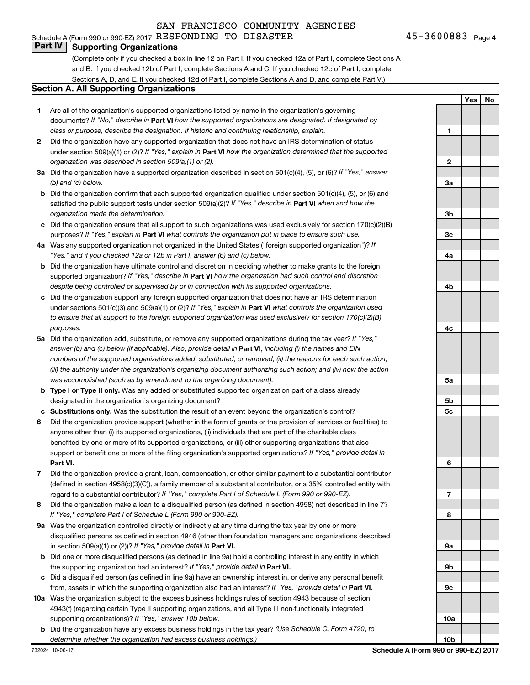#### Schedule A (Form 990 or 990-EZ) 2017  $\verb|RESPONDING TO DISASTER$   $\verb|45-3600883 p_{age}$ SAN FRANCISCO COMMUNITY AGENCIES

**Yes No**

### **Part IV Supporting Organizations**

(Complete only if you checked a box in line 12 on Part I. If you checked 12a of Part I, complete Sections A and B. If you checked 12b of Part I, complete Sections A and C. If you checked 12c of Part I, complete Sections A, D, and E. If you checked 12d of Part I, complete Sections A and D, and complete Part V.)

#### **Section A. All Supporting Organizations**

- **1** Are all of the organization's supported organizations listed by name in the organization's governing documents? If "No," describe in Part VI how the supported organizations are designated. If designated by *class or purpose, describe the designation. If historic and continuing relationship, explain.*
- **2** Did the organization have any supported organization that does not have an IRS determination of status under section 509(a)(1) or (2)? If "Yes," explain in Part **VI** how the organization determined that the supported *organization was described in section 509(a)(1) or (2).*
- **3a** Did the organization have a supported organization described in section 501(c)(4), (5), or (6)? If "Yes," answer *(b) and (c) below.*
- **b** Did the organization confirm that each supported organization qualified under section 501(c)(4), (5), or (6) and satisfied the public support tests under section 509(a)(2)? If "Yes," describe in Part VI when and how the *organization made the determination.*
- **c** Did the organization ensure that all support to such organizations was used exclusively for section 170(c)(2)(B) purposes? If "Yes," explain in Part VI what controls the organization put in place to ensure such use.
- **4 a** *If* Was any supported organization not organized in the United States ("foreign supported organization")? *"Yes," and if you checked 12a or 12b in Part I, answer (b) and (c) below.*
- **b** Did the organization have ultimate control and discretion in deciding whether to make grants to the foreign supported organization? If "Yes," describe in Part VI how the organization had such control and discretion *despite being controlled or supervised by or in connection with its supported organizations.*
- **c** Did the organization support any foreign supported organization that does not have an IRS determination under sections 501(c)(3) and 509(a)(1) or (2)? If "Yes," explain in Part VI what controls the organization used *to ensure that all support to the foreign supported organization was used exclusively for section 170(c)(2)(B) purposes.*
- **5a** Did the organization add, substitute, or remove any supported organizations during the tax year? If "Yes," answer (b) and (c) below (if applicable). Also, provide detail in **Part VI,** including (i) the names and EIN *numbers of the supported organizations added, substituted, or removed; (ii) the reasons for each such action; (iii) the authority under the organization's organizing document authorizing such action; and (iv) how the action was accomplished (such as by amendment to the organizing document).*
- **b Type I or Type II only.** Was any added or substituted supported organization part of a class already designated in the organization's organizing document?
- **c Substitutions only.**  Was the substitution the result of an event beyond the organization's control?
- **6** Did the organization provide support (whether in the form of grants or the provision of services or facilities) to **Part VI.** support or benefit one or more of the filing organization's supported organizations? If "Yes," provide detail in anyone other than (i) its supported organizations, (ii) individuals that are part of the charitable class benefited by one or more of its supported organizations, or (iii) other supporting organizations that also
- **7** Did the organization provide a grant, loan, compensation, or other similar payment to a substantial contributor regard to a substantial contributor? If "Yes," complete Part I of Schedule L (Form 990 or 990-EZ). (defined in section 4958(c)(3)(C)), a family member of a substantial contributor, or a 35% controlled entity with
- **8** Did the organization make a loan to a disqualified person (as defined in section 4958) not described in line 7? *If "Yes," complete Part I of Schedule L (Form 990 or 990-EZ).*
- **9 a** Was the organization controlled directly or indirectly at any time during the tax year by one or more in section 509(a)(1) or (2))? If "Yes," provide detail in **Part VI.** disqualified persons as defined in section 4946 (other than foundation managers and organizations described
- **b** Did one or more disqualified persons (as defined in line 9a) hold a controlling interest in any entity in which the supporting organization had an interest? If "Yes," provide detail in Part VI.
- **c** Did a disqualified person (as defined in line 9a) have an ownership interest in, or derive any personal benefit from, assets in which the supporting organization also had an interest? If "Yes," provide detail in Part VI.
- **10 a** Was the organization subject to the excess business holdings rules of section 4943 because of section supporting organizations)? If "Yes," answer 10b below. 4943(f) (regarding certain Type II supporting organizations, and all Type III non-functionally integrated
- **b** Did the organization have any excess business holdings in the tax year? (Use Schedule C, Form 4720, to *determine whether the organization had excess business holdings.)*

**1 2 3a 3b 3c 4a 4b 4c 5a 5b 5c 6 7 8 9a 9b 9c 10a**

**10b**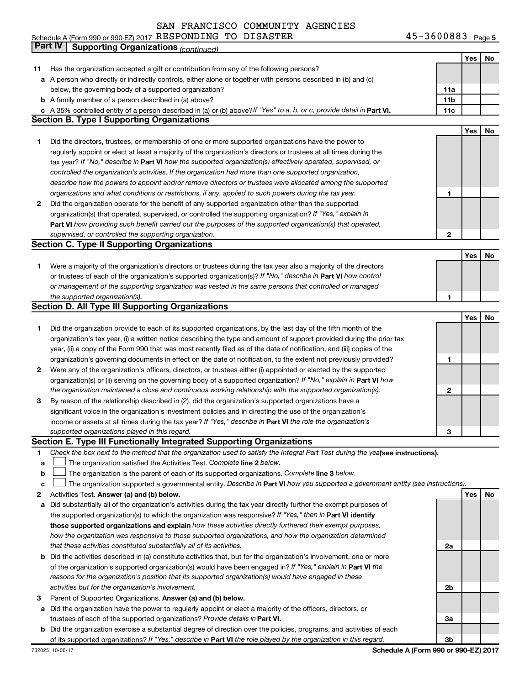#### SAN FRANCISCO COMMUNITY AGENCIES RESPONDING TO DISASTER 45-3600883

45-3600883 Page 5  $S$ chedule A (Form 990 or 990-EZ) 2017  $R$ ESPOND $\overline{L}$ NG  $\overline{L}$ TO  $\overline{L}$ USASTER  $\overline{L}$ 

|        | Part IV<br><b>Supporting Organizations (continued)</b>                                                                                                                                                                              |                 |     |    |
|--------|-------------------------------------------------------------------------------------------------------------------------------------------------------------------------------------------------------------------------------------|-----------------|-----|----|
|        |                                                                                                                                                                                                                                     |                 | Yes | No |
| 11     | Has the organization accepted a gift or contribution from any of the following persons?                                                                                                                                             |                 |     |    |
|        | a A person who directly or indirectly controls, either alone or together with persons described in (b) and (c)                                                                                                                      |                 |     |    |
|        | below, the governing body of a supported organization?                                                                                                                                                                              | 11a             |     |    |
|        | <b>b</b> A family member of a person described in (a) above?                                                                                                                                                                        | 11 <sub>b</sub> |     |    |
|        | c A 35% controlled entity of a person described in (a) or (b) above? If "Yes" to a, b, or c, provide detail in Part VI.                                                                                                             | 11c             |     |    |
|        | <b>Section B. Type I Supporting Organizations</b>                                                                                                                                                                                   |                 |     |    |
|        |                                                                                                                                                                                                                                     |                 | Yes | No |
| 1      | Did the directors, trustees, or membership of one or more supported organizations have the power to                                                                                                                                 |                 |     |    |
|        | regularly appoint or elect at least a majority of the organization's directors or trustees at all times during the                                                                                                                  |                 |     |    |
|        | tax year? If "No," describe in Part VI how the supported organization(s) effectively operated, supervised, or                                                                                                                       |                 |     |    |
|        | controlled the organization's activities. If the organization had more than one supported organization,                                                                                                                             |                 |     |    |
|        | describe how the powers to appoint and/or remove directors or trustees were allocated among the supported                                                                                                                           |                 |     |    |
|        | organizations and what conditions or restrictions, if any, applied to such powers during the tax year.                                                                                                                              | 1               |     |    |
| 2      | Did the organization operate for the benefit of any supported organization other than the supported                                                                                                                                 |                 |     |    |
|        | organization(s) that operated, supervised, or controlled the supporting organization? If "Yes," explain in                                                                                                                          |                 |     |    |
|        | Part VI how providing such benefit carried out the purposes of the supported organization(s) that operated,                                                                                                                         |                 |     |    |
|        | supervised, or controlled the supporting organization.                                                                                                                                                                              | $\mathbf{2}$    |     |    |
|        | <b>Section C. Type II Supporting Organizations</b>                                                                                                                                                                                  |                 |     |    |
|        |                                                                                                                                                                                                                                     |                 | Yes | No |
| 1      | Were a majority of the organization's directors or trustees during the tax year also a majority of the directors                                                                                                                    |                 |     |    |
|        | or trustees of each of the organization's supported organization(s)? If "No," describe in Part VI how control                                                                                                                       |                 |     |    |
|        | or management of the supporting organization was vested in the same persons that controlled or managed                                                                                                                              |                 |     |    |
|        | the supported organization(s).                                                                                                                                                                                                      | 1               |     |    |
|        | <b>Section D. All Type III Supporting Organizations</b>                                                                                                                                                                             |                 |     |    |
|        |                                                                                                                                                                                                                                     |                 | Yes | No |
| 1      | Did the organization provide to each of its supported organizations, by the last day of the fifth month of the                                                                                                                      |                 |     |    |
|        | organization's tax year, (i) a written notice describing the type and amount of support provided during the prior tax                                                                                                               |                 |     |    |
|        | year, (ii) a copy of the Form 990 that was most recently filed as of the date of notification, and (iii) copies of the                                                                                                              |                 |     |    |
|        | organization's governing documents in effect on the date of notification, to the extent not previously provided?                                                                                                                    | 1               |     |    |
| 2      |                                                                                                                                                                                                                                     |                 |     |    |
|        | Were any of the organization's officers, directors, or trustees either (i) appointed or elected by the supported                                                                                                                    |                 |     |    |
|        | organization(s) or (ii) serving on the governing body of a supported organization? If "No," explain in Part VI how                                                                                                                  | 2               |     |    |
|        | the organization maintained a close and continuous working relationship with the supported organization(s).                                                                                                                         |                 |     |    |
| 3      | By reason of the relationship described in (2), did the organization's supported organizations have a                                                                                                                               |                 |     |    |
|        | significant voice in the organization's investment policies and in directing the use of the organization's                                                                                                                          |                 |     |    |
|        | income or assets at all times during the tax year? If "Yes," describe in Part VI the role the organization's                                                                                                                        |                 |     |    |
|        | supported organizations played in this regard.<br>Section E. Type III Functionally Integrated Supporting Organizations                                                                                                              | з               |     |    |
| 1      | Check the box next to the method that the organization used to satisfy the Integral Part Test during the yealsee instructions).                                                                                                     |                 |     |    |
|        | The organization satisfied the Activities Test. Complete line 2 below.                                                                                                                                                              |                 |     |    |
| a<br>b | The organization is the parent of each of its supported organizations. Complete line 3 below.                                                                                                                                       |                 |     |    |
| c      | The organization supported a governmental entity. Describe in Part VI how you supported a government entity (see instructions).                                                                                                     |                 |     |    |
| 2      | Activities Test. Answer (a) and (b) below.                                                                                                                                                                                          |                 | Yes | No |
|        | Did substantially all of the organization's activities during the tax year directly further the exempt purposes of                                                                                                                  |                 |     |    |
| а      | the supported organization(s) to which the organization was responsive? If "Yes," then in Part VI identify                                                                                                                          |                 |     |    |
|        | those supported organizations and explain how these activities directly furthered their exempt purposes,                                                                                                                            |                 |     |    |
|        | how the organization was responsive to those supported organizations, and how the organization determined                                                                                                                           |                 |     |    |
|        | that these activities constituted substantially all of its activities.                                                                                                                                                              | 2a              |     |    |
|        |                                                                                                                                                                                                                                     |                 |     |    |
| b      | Did the activities described in (a) constitute activities that, but for the organization's involvement, one or more<br>of the organization's supported organization(s) would have been engaged in? If "Yes," explain in Part VI the |                 |     |    |
|        |                                                                                                                                                                                                                                     |                 |     |    |
|        | reasons for the organization's position that its supported organization(s) would have engaged in these                                                                                                                              |                 |     |    |
| з      | activities but for the organization's involvement.                                                                                                                                                                                  | 2b              |     |    |
|        | Parent of Supported Organizations. Answer (a) and (b) below.<br>Did the organization have the power to regularly appoint or elect a majority of the officers, directors, or                                                         |                 |     |    |
| а      | trustees of each of the supported organizations? Provide details in Part VI.                                                                                                                                                        | За              |     |    |
|        | b Did the organization exercise a substantial degree of direction over the policies, programs, and activities of each                                                                                                               |                 |     |    |
|        | of its supported organizations? If "Yes," describe in Part VI the role played by the organization in this regard.                                                                                                                   | 3b              |     |    |
|        |                                                                                                                                                                                                                                     |                 |     |    |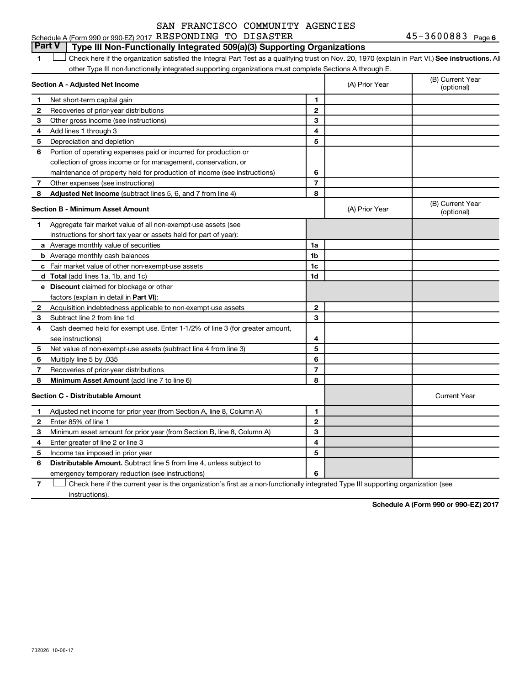### Schedule A (Form 990 or 990-EZ) 2017  $\verb|RESPONDING TO DISASTER$   $\verb|45-3600883 p_{age}$ SAN FRANCISCO COMMUNITY AGENCIES

### **Part V Type III Non-Functionally Integrated 509(a)(3) Supporting Organizations**

1 **Letter See instructions.** All Check here if the organization satisfied the Integral Part Test as a qualifying trust on Nov. 20, 1970 (explain in Part VI.) See instructions. All other Type III non-functionally integrated supporting organizations must complete Sections A through E.

|              | Section A - Adjusted Net Income                                              |                | (A) Prior Year | (B) Current Year<br>(optional) |
|--------------|------------------------------------------------------------------------------|----------------|----------------|--------------------------------|
| 1            | Net short-term capital gain                                                  | 1              |                |                                |
| $\mathbf{2}$ | Recoveries of prior-year distributions                                       | $\overline{2}$ |                |                                |
| З            | Other gross income (see instructions)                                        | 3              |                |                                |
| 4            | Add lines 1 through 3                                                        | 4              |                |                                |
| 5            | Depreciation and depletion                                                   | 5              |                |                                |
| 6            | Portion of operating expenses paid or incurred for production or             |                |                |                                |
|              | collection of gross income or for management, conservation, or               |                |                |                                |
|              | maintenance of property held for production of income (see instructions)     | 6              |                |                                |
| 7            | Other expenses (see instructions)                                            | $\overline{7}$ |                |                                |
| 8            | Adjusted Net Income (subtract lines 5, 6, and 7 from line 4)                 | 8              |                |                                |
|              | <b>Section B - Minimum Asset Amount</b>                                      |                | (A) Prior Year | (B) Current Year<br>(optional) |
| 1            | Aggregate fair market value of all non-exempt-use assets (see                |                |                |                                |
|              | instructions for short tax year or assets held for part of year):            |                |                |                                |
|              | a Average monthly value of securities                                        | 1a             |                |                                |
|              | <b>b</b> Average monthly cash balances                                       | 1b             |                |                                |
|              | c Fair market value of other non-exempt-use assets                           | 1c             |                |                                |
|              | <b>d</b> Total (add lines 1a, 1b, and 1c)                                    | 1d             |                |                                |
|              | e Discount claimed for blockage or other                                     |                |                |                                |
|              | factors (explain in detail in Part VI):                                      |                |                |                                |
| 2            | Acquisition indebtedness applicable to non-exempt-use assets                 | $\mathbf{2}$   |                |                                |
| 3            | Subtract line 2 from line 1d                                                 | 3              |                |                                |
| 4            | Cash deemed held for exempt use. Enter 1-1/2% of line 3 (for greater amount, |                |                |                                |
|              | see instructions)                                                            | 4              |                |                                |
| 5            | Net value of non-exempt-use assets (subtract line 4 from line 3)             | 5              |                |                                |
| 6            | Multiply line 5 by .035                                                      | 6              |                |                                |
| 7            | Recoveries of prior-year distributions                                       | 7              |                |                                |
| 8            | Minimum Asset Amount (add line 7 to line 6)                                  | 8              |                |                                |
|              | <b>Section C - Distributable Amount</b>                                      |                |                | <b>Current Year</b>            |
| 1            | Adjusted net income for prior year (from Section A, line 8, Column A)        | 1              |                |                                |
| 2            | Enter 85% of line 1                                                          | $\overline{2}$ |                |                                |
| З            | Minimum asset amount for prior year (from Section B, line 8, Column A)       | 3              |                |                                |
| 4            | Enter greater of line 2 or line 3                                            | 4              |                |                                |
| 5            | Income tax imposed in prior year                                             | 5              |                |                                |
| 6            | <b>Distributable Amount.</b> Subtract line 5 from line 4, unless subject to  |                |                |                                |
|              | emergency temporary reduction (see instructions)                             | 6              |                |                                |

**7** Let Check here if the current year is the organization's first as a non-functionally integrated Type III supporting organization (see instructions).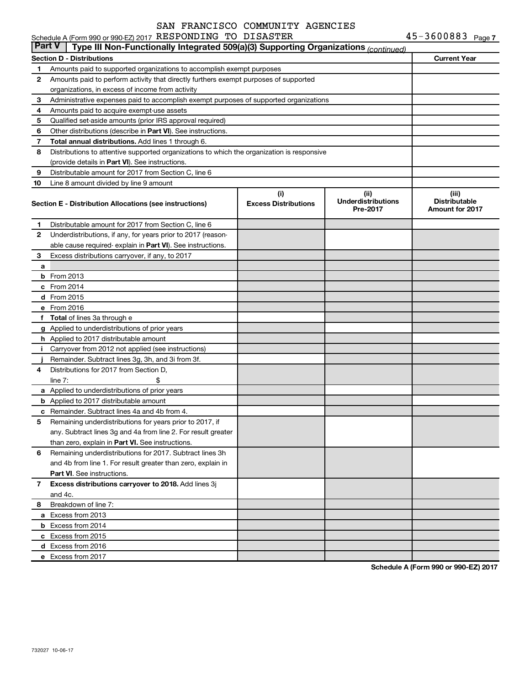### SAN FRANCISCO COMMUNITY AGENCIES

|        | Schedule A (Form 990 or 990-EZ) 2017 RESPONDING TO DISASTER                                |                                    |                                               | $45 - 3600883$ Page 7                                   |
|--------|--------------------------------------------------------------------------------------------|------------------------------------|-----------------------------------------------|---------------------------------------------------------|
| Part V | Type III Non-Functionally Integrated 509(a)(3) Supporting Organizations (continued)        |                                    |                                               |                                                         |
|        | <b>Section D - Distributions</b>                                                           |                                    |                                               | <b>Current Year</b>                                     |
| 1      | Amounts paid to supported organizations to accomplish exempt purposes                      |                                    |                                               |                                                         |
| 2      | Amounts paid to perform activity that directly furthers exempt purposes of supported       |                                    |                                               |                                                         |
|        | organizations, in excess of income from activity                                           |                                    |                                               |                                                         |
| 3      | Administrative expenses paid to accomplish exempt purposes of supported organizations      |                                    |                                               |                                                         |
| 4      | Amounts paid to acquire exempt-use assets                                                  |                                    |                                               |                                                         |
| 5      | Qualified set-aside amounts (prior IRS approval required)                                  |                                    |                                               |                                                         |
| 6      | Other distributions (describe in Part VI). See instructions.                               |                                    |                                               |                                                         |
| 7      | Total annual distributions. Add lines 1 through 6.                                         |                                    |                                               |                                                         |
| 8      | Distributions to attentive supported organizations to which the organization is responsive |                                    |                                               |                                                         |
|        | (provide details in Part VI). See instructions.                                            |                                    |                                               |                                                         |
| 9      | Distributable amount for 2017 from Section C, line 6                                       |                                    |                                               |                                                         |
| 10     | Line 8 amount divided by line 9 amount                                                     |                                    |                                               |                                                         |
|        | Section E - Distribution Allocations (see instructions)                                    | (i)<br><b>Excess Distributions</b> | (ii)<br><b>Underdistributions</b><br>Pre-2017 | (iii)<br><b>Distributable</b><br><b>Amount for 2017</b> |
| 1.     | Distributable amount for 2017 from Section C, line 6                                       |                                    |                                               |                                                         |
| 2      | Underdistributions, if any, for years prior to 2017 (reason-                               |                                    |                                               |                                                         |
|        | able cause required-explain in Part VI). See instructions.                                 |                                    |                                               |                                                         |
| З      | Excess distributions carryover, if any, to 2017                                            |                                    |                                               |                                                         |
| a      |                                                                                            |                                    |                                               |                                                         |
|        | <b>b</b> From 2013                                                                         |                                    |                                               |                                                         |
|        | $c$ From 2014                                                                              |                                    |                                               |                                                         |
|        | d From 2015                                                                                |                                    |                                               |                                                         |
|        | e From 2016                                                                                |                                    |                                               |                                                         |
| f.     | <b>Total</b> of lines 3a through e                                                         |                                    |                                               |                                                         |
|        | g Applied to underdistributions of prior years                                             |                                    |                                               |                                                         |
|        | h Applied to 2017 distributable amount                                                     |                                    |                                               |                                                         |
| Ť.     | Carryover from 2012 not applied (see instructions)                                         |                                    |                                               |                                                         |
|        | Remainder. Subtract lines 3g, 3h, and 3i from 3f.                                          |                                    |                                               |                                                         |
| 4      | Distributions for 2017 from Section D,                                                     |                                    |                                               |                                                         |
|        | line $7:$                                                                                  |                                    |                                               |                                                         |
|        | a Applied to underdistributions of prior years                                             |                                    |                                               |                                                         |
|        | <b>b</b> Applied to 2017 distributable amount                                              |                                    |                                               |                                                         |
|        | <b>c</b> Remainder. Subtract lines 4a and 4b from 4.                                       |                                    |                                               |                                                         |
|        | Remaining underdistributions for years prior to 2017, if                                   |                                    |                                               |                                                         |
|        | any. Subtract lines 3g and 4a from line 2. For result greater                              |                                    |                                               |                                                         |
|        | than zero, explain in Part VI. See instructions.                                           |                                    |                                               |                                                         |
| 6      | Remaining underdistributions for 2017. Subtract lines 3h                                   |                                    |                                               |                                                         |
|        | and 4b from line 1. For result greater than zero, explain in                               |                                    |                                               |                                                         |
|        | <b>Part VI.</b> See instructions.                                                          |                                    |                                               |                                                         |
| 7      | Excess distributions carryover to 2018. Add lines 3j                                       |                                    |                                               |                                                         |
|        | and 4c.                                                                                    |                                    |                                               |                                                         |
| 8      | Breakdown of line 7:                                                                       |                                    |                                               |                                                         |
|        | a Excess from 2013                                                                         |                                    |                                               |                                                         |
|        | <b>b</b> Excess from 2014                                                                  |                                    |                                               |                                                         |
|        | c Excess from 2015                                                                         |                                    |                                               |                                                         |
|        | d Excess from 2016                                                                         |                                    |                                               |                                                         |
|        | e Excess from 2017                                                                         |                                    |                                               |                                                         |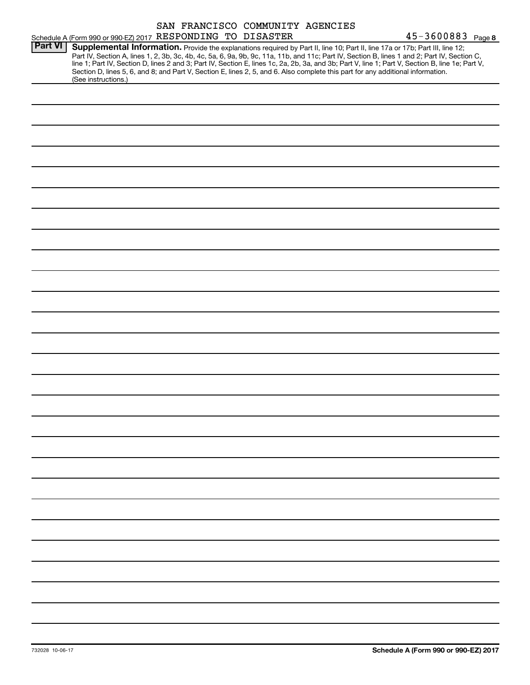|                |                                                                                                                                                        |  | SAN FRANCISCO COMMUNITY AGENCIES |                                                                                                                                                                                                                                                                                                                                                                                                                                   |
|----------------|--------------------------------------------------------------------------------------------------------------------------------------------------------|--|----------------------------------|-----------------------------------------------------------------------------------------------------------------------------------------------------------------------------------------------------------------------------------------------------------------------------------------------------------------------------------------------------------------------------------------------------------------------------------|
|                | Schedule A (Form 990 or 990-EZ) 2017 RESPONDING TO DISASTER                                                                                            |  |                                  | 45-3600883 Page 8                                                                                                                                                                                                                                                                                                                                                                                                                 |
| <b>Part VI</b> | Section D, lines 5, 6, and 8; and Part V, Section E, lines 2, 5, and 6. Also complete this part for any additional information.<br>(See instructions.) |  |                                  | Supplemental Information. Provide the explanations required by Part II, line 10; Part II, line 17a or 17b; Part III, line 12;<br>Part IV, Section A, lines 1, 2, 3b, 3c, 4b, 4c, 5a, 6, 9a, 9b, 9c, 11a, 11b, and 11c; Part IV, Section B, lines 1 and 2; Part IV, Section C,<br>line 1; Part IV, Section D, lines 2 and 3; Part IV, Section E, lines 1c, 2a, 2b, 3a, and 3b; Part V, line 1; Part V, Section B, line 1e; Part V, |
|                |                                                                                                                                                        |  |                                  |                                                                                                                                                                                                                                                                                                                                                                                                                                   |
|                |                                                                                                                                                        |  |                                  |                                                                                                                                                                                                                                                                                                                                                                                                                                   |
|                |                                                                                                                                                        |  |                                  |                                                                                                                                                                                                                                                                                                                                                                                                                                   |
|                |                                                                                                                                                        |  |                                  |                                                                                                                                                                                                                                                                                                                                                                                                                                   |
|                |                                                                                                                                                        |  |                                  |                                                                                                                                                                                                                                                                                                                                                                                                                                   |
|                |                                                                                                                                                        |  |                                  |                                                                                                                                                                                                                                                                                                                                                                                                                                   |
|                |                                                                                                                                                        |  |                                  |                                                                                                                                                                                                                                                                                                                                                                                                                                   |
|                |                                                                                                                                                        |  |                                  |                                                                                                                                                                                                                                                                                                                                                                                                                                   |
|                |                                                                                                                                                        |  |                                  |                                                                                                                                                                                                                                                                                                                                                                                                                                   |
|                |                                                                                                                                                        |  |                                  |                                                                                                                                                                                                                                                                                                                                                                                                                                   |
|                |                                                                                                                                                        |  |                                  |                                                                                                                                                                                                                                                                                                                                                                                                                                   |
|                |                                                                                                                                                        |  |                                  |                                                                                                                                                                                                                                                                                                                                                                                                                                   |
|                |                                                                                                                                                        |  |                                  |                                                                                                                                                                                                                                                                                                                                                                                                                                   |
|                |                                                                                                                                                        |  |                                  |                                                                                                                                                                                                                                                                                                                                                                                                                                   |
|                |                                                                                                                                                        |  |                                  |                                                                                                                                                                                                                                                                                                                                                                                                                                   |
|                |                                                                                                                                                        |  |                                  |                                                                                                                                                                                                                                                                                                                                                                                                                                   |
|                |                                                                                                                                                        |  |                                  |                                                                                                                                                                                                                                                                                                                                                                                                                                   |
|                |                                                                                                                                                        |  |                                  |                                                                                                                                                                                                                                                                                                                                                                                                                                   |
|                |                                                                                                                                                        |  |                                  |                                                                                                                                                                                                                                                                                                                                                                                                                                   |
|                |                                                                                                                                                        |  |                                  |                                                                                                                                                                                                                                                                                                                                                                                                                                   |
|                |                                                                                                                                                        |  |                                  |                                                                                                                                                                                                                                                                                                                                                                                                                                   |
|                |                                                                                                                                                        |  |                                  |                                                                                                                                                                                                                                                                                                                                                                                                                                   |
|                |                                                                                                                                                        |  |                                  |                                                                                                                                                                                                                                                                                                                                                                                                                                   |
|                |                                                                                                                                                        |  |                                  |                                                                                                                                                                                                                                                                                                                                                                                                                                   |
|                |                                                                                                                                                        |  |                                  |                                                                                                                                                                                                                                                                                                                                                                                                                                   |
|                |                                                                                                                                                        |  |                                  |                                                                                                                                                                                                                                                                                                                                                                                                                                   |
|                |                                                                                                                                                        |  |                                  |                                                                                                                                                                                                                                                                                                                                                                                                                                   |
|                |                                                                                                                                                        |  |                                  |                                                                                                                                                                                                                                                                                                                                                                                                                                   |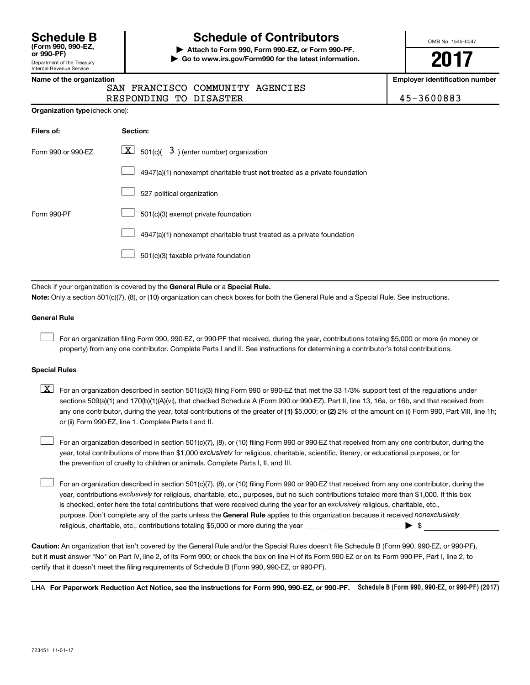| <b>Schedule B</b><br>(Form 990, 990-EZ, |
|-----------------------------------------|
| or 990-PF)                              |
| Denartment of the Treasury              |

## Department of the Treasury Internal Revenue Service

## **Schedule of Contributors**

**or 990-PF) | Attach to Form 990, Form 990-EZ, or Form 990-PF. | Go to www.irs.gov/Form990 for the latest information.** OMB No. 1545-0047

**2017**

**Name of the organization Employer identification number**

| ו השוווכ טו נווכ טו שמווובמנוטוו |  |  |            |  |
|----------------------------------|--|--|------------|--|
|                                  |  |  | <b>CL7</b> |  |

**Organization type** (check one):

SAN FRANCISCO COMMUNITY AGENCIES

RESPONDING TO DISASTER **ALCORD 145-3600883** 

| Filers of:         | Section:                                                                  |
|--------------------|---------------------------------------------------------------------------|
| Form 990 or 990-EZ | $\boxed{\mathbf{X}}$ 501(c)( 3) (enter number) organization               |
|                    | 4947(a)(1) nonexempt charitable trust not treated as a private foundation |
|                    | 527 political organization                                                |
| Form 990-PF        | 501(c)(3) exempt private foundation                                       |
|                    | 4947(a)(1) nonexempt charitable trust treated as a private foundation     |
|                    | 501(c)(3) taxable private foundation                                      |
|                    |                                                                           |

Check if your organization is covered by the General Rule or a Special Rule.

**Note:**  Only a section 501(c)(7), (8), or (10) organization can check boxes for both the General Rule and a Special Rule. See instructions.

#### **General Rule**

 $\Box$ 

For an organization filing Form 990, 990-EZ, or 990-PF that received, during the year, contributions totaling \$5,000 or more (in money or property) from any one contributor. Complete Parts I and II. See instructions for determining a contributor's total contributions.

#### **Special Rules**

any one contributor, during the year, total contributions of the greater of (1) \$5,000; or (2) 2% of the amount on (i) Form 990, Part VIII, line 1h;  $\boxed{\text{X}}$  For an organization described in section 501(c)(3) filing Form 990 or 990-EZ that met the 33 1/3% support test of the regulations under sections 509(a)(1) and 170(b)(1)(A)(vi), that checked Schedule A (Form 990 or 990-EZ), Part II, line 13, 16a, or 16b, and that received from or (ii) Form 990-EZ, line 1. Complete Parts I and II.

year, total contributions of more than \$1,000 *exclusively* for religious, charitable, scientific, literary, or educational purposes, or for For an organization described in section 501(c)(7), (8), or (10) filing Form 990 or 990-EZ that received from any one contributor, during the the prevention of cruelty to children or animals. Complete Parts I, II, and III.  $\Box$ 

purpose. Don't complete any of the parts unless the General Rule applies to this organization because it received nonexclusively year, contributions exclusively for religious, charitable, etc., purposes, but no such contributions totaled more than \$1,000. If this box is checked, enter here the total contributions that were received during the year for an exclusively religious, charitable, etc., For an organization described in section 501(c)(7), (8), or (10) filing Form 990 or 990-EZ that received from any one contributor, during the religious, charitable, etc., contributions totaling \$5,000 or more during the year  $\ldots$  $\ldots$  $\ldots$  $\ldots$  $\ldots$  $\ldots$  $\Box$ 

**Caution:**  An organization that isn't covered by the General Rule and/or the Special Rules doesn't file Schedule B (Form 990, 990-EZ, or 990-PF),  **must** but it answer "No" on Part IV, line 2, of its Form 990; or check the box on line H of its Form 990-EZ or on its Form 990-PF, Part I, line 2, to certify that it doesn't meet the filing requirements of Schedule B (Form 990, 990-EZ, or 990-PF).

LHA For Paperwork Reduction Act Notice, see the instructions for Form 990, 990-EZ, or 990-PF. Schedule B (Form 990, 990-EZ, or 990-PF) (2017)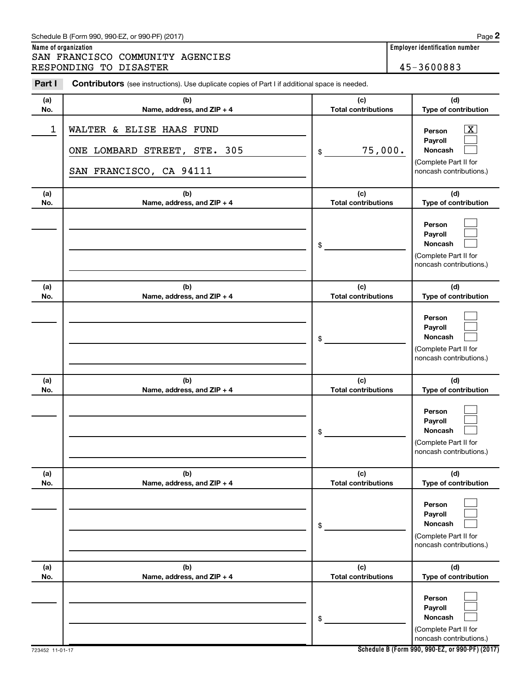| Schedule B (Form 990, 990-EZ, or 990-PF) (2017)<br>. The set of $\mathcal{L}$ is the set of $\mathcal{L}$ | Page |
|-----------------------------------------------------------------------------------------------------------|------|
|-----------------------------------------------------------------------------------------------------------|------|

**Name of organization Employer identification number** SAN FRANCISCO COMMUNITY AGENCIES RESPONDING TO DISASTER 45-3600883

| Part I     | <b>Contributors</b> (see instructions). Use duplicate copies of Part I if additional space is needed. |                                   |                                                                                                        |  |  |  |
|------------|-------------------------------------------------------------------------------------------------------|-----------------------------------|--------------------------------------------------------------------------------------------------------|--|--|--|
| (a)<br>No. | (b)<br>Name, address, and ZIP + 4                                                                     | (c)<br><b>Total contributions</b> | (d)<br>Type of contribution                                                                            |  |  |  |
| 1          | WALTER & ELISE HAAS FUND<br>305<br>ONE LOMBARD STREET, STE.<br>SAN FRANCISCO, CA 94111                | 75,000.<br>\$                     | $\boxed{\text{X}}$<br>Person<br>Payroll<br>Noncash<br>(Complete Part II for<br>noncash contributions.) |  |  |  |
| (a)<br>No. | (b)<br>Name, address, and ZIP + 4                                                                     | (c)<br><b>Total contributions</b> | (d)<br>Type of contribution                                                                            |  |  |  |
|            |                                                                                                       | \$                                | Person<br>Payroll<br>Noncash<br>(Complete Part II for<br>noncash contributions.)                       |  |  |  |
| (a)<br>No. | (b)<br>Name, address, and ZIP + 4                                                                     | (c)<br><b>Total contributions</b> | (d)<br>Type of contribution                                                                            |  |  |  |
|            |                                                                                                       | \$                                | Person<br>Payroll<br>Noncash<br>(Complete Part II for<br>noncash contributions.)                       |  |  |  |
| (a)<br>No. | (b)<br>Name, address, and ZIP + 4                                                                     | (c)<br><b>Total contributions</b> | (d)<br>Type of contribution                                                                            |  |  |  |
|            |                                                                                                       | \$                                | Person<br>Payroll<br><b>Noncash</b><br>(Complete Part II for<br>noncash contributions.)                |  |  |  |
| (a)<br>No. | (b)<br>Name, address, and ZIP + 4                                                                     | (c)<br><b>Total contributions</b> | (d)<br>Type of contribution                                                                            |  |  |  |
|            |                                                                                                       | \$                                | Person<br>Payroll<br>Noncash<br>(Complete Part II for<br>noncash contributions.)                       |  |  |  |
| (a)<br>No. | (b)<br>Name, address, and ZIP + 4                                                                     | (c)<br><b>Total contributions</b> | (d)<br>Type of contribution                                                                            |  |  |  |
|            |                                                                                                       | \$                                | Person<br>Payroll<br>Noncash<br>(Complete Part II for<br>noncash contributions.)                       |  |  |  |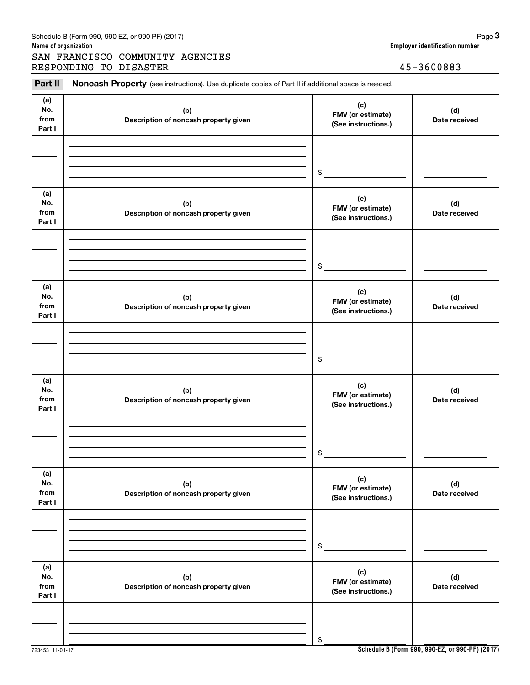| (a)<br>No.<br>from<br>Part I | (b)<br>Description of noncash property given | (c)<br>FMV (or estimate)<br>(See instructions.) | (d)<br>Date received                            |
|------------------------------|----------------------------------------------|-------------------------------------------------|-------------------------------------------------|
|                              |                                              | \$                                              |                                                 |
| (a)<br>No.<br>from<br>Part I | (b)<br>Description of noncash property given | (c)<br>FMV (or estimate)<br>(See instructions.) | (d)<br>Date received                            |
|                              |                                              | \$                                              |                                                 |
| (a)<br>No.<br>from<br>Part I | (b)<br>Description of noncash property given | (c)<br>FMV (or estimate)<br>(See instructions.) | (d)<br>Date received                            |
|                              |                                              | \$                                              |                                                 |
| (a)<br>No.<br>from<br>Part I | (b)<br>Description of noncash property given | (c)<br>FMV (or estimate)<br>(See instructions.) | (d)<br>Date received                            |
|                              |                                              | \$                                              |                                                 |
| (a)<br>No.<br>from<br>Part I | (b)<br>Description of noncash property given | (c)<br>FMV (or estimate)<br>(See instructions.) | (d)<br>Date received                            |
|                              |                                              | \$                                              |                                                 |
| (a)<br>No.<br>from<br>Part I | (b)<br>Description of noncash property given | (c)<br>FMV (or estimate)<br>(See instructions.) | (d)<br>Date received                            |
|                              |                                              | \$                                              |                                                 |
| 723453 11-01-17              |                                              |                                                 | Schedule B (Form 990, 990-EZ, or 990-PF) (2017) |

#### Schedule B (Form 990, 990-EZ, or 990-PF) (2017)

SAN FRANCISCO COMMUNITY AGENCIES RESPONDING TO DISASTER 45-3600883

Part II Noncash Property (see instructions). Use duplicate copies of Part II if additional space is needed.

**Name of organization Employer identification number**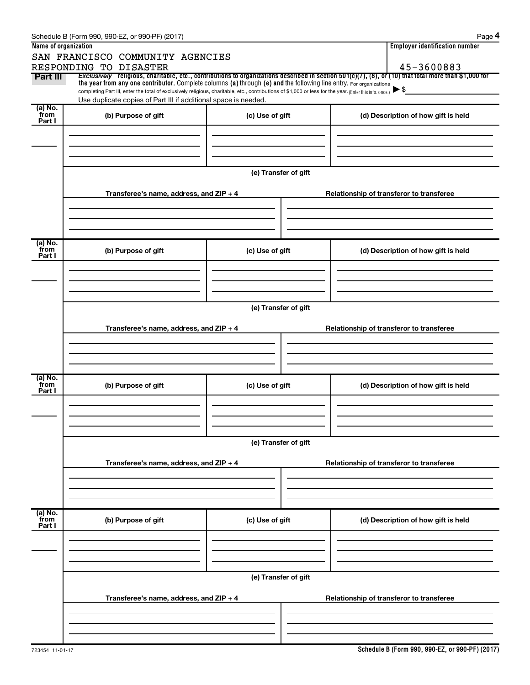| Name of organization      | Schedule B (Form 990, 990-EZ, or 990-PF) (2017)<br>SAN FRANCISCO COMMUNITY AGENCIES<br>RESPONDING TO DISASTER                                                                                                                                                                   |                                                                                                             | Page 4<br><b>Employer identification number</b><br>45-3600883                                                                                         |  |  |  |  |  |  |  |  |
|---------------------------|---------------------------------------------------------------------------------------------------------------------------------------------------------------------------------------------------------------------------------------------------------------------------------|-------------------------------------------------------------------------------------------------------------|-------------------------------------------------------------------------------------------------------------------------------------------------------|--|--|--|--|--|--|--|--|
| Part III                  | the year from any one contributor. Complete columns (a) through (e) and the following line entry. For organizations<br>completing Part III, enter the total of exclusively religious, charitable, etc., contributions of \$1,000 or less for the year. (Enter this info. once.) |                                                                                                             | Exclusively religious, charitable, etc., contributions to organizations described in section 501(c)(7), (8), or (10) that total more than \$1,000 for |  |  |  |  |  |  |  |  |
|                           | Use duplicate copies of Part III if additional space is needed.                                                                                                                                                                                                                 |                                                                                                             |                                                                                                                                                       |  |  |  |  |  |  |  |  |
| (a) No.<br>from<br>Part I | (b) Purpose of gift                                                                                                                                                                                                                                                             | (c) Use of gift                                                                                             | (d) Description of how gift is held                                                                                                                   |  |  |  |  |  |  |  |  |
|                           |                                                                                                                                                                                                                                                                                 |                                                                                                             |                                                                                                                                                       |  |  |  |  |  |  |  |  |
|                           |                                                                                                                                                                                                                                                                                 | (e) Transfer of gift<br>Transferee's name, address, and ZIP + 4<br>Relationship of transferor to transferee |                                                                                                                                                       |  |  |  |  |  |  |  |  |
|                           |                                                                                                                                                                                                                                                                                 |                                                                                                             |                                                                                                                                                       |  |  |  |  |  |  |  |  |
| (a) No.<br>from<br>Part I | (b) Purpose of gift                                                                                                                                                                                                                                                             | (c) Use of gift                                                                                             | (d) Description of how gift is held                                                                                                                   |  |  |  |  |  |  |  |  |
|                           |                                                                                                                                                                                                                                                                                 |                                                                                                             |                                                                                                                                                       |  |  |  |  |  |  |  |  |
|                           | (e) Transfer of gift                                                                                                                                                                                                                                                            |                                                                                                             |                                                                                                                                                       |  |  |  |  |  |  |  |  |
|                           | Transferee's name, address, and ZIP + 4                                                                                                                                                                                                                                         |                                                                                                             | Relationship of transferor to transferee                                                                                                              |  |  |  |  |  |  |  |  |
| (a) No.                   |                                                                                                                                                                                                                                                                                 |                                                                                                             |                                                                                                                                                       |  |  |  |  |  |  |  |  |
| from<br>Part I            | (b) Purpose of gift                                                                                                                                                                                                                                                             | (c) Use of gift                                                                                             | (d) Description of how gift is held                                                                                                                   |  |  |  |  |  |  |  |  |
|                           |                                                                                                                                                                                                                                                                                 |                                                                                                             |                                                                                                                                                       |  |  |  |  |  |  |  |  |
|                           | (e) Transfer of gift                                                                                                                                                                                                                                                            |                                                                                                             |                                                                                                                                                       |  |  |  |  |  |  |  |  |
|                           | Transferee's name, address, and ZIP + 4                                                                                                                                                                                                                                         |                                                                                                             | Relationship of transferor to transferee                                                                                                              |  |  |  |  |  |  |  |  |
|                           |                                                                                                                                                                                                                                                                                 |                                                                                                             |                                                                                                                                                       |  |  |  |  |  |  |  |  |
| (a) No.<br>from<br>Part I | (b) Purpose of gift                                                                                                                                                                                                                                                             | (c) Use of gift                                                                                             | (d) Description of how gift is held                                                                                                                   |  |  |  |  |  |  |  |  |
|                           |                                                                                                                                                                                                                                                                                 |                                                                                                             |                                                                                                                                                       |  |  |  |  |  |  |  |  |
|                           | (e) Transfer of gift                                                                                                                                                                                                                                                            |                                                                                                             |                                                                                                                                                       |  |  |  |  |  |  |  |  |
|                           | Transferee's name, address, and ZIP + 4                                                                                                                                                                                                                                         |                                                                                                             | Relationship of transferor to transferee                                                                                                              |  |  |  |  |  |  |  |  |
|                           |                                                                                                                                                                                                                                                                                 |                                                                                                             |                                                                                                                                                       |  |  |  |  |  |  |  |  |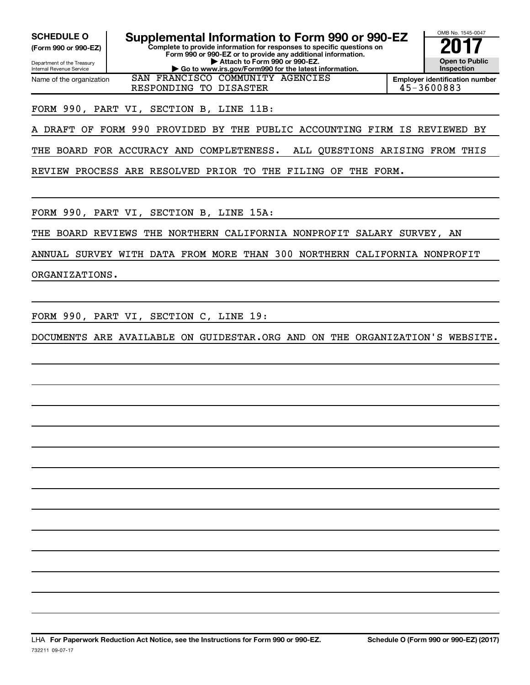**(Form 990 or 990-EZ)**

Department of the Treasury Internal Revenue Service Name of the organization

**Complete to provide information for responses to specific questions on SCHEDULE O Supplemental Information to Form 990 or 990-EZ 2017**<br>(Form 990 or 990-EZ) Complete to provide information for responses to specific questions on

**| Go to www.irs.gov/Form990 for the latest information.**

**Form 990 or 990-EZ or to provide any additional information. | Attach to Form 990 or 990-EZ.**



**Employer identification number** RESPONDING TO DISASTER **ALCORD 1999 15-3600883** 

### FORM 990, PART VI, SECTION B, LINE 11B:

A DRAFT OF FORM 990 PROVIDED BY THE PUBLIC ACCOUNTING FIRM IS REVIEWED BY

THE BOARD FOR ACCURACY AND COMPLETENESS. ALL QUESTIONS ARISING FROM THIS

REVIEW PROCESS ARE RESOLVED PRIOR TO THE FILING OF THE FORM.

SAN FRANCISCO COMMUNITY AGENCIES

FORM 990, PART VI, SECTION B, LINE 15A:

THE BOARD REVIEWS THE NORTHERN CALIFORNIA NONPROFIT SALARY SURVEY, AN

ANNUAL SURVEY WITH DATA FROM MORE THAN 300 NORTHERN CALIFORNIA NONPROFIT

ORGANIZATIONS.

FORM 990, PART VI, SECTION C, LINE 19:

DOCUMENTS ARE AVAILABLE ON GUIDESTAR.ORG AND ON THE ORGANIZATION'S WEBSITE.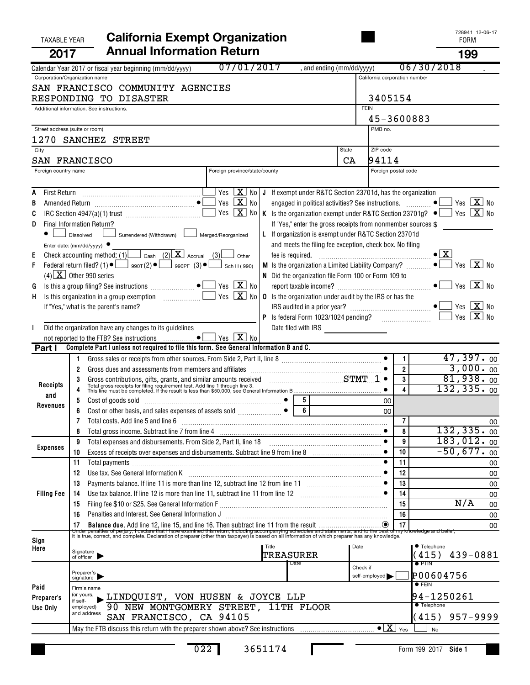| <b>TAXABLE YEAR</b>            | <b>California Exempt Organization</b>                                                                                                                                                                                                                                                                                                                                                                                                  |                                                              |                                | /28941 12-06-17<br><b>FORM</b>                      |
|--------------------------------|----------------------------------------------------------------------------------------------------------------------------------------------------------------------------------------------------------------------------------------------------------------------------------------------------------------------------------------------------------------------------------------------------------------------------------------|--------------------------------------------------------------|--------------------------------|-----------------------------------------------------|
| 2017                           | <b>Annual Information Return</b>                                                                                                                                                                                                                                                                                                                                                                                                       |                                                              |                                | 199                                                 |
|                                | 07/01/2017<br>Calendar Year 2017 or fiscal year beginning (mm/dd/yyyy)                                                                                                                                                                                                                                                                                                                                                                 | , and ending (mm/dd/yyyy)                                    |                                | 06/30/2018                                          |
|                                | Corporation/Organization name                                                                                                                                                                                                                                                                                                                                                                                                          |                                                              | California corporation number  |                                                     |
|                                | SAN FRANCISCO COMMUNITY AGENCIES<br>RESPONDING TO DISASTER                                                                                                                                                                                                                                                                                                                                                                             |                                                              | 3405154                        |                                                     |
|                                | Additional information. See instructions.                                                                                                                                                                                                                                                                                                                                                                                              |                                                              | <b>FEIN</b>                    |                                                     |
|                                |                                                                                                                                                                                                                                                                                                                                                                                                                                        |                                                              | 45-3600883                     |                                                     |
| Street address (suite or room) |                                                                                                                                                                                                                                                                                                                                                                                                                                        |                                                              | PMB no.                        |                                                     |
|                                | 1270 SANCHEZ STREET                                                                                                                                                                                                                                                                                                                                                                                                                    |                                                              |                                |                                                     |
| City                           | SAN FRANCISCO                                                                                                                                                                                                                                                                                                                                                                                                                          | State<br>CA                                                  | ZIP code<br>94114              |                                                     |
| Foreign country name           | Foreign province/state/county                                                                                                                                                                                                                                                                                                                                                                                                          |                                                              | Foreign postal code            |                                                     |
|                                |                                                                                                                                                                                                                                                                                                                                                                                                                                        |                                                              |                                |                                                     |
| Α                              | $\sqrt{2}$ Yes $\sqrt{X}$ No $\sqrt{J}$ If exempt under R&TC Section 23701d, has the organization                                                                                                                                                                                                                                                                                                                                      |                                                              |                                |                                                     |
| В                              | Yes $X$ No                                                                                                                                                                                                                                                                                                                                                                                                                             | engaged in political activities? See instructions.           |                                | Yes $\boxed{\mathbf{X}}$ No                         |
| C<br>D                         | Yes $\boxed{\mathbf{X}}$ No   K is the organization exempt under R&TC Section 23701g? $\bullet$<br>Final Information Return?                                                                                                                                                                                                                                                                                                           | If "Yes," enter the gross receipts from nonmember sources \$ |                                | $Yes$ $X$ No                                        |
|                                | L If organization is exempt under R&TC Section 23701d<br>Dissolved<br>Surrendered (Withdrawn) Merged/Reorganized                                                                                                                                                                                                                                                                                                                       |                                                              |                                |                                                     |
|                                | Enter date: (mm/dd/yyyy) $\bullet$                                                                                                                                                                                                                                                                                                                                                                                                     | and meets the filing fee exception, check box. No filing     |                                |                                                     |
| Е                              | Check accounting method: (1) $\Box$ Cash (2) $\Box$ Accrual (3) other<br>fee is required.                                                                                                                                                                                                                                                                                                                                              |                                                              |                                | $\bullet$ X                                         |
| F                              | Federal return filed? (1) $\bullet$ $\Box$ 990T(2) $\bullet$ $\Box$ 990PF (3) $\bullet$ $\Box$ Sch H(990)<br>M Is the organization a Limited Liability Company?                                                                                                                                                                                                                                                                        |                                                              |                                | Yes $\boxed{\mathbf{X}}$ No                         |
|                                | $(4)$ $\overline{\textbf{X}}$ Other 990 series<br>N Did the organization file Form 100 or Form 109 to<br>Is this a group filing? See instructions $\begin{picture}(16,17) \put(0,0){\line(1,0){10}} \put(15,0){\line(1,0){10}} \put(15,0){\line(1,0){10}} \put(15,0){\line(1,0){10}} \put(15,0){\line(1,0){10}} \put(15,0){\line(1,0){10}} \put(15,0){\line(1,0){10}} \put(15,0){\line(1,0){10}} \put(15,0){\line(1,0){10}} \put(15,0$ |                                                              |                                | $\sqrt{}$ Yes $\sqrt{}$ X $\sqrt{}$ No<br>$\bullet$ |
| G<br>н                         | Yes $X_{\text{NO}}$<br>Is this organization in a group exemption<br><b>0</b> Is the organization under audit by the IRS or has the                                                                                                                                                                                                                                                                                                     |                                                              |                                |                                                     |
|                                | If "Yes," what is the parent's name?                                                                                                                                                                                                                                                                                                                                                                                                   |                                                              |                                | Yes $X _{No}$                                       |
|                                |                                                                                                                                                                                                                                                                                                                                                                                                                                        |                                                              |                                | Yes $X$ No                                          |
|                                | Did the organization have any changes to its guidelines                                                                                                                                                                                                                                                                                                                                                                                | Date filed with IRS <u>____________________</u>              |                                |                                                     |
| Part I                         | $\forall$ es $\boxed{\mathbf{X}}$ No<br>Complete Part I unless not required to file this form. See General Information B and C.                                                                                                                                                                                                                                                                                                        |                                                              |                                |                                                     |
|                                | Gross sales or receipts from other sources. From Side 2, Part II, line 8 [11, 1110] (11, 111, 111, 111, 111, 1<br>1                                                                                                                                                                                                                                                                                                                    |                                                              | $\mathbf{1}$                   | $47,397.$ 00                                        |
|                                | 2                                                                                                                                                                                                                                                                                                                                                                                                                                      |                                                              | $\overline{2}$                 | 3,000.00                                            |
| Receipts                       | $STMT$ 1.<br>Gross contributions, gifts, grants, and similar amounts received<br>Total gross receipts for filing requirement test. Add line 1 through line 3.<br>This line must be completed. If the result is less than \$50,000, see General Inf                                                                                                                                                                                     |                                                              | 3                              | 81,938.00                                           |
| and                            |                                                                                                                                                                                                                                                                                                                                                                                                                                        |                                                              | 4                              | 132, 335.00                                         |
| Revenues                       | 5  <br>Cost of goods sold<br>$\overline{6}$                                                                                                                                                                                                                                                                                                                                                                                            |                                                              | 00                             |                                                     |
|                                | Total costs. Add line 5 and line 6                                                                                                                                                                                                                                                                                                                                                                                                     |                                                              | 00<br>$\overline{\phantom{a}}$ | 00                                                  |
|                                | 8                                                                                                                                                                                                                                                                                                                                                                                                                                      |                                                              | 8                              | 132, 335.00                                         |
| <b>Expenses</b>                | 9                                                                                                                                                                                                                                                                                                                                                                                                                                      |                                                              | 9                              | 183,012.00                                          |
|                                | 10                                                                                                                                                                                                                                                                                                                                                                                                                                     |                                                              | 10                             | $-50,677.00$                                        |
|                                | 11<br>Total payments [111] matter and the contract of the contract of the contract of the contract of the contract of the contract of the contract of the contract of the contract of the contract of the contract of the contract o                                                                                                                                                                                                   |                                                              | 11                             | 00                                                  |
|                                | 12<br>13                                                                                                                                                                                                                                                                                                                                                                                                                               |                                                              | 12<br>13                       | 00<br>00                                            |
| <b>Filing Fee</b>              | Use tax balance. If line 12 is more than line 11, subtract line 11 from line 12 [11] [12] [11] Use tax balance. If line 12 [13] Use tax balance. If line 12<br>14                                                                                                                                                                                                                                                                      |                                                              | 14                             | 00                                                  |
|                                | 15                                                                                                                                                                                                                                                                                                                                                                                                                                     |                                                              | 15                             | N/A<br>00                                           |
|                                | Penalties and Interest. See General Information J<br>16                                                                                                                                                                                                                                                                                                                                                                                |                                                              | 16                             | 00                                                  |
|                                |                                                                                                                                                                                                                                                                                                                                                                                                                                        |                                                              |                                | 00                                                  |
| Sign                           |                                                                                                                                                                                                                                                                                                                                                                                                                                        |                                                              |                                |                                                     |
| Here                           | Title<br>Signature<br>of officer<br>TREASURER                                                                                                                                                                                                                                                                                                                                                                                          | Date                                                         |                                | ● Telephone<br>(415) 439-0881                       |
|                                | Date                                                                                                                                                                                                                                                                                                                                                                                                                                   | Check if                                                     |                                | $\bullet$ PTIN                                      |
|                                | Preparer's<br>signature                                                                                                                                                                                                                                                                                                                                                                                                                |                                                              | self-employed                  | P00604756                                           |
| Paid                           | Firm's name                                                                                                                                                                                                                                                                                                                                                                                                                            |                                                              |                                | $\bullet$ FEIN                                      |
| Preparer's                     | (or yours,<br>LINDQUIST, VON HUSEN & JOYCE LLP<br>if self-<br>90 NEW MONTGOMERY STREET, 11TH FLOOR                                                                                                                                                                                                                                                                                                                                     |                                                              |                                | 94-1250261<br><b>Telephone</b>                      |
| Use Only                       | employed)<br>and address<br>SAN FRANCISCO, CA 94105                                                                                                                                                                                                                                                                                                                                                                                    |                                                              |                                | (415) 957-9999                                      |
|                                | May the FTB discuss this return with the preparer shown above? See instructions $\overline{\ldots}$ $\ldots$ $\overline{\ldots}$ $\bullet$ $\boxed{\mathbf{X}}$                                                                                                                                                                                                                                                                        |                                                              | Yes                            | <b>No</b>                                           |
|                                |                                                                                                                                                                                                                                                                                                                                                                                                                                        |                                                              |                                |                                                     |

| 022 <sub>1</sub> | 3651174 |
|------------------|---------|
|------------------|---------|

L

**Side 1** Form 199 2017

ш

728941 12-06-17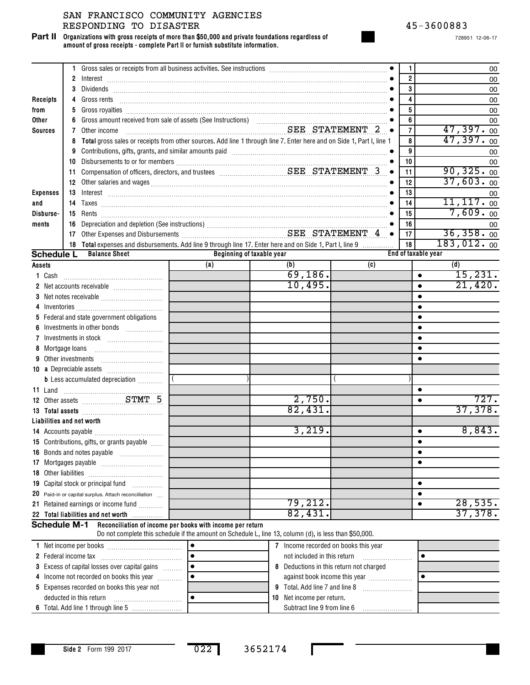#### SAN FRANCISCO COMMUNITY AGENCIES RESPONDING TO DISASTER 1999 120 120 13 22 23 245 - 3600883

**Organizations with gross receipts of more than \$50,000 and private foundations regardless of amount of gross receipts - complete Part II or furnish substitute information. Part II**

728951 12-06-17

|                     |                     |              | 1 Gross sales or receipts from all business activities. See instructions [11] Gross sales or receipts from all business activities. See instructions [11] Gross sales or receipts from all business activities.               |  |           |                           |  |                                |  |                                       |           | 1                       | 00           |  |  |  |
|---------------------|---------------------|--------------|-------------------------------------------------------------------------------------------------------------------------------------------------------------------------------------------------------------------------------|--|-----------|---------------------------|--|--------------------------------|--|---------------------------------------|-----------|-------------------------|--------------|--|--|--|
|                     |                     | $\mathbf{2}$ | $\blacksquare$                                                                                                                                                                                                                |  |           |                           |  |                                |  |                                       |           | $\overline{2}$          | 00           |  |  |  |
|                     |                     | 3            |                                                                                                                                                                                                                               |  |           |                           |  |                                |  |                                       |           | 3                       | 00           |  |  |  |
| Receipts            |                     |              |                                                                                                                                                                                                                               |  |           |                           |  |                                |  |                                       |           | $\overline{\mathbf{4}}$ | 00           |  |  |  |
| from                |                     |              |                                                                                                                                                                                                                               |  |           |                           |  |                                |  |                                       |           | $\overline{5}$          | 00           |  |  |  |
| Other               |                     |              |                                                                                                                                                                                                                               |  |           |                           |  |                                |  |                                       |           | 6                       | 00           |  |  |  |
| <b>Sources</b>      |                     | 7            | Other income                                                                                                                                                                                                                  |  |           |                           |  | SEE STATEMENT 2 .              |  |                                       |           | $\overline{7}$          | $47,397.$ 00 |  |  |  |
|                     |                     | 8            | Total gross sales or receipts from other sources. Add line 1 through line 7. Enter here and on Side 1, Part I, line 1                                                                                                         |  |           |                           |  |                                |  |                                       |           |                         | $47,397.$ 00 |  |  |  |
|                     |                     | 9            | Contributions, gifts, grants, and similar amounts paid [11] contract the contributions, gifts, grants, and similar amounts paid [11] contract the contract of the contract of the contract of the contract of the contract of |  |           |                           |  |                                |  |                                       |           |                         | 00           |  |  |  |
|                     |                     |              |                                                                                                                                                                                                                               |  |           |                           |  |                                |  |                                       |           | 10<br>11                | 00           |  |  |  |
|                     |                     |              |                                                                                                                                                                                                                               |  |           |                           |  |                                |  |                                       |           |                         | 90, 325.00   |  |  |  |
|                     |                     |              |                                                                                                                                                                                                                               |  |           |                           |  |                                |  |                                       |           | 12                      | 37,603.00    |  |  |  |
| <b>Expenses</b>     |                     |              |                                                                                                                                                                                                                               |  |           |                           |  |                                |  |                                       |           | 13<br>00                |              |  |  |  |
| and                 |                     |              |                                                                                                                                                                                                                               |  |           |                           |  |                                |  |                                       |           | 11, 117.00<br>14        |              |  |  |  |
| Disburse-           |                     |              |                                                                                                                                                                                                                               |  |           |                           |  |                                |  |                                       |           | 15                      | 7,609.00     |  |  |  |
| ments               |                     |              |                                                                                                                                                                                                                               |  |           |                           |  |                                |  |                                       |           | 16                      | 00           |  |  |  |
|                     |                     |              |                                                                                                                                                                                                                               |  |           |                           |  |                                |  |                                       | $\bullet$ | 17                      | 36,358.00    |  |  |  |
|                     |                     |              | 18 Total expenses and disbursements. Add line 9 through line 17. Enter here and on Side 1, Part I, line 9                                                                                                                     |  |           |                           |  |                                |  |                                       |           | 18                      | 183,012.00   |  |  |  |
| <b>Schedule L</b>   |                     |              | <b>Balance Sheet</b>                                                                                                                                                                                                          |  |           | Beginning of taxable year |  |                                |  |                                       |           | End of taxable year     |              |  |  |  |
| Assets              |                     |              |                                                                                                                                                                                                                               |  | (a)       |                           |  | (b)                            |  | (c)                                   |           |                         | (d)          |  |  |  |
|                     |                     |              |                                                                                                                                                                                                                               |  |           |                           |  | 69, 186.                       |  |                                       |           | $\bullet$               | 15,231.      |  |  |  |
|                     |                     |              |                                                                                                                                                                                                                               |  |           |                           |  | 10,495.                        |  |                                       |           | $\bullet$               | 21,420.      |  |  |  |
|                     |                     |              |                                                                                                                                                                                                                               |  |           |                           |  |                                |  |                                       |           | $\bullet$               |              |  |  |  |
|                     |                     |              |                                                                                                                                                                                                                               |  |           |                           |  |                                |  |                                       |           |                         |              |  |  |  |
|                     |                     |              | 5 Federal and state government obligations                                                                                                                                                                                    |  |           |                           |  |                                |  |                                       |           | $\bullet$               |              |  |  |  |
|                     |                     |              | Investments in other bonds                                                                                                                                                                                                    |  |           |                           |  |                                |  |                                       |           | $\bullet$               |              |  |  |  |
|                     |                     |              |                                                                                                                                                                                                                               |  |           |                           |  |                                |  |                                       |           | $\bullet$               |              |  |  |  |
|                     | 8 Mortgage loans    |              |                                                                                                                                                                                                                               |  |           |                           |  |                                |  |                                       |           | $\bullet$               |              |  |  |  |
|                     | 9 Other investments |              |                                                                                                                                                                                                                               |  |           |                           |  |                                |  |                                       |           | $\bullet$               |              |  |  |  |
|                     |                     |              |                                                                                                                                                                                                                               |  |           |                           |  |                                |  |                                       |           |                         |              |  |  |  |
|                     |                     |              | <b>b</b> Less accumulated depreciation                                                                                                                                                                                        |  |           |                           |  |                                |  |                                       |           |                         |              |  |  |  |
|                     |                     |              |                                                                                                                                                                                                                               |  |           |                           |  |                                |  |                                       |           | $\bullet$               |              |  |  |  |
|                     |                     |              |                                                                                                                                                                                                                               |  |           |                           |  | 2,750.                         |  |                                       |           | $\bullet$               | 727.         |  |  |  |
|                     |                     |              |                                                                                                                                                                                                                               |  |           |                           |  | 82,431.                        |  |                                       |           |                         | 37,378.      |  |  |  |
|                     |                     |              | Liabilities and net worth                                                                                                                                                                                                     |  |           |                           |  |                                |  |                                       |           |                         |              |  |  |  |
|                     |                     |              |                                                                                                                                                                                                                               |  |           |                           |  | 3,219.                         |  |                                       |           | $\bullet$               | 8,843.       |  |  |  |
|                     |                     |              | <b>15</b> Contributions, gifts, or grants payable                                                                                                                                                                             |  |           |                           |  |                                |  |                                       |           |                         |              |  |  |  |
|                     |                     |              | 16 Bonds and notes payable                                                                                                                                                                                                    |  |           |                           |  |                                |  |                                       |           | $\bullet$               |              |  |  |  |
|                     |                     |              |                                                                                                                                                                                                                               |  |           |                           |  |                                |  |                                       |           |                         |              |  |  |  |
|                     |                     |              |                                                                                                                                                                                                                               |  |           |                           |  |                                |  |                                       |           |                         |              |  |  |  |
|                     |                     |              | 19 Capital stock or principal fund                                                                                                                                                                                            |  |           |                           |  |                                |  |                                       |           | $\bullet$               |              |  |  |  |
|                     |                     |              | 20 Paid-in or capital surplus. Attach reconciliation                                                                                                                                                                          |  |           |                           |  |                                |  |                                       |           |                         |              |  |  |  |
|                     |                     |              | 21 Retained earnings or income fund                                                                                                                                                                                           |  |           |                           |  | 79,212.                        |  |                                       |           | $\bullet$               | 28,535.      |  |  |  |
|                     |                     |              | 22 Total liabilities and net worth                                                                                                                                                                                            |  |           |                           |  | 82,431.                        |  |                                       |           |                         | 37,378.      |  |  |  |
| <b>Schedule M-1</b> |                     |              | Reconciliation of income per books with income per return                                                                                                                                                                     |  |           |                           |  |                                |  |                                       |           |                         |              |  |  |  |
|                     |                     |              | Do not complete this schedule if the amount on Schedule L, line 13, column (d), is less than \$50,000.                                                                                                                        |  |           |                           |  |                                |  |                                       |           |                         |              |  |  |  |
|                     |                     |              |                                                                                                                                                                                                                               |  | $\bullet$ |                           |  |                                |  | 7 Income recorded on books this year  |           |                         |              |  |  |  |
|                     |                     |              |                                                                                                                                                                                                                               |  |           |                           |  | not included in this return    |  |                                       |           | ٠                       |              |  |  |  |
|                     |                     |              | 3 Excess of capital losses over capital gains                                                                                                                                                                                 |  |           |                           |  | 8                              |  | Deductions in this return not charged |           |                         |              |  |  |  |
|                     |                     |              | 4 Income not recorded on books this year                                                                                                                                                                                      |  |           |                           |  |                                |  |                                       |           | ٠                       |              |  |  |  |
|                     |                     |              | 5 Expenses recorded on books this year not                                                                                                                                                                                    |  |           |                           |  | 9 Total. Add line 7 and line 8 |  |                                       |           |                         |              |  |  |  |

**Side 2** Form 199 2017

~~~~~~~~~~~

deducted in this return

**6** Total. Add line 1 through line 5

•

022 3652174

**10** Net income per return.

Subtract line 9 from line 6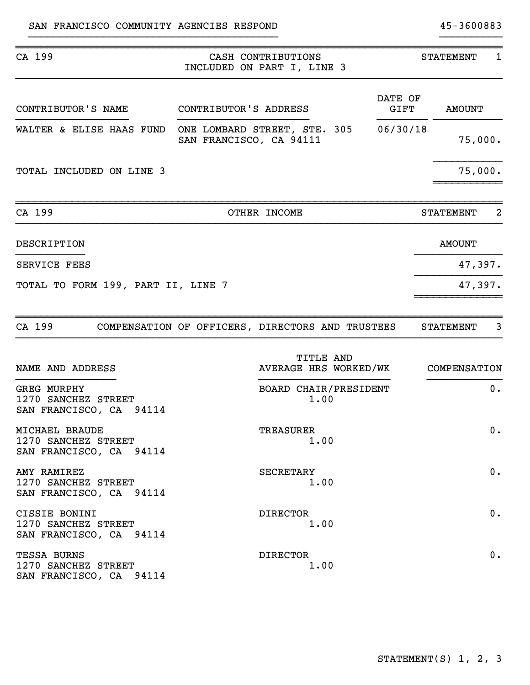| CA 199                                                               | CASH CONTRIBUTIONS<br>INCLUDED ON PART I, LINE 3                            |                 | 1<br><b>STATEMENT</b>       |  |  |
|----------------------------------------------------------------------|-----------------------------------------------------------------------------|-----------------|-----------------------------|--|--|
| CONTRIBUTOR'S NAME                                                   | CONTRIBUTOR'S ADDRESS                                                       | DATE OF<br>GIFT | <b>AMOUNT</b>               |  |  |
| WALTER & ELISE HAAS FUND                                             | ONE LOMBARD STREET, STE. 305<br>SAN FRANCISCO, CA 94111                     | 06/30/18        | 75,000.                     |  |  |
| TOTAL INCLUDED ON LINE 3                                             |                                                                             |                 | 75,000.                     |  |  |
| CA 199                                                               | OTHER INCOME                                                                |                 | $\overline{2}$<br>STATEMENT |  |  |
| DESCRIPTION                                                          |                                                                             |                 | <b>AMOUNT</b>               |  |  |
| <b>SERVICE FEES</b>                                                  |                                                                             |                 | 47,397.                     |  |  |
| TOTAL TO FORM 199, PART II, LINE 7                                   |                                                                             |                 | 47,397.                     |  |  |
|                                                                      | CA 199 COMPENSATION OF OFFICERS, DIRECTORS AND TRUSTEES<br><b>TITLE AND</b> |                 | 3<br><b>STATEMENT</b>       |  |  |
| NAME AND ADDRESS                                                     | AVERAGE HRS WORKED/WK                                                       |                 | COMPENSATION                |  |  |
| <b>GREG MURPHY</b><br>1270 SANCHEZ STREET<br>SAN FRANCISCO, CA 94114 | BOARD CHAIR/PRESIDENT<br>1.00                                               |                 | 0.                          |  |  |
| MICHAEL BRAUDE<br>1270 SANCHEZ STREET<br>SAN FRANCISCO, CA 94114     | <b>TREASURER</b><br>1.00                                                    |                 | $0$ .                       |  |  |
| AMY RAMIREZ<br>1270 SANCHEZ STREET<br>SAN FRANCISCO, CA 94114        | SECRETARY<br>1.00                                                           |                 | $0$ .                       |  |  |
| CISSIE BONINI<br>1270 SANCHEZ STREET<br>SAN FRANCISCO, CA 94114      | <b>DIRECTOR</b><br>1.00                                                     |                 | $0$ .                       |  |  |
| TESSA BURNS<br>1270 SANCHEZ STREET<br>SAN FRANCISCO, CA 94114        | <b>DIRECTOR</b><br>1.00                                                     |                 | 0.                          |  |  |

}}}}}}}}}}}}}}}}}}}}}}}}}}}}}}}}}}}}}}}} }}}}}}}}}}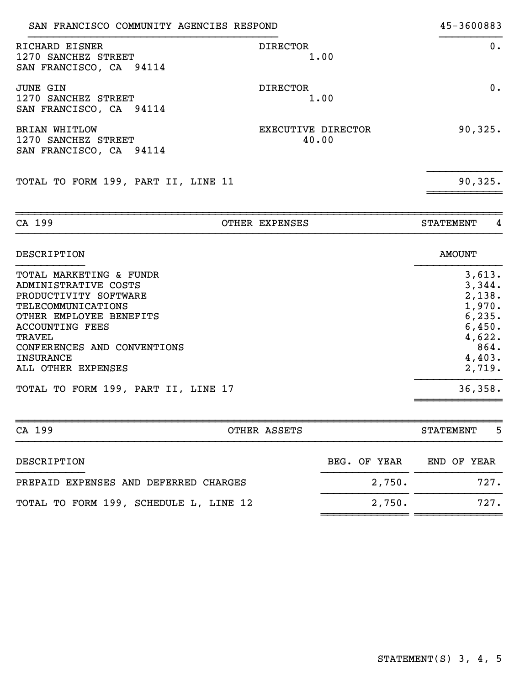| SAN FRANCISCO COMMUNITY AGENCIES RESPOND                                                                                                                                                                                                             |                                       |                                    |  |              |                  |               | 45-3600883                                                                                      |
|------------------------------------------------------------------------------------------------------------------------------------------------------------------------------------------------------------------------------------------------------|---------------------------------------|------------------------------------|--|--------------|------------------|---------------|-------------------------------------------------------------------------------------------------|
| RICHARD EISNER<br>1270 SANCHEZ STREET<br>SAN FRANCISCO, CA 94114                                                                                                                                                                                     |                                       | <b>DIRECTOR</b><br>1.00            |  |              |                  |               | $0$ .                                                                                           |
| <b>JUNE GIN</b><br>1270 SANCHEZ STREET<br>SAN FRANCISCO, CA 94114                                                                                                                                                                                    |                                       | <b>DIRECTOR</b><br>1.00            |  |              |                  |               | $0$ .                                                                                           |
| <b>BRIAN WHITLOW</b><br>1270 SANCHEZ STREET<br>SAN FRANCISCO, CA 94114                                                                                                                                                                               |                                       | <b>EXECUTIVE DIRECTOR</b><br>40.00 |  |              |                  |               | 90, 325.                                                                                        |
| TOTAL TO FORM 199, PART II, LINE 11                                                                                                                                                                                                                  |                                       |                                    |  |              |                  |               | 90,325.                                                                                         |
| CA 199                                                                                                                                                                                                                                               |                                       | OTHER EXPENSES                     |  |              | <b>STATEMENT</b> |               | 4                                                                                               |
| <b>DESCRIPTION</b>                                                                                                                                                                                                                                   |                                       |                                    |  |              |                  | <b>AMOUNT</b> |                                                                                                 |
| TOTAL MARKETING & FUNDR<br>ADMINISTRATIVE COSTS<br>PRODUCTIVITY SOFTWARE<br><b>TELECOMMUNICATIONS</b><br>OTHER EMPLOYEE BENEFITS<br><b>ACCOUNTING FEES</b><br><b>TRAVEL</b><br>CONFERENCES AND CONVENTIONS<br><b>INSURANCE</b><br>ALL OTHER EXPENSES |                                       |                                    |  |              |                  |               | 3,613.<br>3,344.<br>2,138.<br>1,970.<br>6, 235.<br>6,450.<br>4,622.<br>864.<br>4,403.<br>2,719. |
| TOTAL TO FORM 199, PART II, LINE 17                                                                                                                                                                                                                  |                                       |                                    |  |              |                  |               | 36,358.                                                                                         |
| CA 199                                                                                                                                                                                                                                               |                                       | OTHER ASSETS                       |  |              | <b>STATEMENT</b> |               | 5                                                                                               |
| DESCRIPTION                                                                                                                                                                                                                                          |                                       |                                    |  | BEG. OF YEAR | END OF YEAR      |               |                                                                                                 |
|                                                                                                                                                                                                                                                      | PREPAID EXPENSES AND DEFERRED CHARGES |                                    |  |              |                  |               | 727.                                                                                            |

TOTAL TO FORM 199, SCHEDULE L, LINE 12  $2,750$ . 727.

}}}}}}}}}}}}}} }}}}}}}}}}}}}}

~~~~~~~~~~~~~~ ~~~~~~~~~~~~~~

2,750.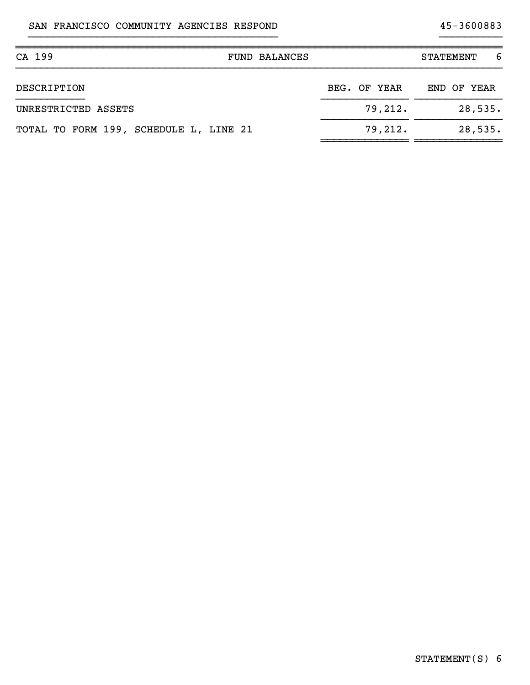| CA 199                                 | <b>FUND BALANCES</b> |              | <b>STATEMENT</b> | 6       |
|----------------------------------------|----------------------|--------------|------------------|---------|
| DESCRIPTION                            |                      | BEG. OF YEAR | END OF YEAR      |         |
| UNRESTRICTED ASSETS                    |                      | 79.212.      |                  | 28,535. |
| TOTAL TO FORM 199, SCHEDULE L, LINE 21 |                      | 79, 212.     |                  | 28,535. |
|                                        |                      |              |                  |         |

}}}}}}}}}}}}}}}}}}}}}}}}}}}}}}}}}}}}}}}} }}}}}}}}}}